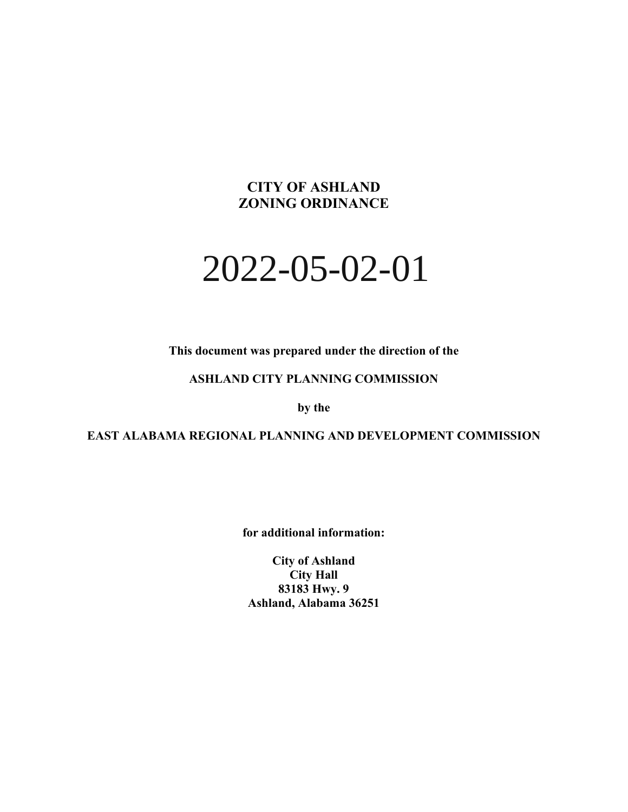# **CITY OF ASHLAND ZONING ORDINANCE**

# 2022-05-02-01

**This document was prepared under the direction of the** 

#### **ASHLAND CITY PLANNING COMMISSION**

**by the**

**EAST ALABAMA REGIONAL PLANNING AND DEVELOPMENT COMMISSION**

**for additional information:**

**City of Ashland City Hall 83183 Hwy. 9 Ashland, Alabama 36251**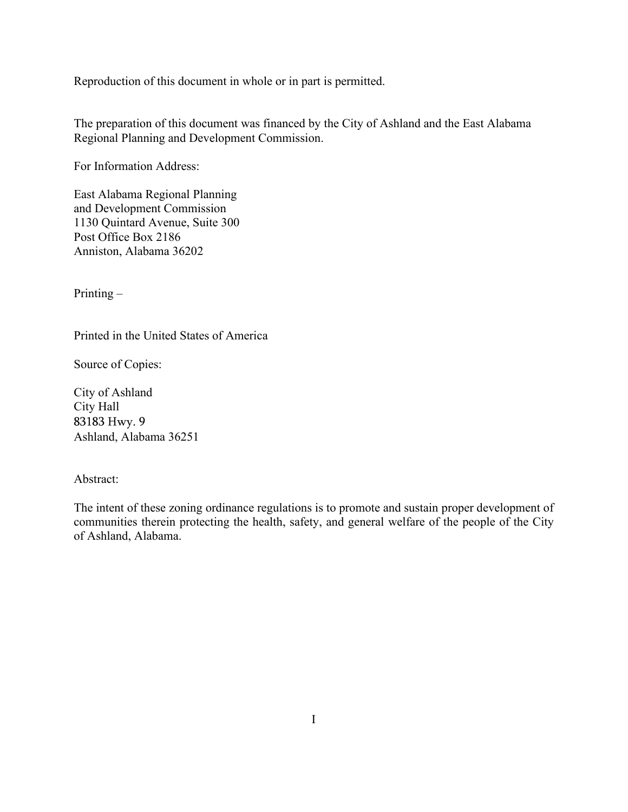Reproduction of this document in whole or in part is permitted.

The preparation of this document was financed by the City of Ashland and the East Alabama Regional Planning and Development Commission.

For Information Address:

East Alabama Regional Planning and Development Commission 1130 Quintard Avenue, Suite 300 Post Office Box 2186 Anniston, Alabama 36202

Printing –

Printed in the United States of America

Source of Copies:

City of Ashland City Hall 83183 Hwy. 9 Ashland, Alabama 36251

#### Abstract:

The intent of these zoning ordinance regulations is to promote and sustain proper development of communities therein protecting the health, safety, and general welfare of the people of the City of Ashland, Alabama.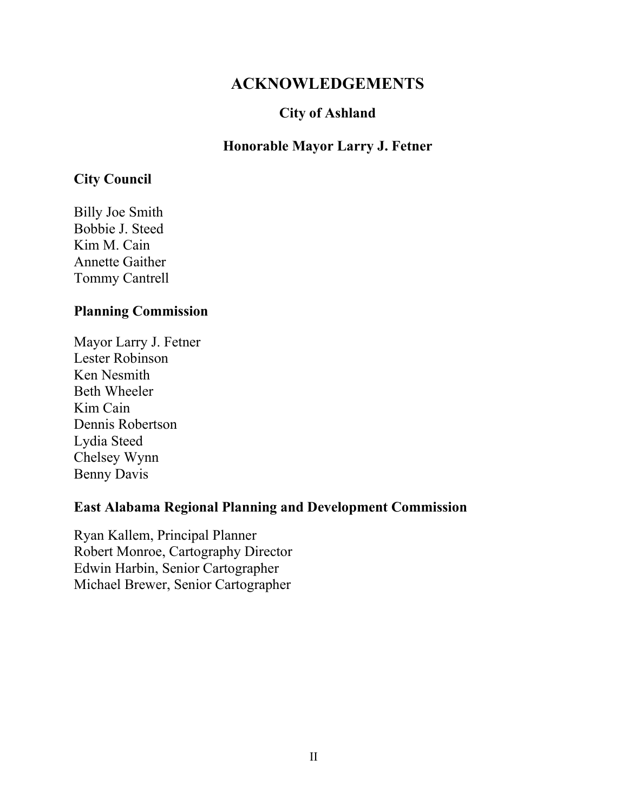# **ACKNOWLEDGEMENTS**

# **City of Ashland**

# **Honorable Mayor Larry J. Fetner**

# **City Council**

Billy Joe Smith Bobbie J. Steed Kim M. Cain Annette Gaither Tommy Cantrell

## **Planning Commission**

Mayor Larry J. Fetner Lester Robinson Ken Nesmith Beth Wheeler Kim Cain Dennis Robertson Lydia Steed Chelsey Wynn Benny Davis

## **East Alabama Regional Planning and Development Commission**

Ryan Kallem, Principal Planner Robert Monroe, Cartography Director Edwin Harbin, Senior Cartographer Michael Brewer, Senior Cartographer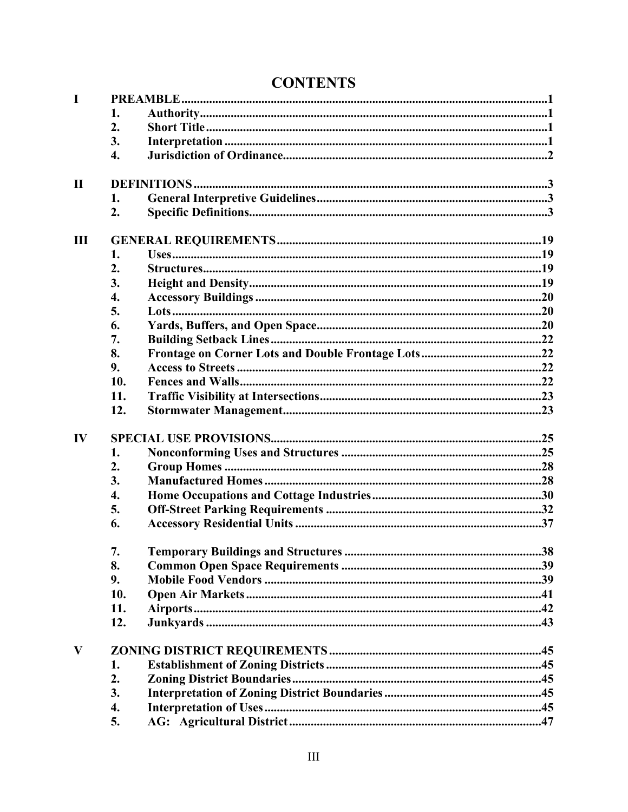| <b>CONTENTS</b> |
|-----------------|
|-----------------|

| $\mathbf I$   |     |  |  |  |  |  |  |
|---------------|-----|--|--|--|--|--|--|
|               | 1.  |  |  |  |  |  |  |
|               | 2.  |  |  |  |  |  |  |
|               | 3.  |  |  |  |  |  |  |
|               | 4.  |  |  |  |  |  |  |
| $\mathbf{I}$  |     |  |  |  |  |  |  |
|               | 1.  |  |  |  |  |  |  |
|               | 2.  |  |  |  |  |  |  |
| $\mathbf{I}$  |     |  |  |  |  |  |  |
|               | 1.  |  |  |  |  |  |  |
|               | 2.  |  |  |  |  |  |  |
|               | 3.  |  |  |  |  |  |  |
|               | 4.  |  |  |  |  |  |  |
|               | 5.  |  |  |  |  |  |  |
|               | 6.  |  |  |  |  |  |  |
|               | 7.  |  |  |  |  |  |  |
|               | 8.  |  |  |  |  |  |  |
|               | 9.  |  |  |  |  |  |  |
|               | 10. |  |  |  |  |  |  |
|               | 11. |  |  |  |  |  |  |
|               | 12. |  |  |  |  |  |  |
| $\mathbf{IV}$ |     |  |  |  |  |  |  |
|               | 1.  |  |  |  |  |  |  |
|               | 2.  |  |  |  |  |  |  |
|               | 3.  |  |  |  |  |  |  |
|               | 4.  |  |  |  |  |  |  |
|               | 5.  |  |  |  |  |  |  |
|               | 6.  |  |  |  |  |  |  |
|               | 7.  |  |  |  |  |  |  |
|               | 8.  |  |  |  |  |  |  |
|               | 9.  |  |  |  |  |  |  |
|               | 10. |  |  |  |  |  |  |
|               | 11. |  |  |  |  |  |  |
|               | 12. |  |  |  |  |  |  |
| V             |     |  |  |  |  |  |  |
|               | 1.  |  |  |  |  |  |  |
|               | 2.  |  |  |  |  |  |  |
|               | 3.  |  |  |  |  |  |  |
|               | 4.  |  |  |  |  |  |  |
|               | 5.  |  |  |  |  |  |  |
|               |     |  |  |  |  |  |  |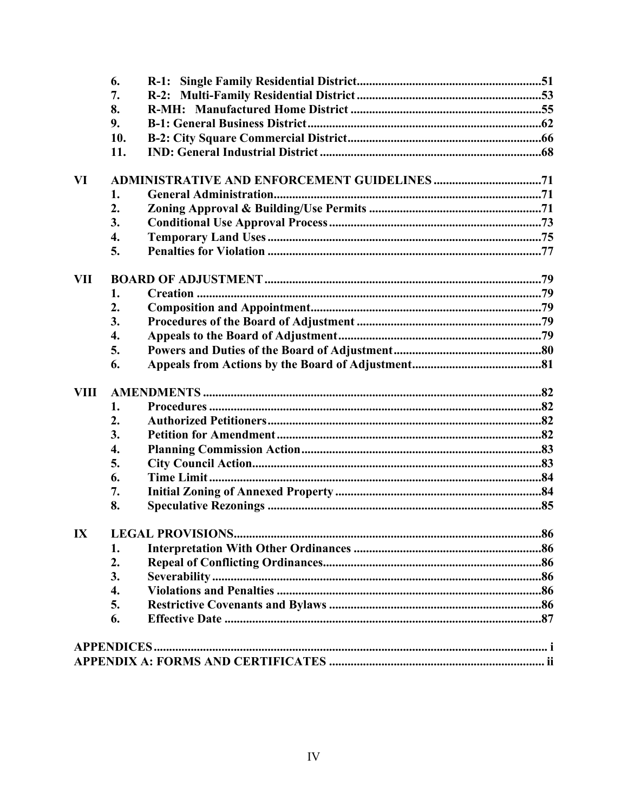|                         | 6.               |                         |  |  |  |
|-------------------------|------------------|-------------------------|--|--|--|
|                         | 7.               |                         |  |  |  |
|                         | 8.               |                         |  |  |  |
|                         | 9.               |                         |  |  |  |
|                         | 10.              |                         |  |  |  |
|                         | 11.              |                         |  |  |  |
| VI                      |                  |                         |  |  |  |
|                         | 1.               |                         |  |  |  |
|                         | 2.               |                         |  |  |  |
|                         | 3.               |                         |  |  |  |
|                         | 4.               |                         |  |  |  |
|                         | 5.               |                         |  |  |  |
| <b>VII</b>              |                  |                         |  |  |  |
|                         | 1.               |                         |  |  |  |
|                         | 2.               |                         |  |  |  |
|                         | 3.               |                         |  |  |  |
|                         | 4.               |                         |  |  |  |
|                         | 5.               |                         |  |  |  |
|                         | 6.               |                         |  |  |  |
| <b>VIII</b>             |                  |                         |  |  |  |
|                         | 1.               |                         |  |  |  |
|                         | $\overline{2}$ . |                         |  |  |  |
|                         | 3.               |                         |  |  |  |
|                         | 4.               |                         |  |  |  |
|                         | 5.               |                         |  |  |  |
|                         | 6.               |                         |  |  |  |
|                         | 7.               |                         |  |  |  |
|                         | 8.               |                         |  |  |  |
| $\mathbf{I} \mathbf{X}$ |                  | <b>LEGAL PROVISIONS</b> |  |  |  |
|                         | 1.               |                         |  |  |  |
|                         | 2.               |                         |  |  |  |
|                         | 3.               |                         |  |  |  |
|                         | 4.               |                         |  |  |  |
|                         | 5.               |                         |  |  |  |
|                         | 6.               |                         |  |  |  |
|                         |                  |                         |  |  |  |
|                         |                  |                         |  |  |  |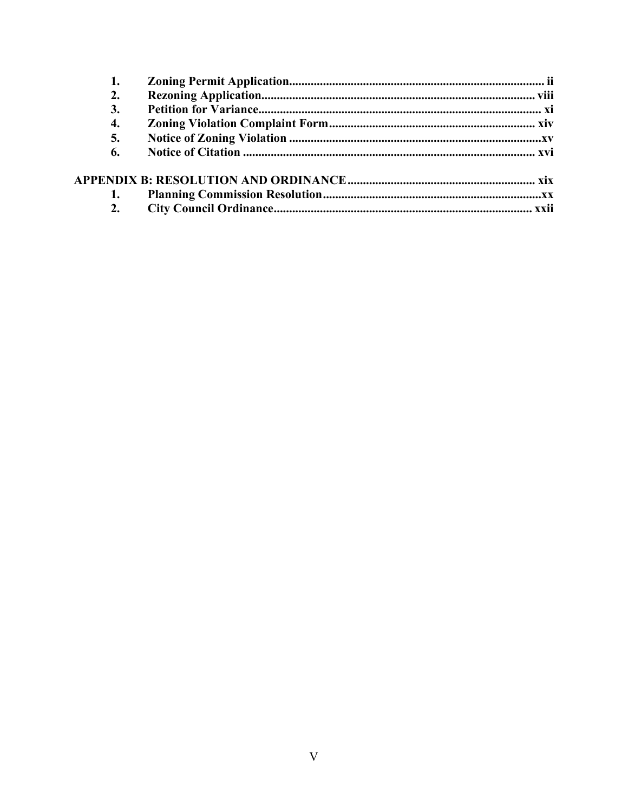| 2. |  |
|----|--|
| 3. |  |
| 4. |  |
| 5. |  |
| 6. |  |
|    |  |
|    |  |
|    |  |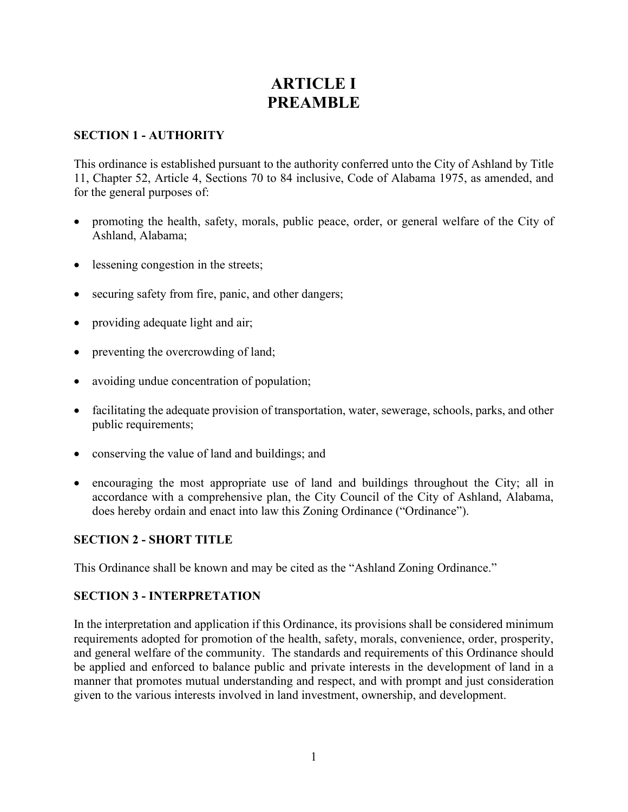# **ARTICLE I PREAMBLE**

#### **SECTION 1 - AUTHORITY**

This ordinance is established pursuant to the authority conferred unto the City of Ashland by Title 11, Chapter 52, Article 4, Sections 70 to 84 inclusive, Code of Alabama 1975, as amended, and for the general purposes of:

- promoting the health, safety, morals, public peace, order, or general welfare of the City of Ashland, Alabama;
- lessening congestion in the streets;
- securing safety from fire, panic, and other dangers;
- providing adequate light and air;
- preventing the overcrowding of land;
- avoiding undue concentration of population;
- facilitating the adequate provision of transportation, water, sewerage, schools, parks, and other public requirements;
- conserving the value of land and buildings; and
- encouraging the most appropriate use of land and buildings throughout the City; all in accordance with a comprehensive plan, the City Council of the City of Ashland, Alabama, does hereby ordain and enact into law this Zoning Ordinance ("Ordinance").

#### **SECTION 2 - SHORT TITLE**

This Ordinance shall be known and may be cited as the "Ashland Zoning Ordinance."

#### **SECTION 3 - INTERPRETATION**

In the interpretation and application if this Ordinance, its provisions shall be considered minimum requirements adopted for promotion of the health, safety, morals, convenience, order, prosperity, and general welfare of the community. The standards and requirements of this Ordinance should be applied and enforced to balance public and private interests in the development of land in a manner that promotes mutual understanding and respect, and with prompt and just consideration given to the various interests involved in land investment, ownership, and development.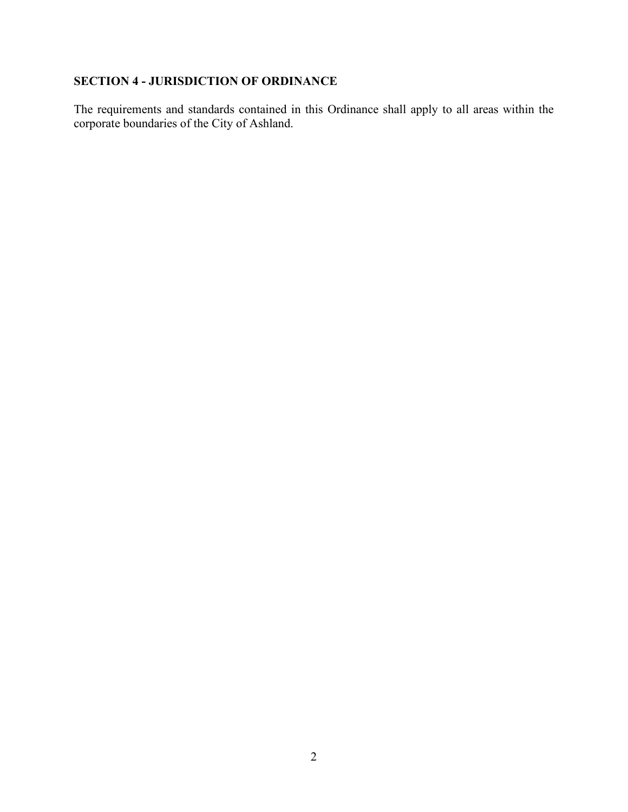## **SECTION 4 - JURISDICTION OF ORDINANCE**

The requirements and standards contained in this Ordinance shall apply to all areas within the corporate boundaries of the City of Ashland.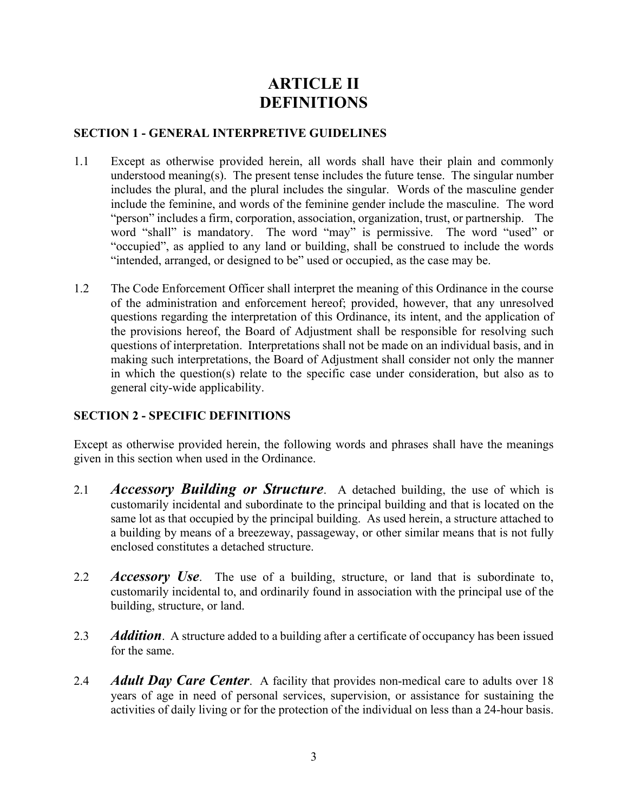# **ARTICLE II DEFINITIONS**

#### **SECTION 1 - GENERAL INTERPRETIVE GUIDELINES**

- 1.1 Except as otherwise provided herein, all words shall have their plain and commonly understood meaning(s). The present tense includes the future tense. The singular number includes the plural, and the plural includes the singular. Words of the masculine gender include the feminine, and words of the feminine gender include the masculine. The word "person" includes a firm, corporation, association, organization, trust, or partnership. The word "shall" is mandatory. The word "may" is permissive. The word "used" or "occupied", as applied to any land or building, shall be construed to include the words "intended, arranged, or designed to be" used or occupied, as the case may be.
- 1.2 The Code Enforcement Officer shall interpret the meaning of this Ordinance in the course of the administration and enforcement hereof; provided, however, that any unresolved questions regarding the interpretation of this Ordinance, its intent, and the application of the provisions hereof, the Board of Adjustment shall be responsible for resolving such questions of interpretation. Interpretations shall not be made on an individual basis, and in making such interpretations, the Board of Adjustment shall consider not only the manner in which the question(s) relate to the specific case under consideration, but also as to general city-wide applicability.

#### **SECTION 2 - SPECIFIC DEFINITIONS**

Except as otherwise provided herein, the following words and phrases shall have the meanings given in this section when used in the Ordinance.

- 2.1 *Accessory Building or Structure*. A detached building, the use of which is customarily incidental and subordinate to the principal building and that is located on the same lot as that occupied by the principal building. As used herein, a structure attached to a building by means of a breezeway, passageway, or other similar means that is not fully enclosed constitutes a detached structure.
- 2.2 *Accessory Use*. The use of a building, structure, or land that is subordinate to, customarily incidental to, and ordinarily found in association with the principal use of the building, structure, or land.
- 2.3 *Addition*. A structure added to a building after a certificate of occupancy has been issued for the same.
- 2.4 *Adult Day Care Center*. A facility that provides non-medical care to adults over 18 years of age in need of personal services, supervision, or assistance for sustaining the activities of daily living or for the protection of the individual on less than a 24-hour basis.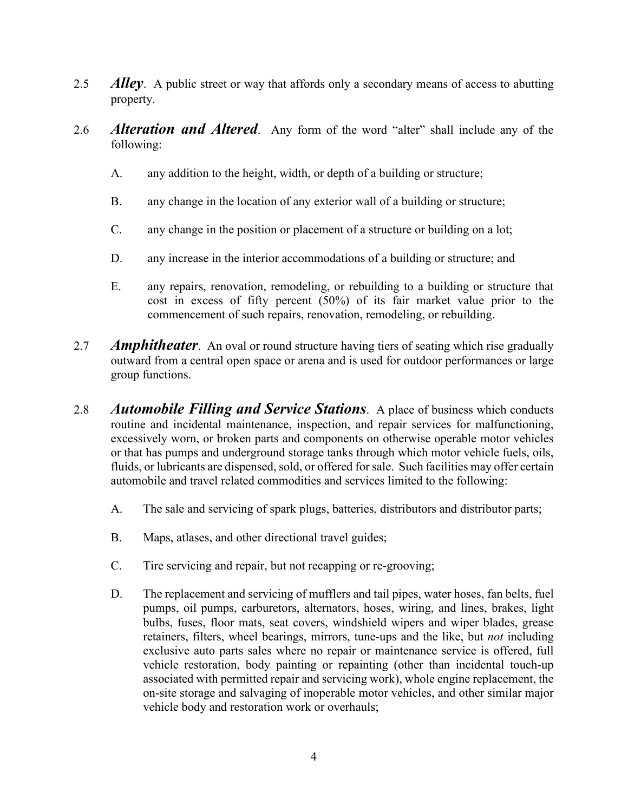- 2.5 *Alley*. A public street or way that affords only a secondary means of access to abutting property.
- 2.6 *Alteration and Altered*. Any form of the word "alter" shall include any of the following:
	- A. any addition to the height, width, or depth of a building or structure;
	- B. any change in the location of any exterior wall of a building or structure;
	- C. any change in the position or placement of a structure or building on a lot;
	- D. any increase in the interior accommodations of a building or structure; and
	- E. any repairs, renovation, remodeling, or rebuilding to a building or structure that cost in excess of fifty percent (50%) of its fair market value prior to the commencement of such repairs, renovation, remodeling, or rebuilding.
- 2.7 *Amphitheater*. An oval or round structure having tiers of seating which rise gradually outward from a central open space or arena and is used for outdoor performances or large group functions.
- 2.8 *Automobile Filling and Service Stations*. A place of business which conducts routine and incidental maintenance, inspection, and repair services for malfunctioning, excessively worn, or broken parts and components on otherwise operable motor vehicles or that has pumps and underground storage tanks through which motor vehicle fuels, oils, fluids, or lubricants are dispensed, sold, or offered for sale. Such facilities may offer certain automobile and travel related commodities and services limited to the following:
	- A. The sale and servicing of spark plugs, batteries, distributors and distributor parts;
	- B. Maps, atlases, and other directional travel guides;
	- C. Tire servicing and repair, but not recapping or re-grooving;
	- D. The replacement and servicing of mufflers and tail pipes, water hoses, fan belts, fuel pumps, oil pumps, carburetors, alternators, hoses, wiring, and lines, brakes, light bulbs, fuses, floor mats, seat covers, windshield wipers and wiper blades, grease retainers, filters, wheel bearings, mirrors, tune-ups and the like, but *not* including exclusive auto parts sales where no repair or maintenance service is offered, full vehicle restoration, body painting or repainting (other than incidental touch-up associated with permitted repair and servicing work), whole engine replacement, the on-site storage and salvaging of inoperable motor vehicles, and other similar major vehicle body and restoration work or overhauls;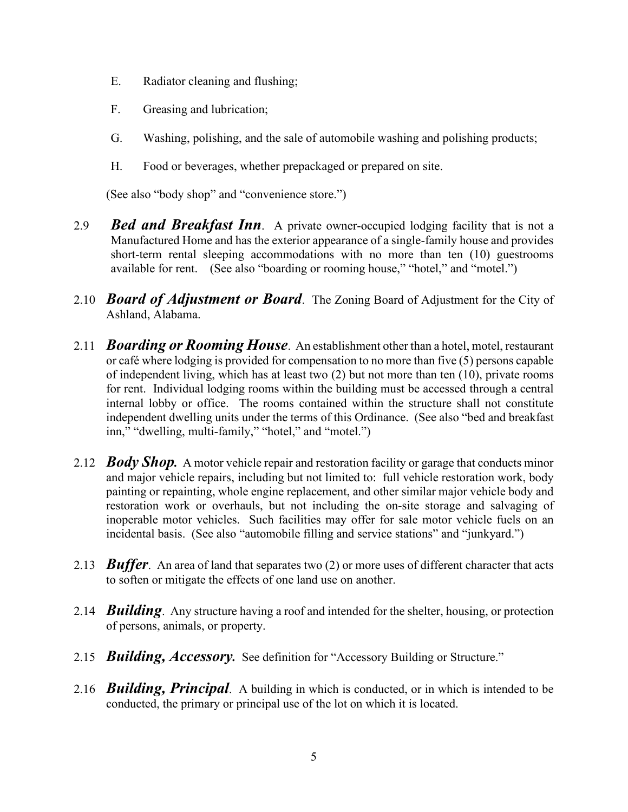- E. Radiator cleaning and flushing;
- F. Greasing and lubrication;
- G. Washing, polishing, and the sale of automobile washing and polishing products;
- H. Food or beverages, whether prepackaged or prepared on site.

(See also "body shop" and "convenience store.")

- 2.9 *Bed and Breakfast Inn*. A private owner-occupied lodging facility that is not a Manufactured Home and has the exterior appearance of a single-family house and provides short-term rental sleeping accommodations with no more than ten (10) guestrooms available for rent. (See also "boarding or rooming house," "hotel," and "motel.")
- 2.10 *Board of Adjustment or Board*. The Zoning Board of Adjustment for the City of Ashland, Alabama.
- 2.11 *Boarding or Rooming House*. An establishment other than a hotel, motel, restaurant or café where lodging is provided for compensation to no more than five (5) persons capable of independent living, which has at least two (2) but not more than ten (10), private rooms for rent. Individual lodging rooms within the building must be accessed through a central internal lobby or office. The rooms contained within the structure shall not constitute independent dwelling units under the terms of this Ordinance. (See also "bed and breakfast inn," "dwelling, multi-family," "hotel," and "motel.")
- 2.12 *Body Shop.* A motor vehicle repair and restoration facility or garage that conducts minor and major vehicle repairs, including but not limited to: full vehicle restoration work, body painting or repainting, whole engine replacement, and other similar major vehicle body and restoration work or overhauls, but not including the on-site storage and salvaging of inoperable motor vehicles. Such facilities may offer for sale motor vehicle fuels on an incidental basis. (See also "automobile filling and service stations" and "junkyard.")
- 2.13 *Buffer*. An area of land that separates two (2) or more uses of different character that acts to soften or mitigate the effects of one land use on another.
- 2.14 *Building*. Any structure having a roof and intended for the shelter, housing, or protection of persons, animals, or property.
- 2.15 *Building, Accessory.* See definition for "Accessory Building or Structure."
- 2.16 *Building, Principal*. A building in which is conducted, or in which is intended to be conducted, the primary or principal use of the lot on which it is located.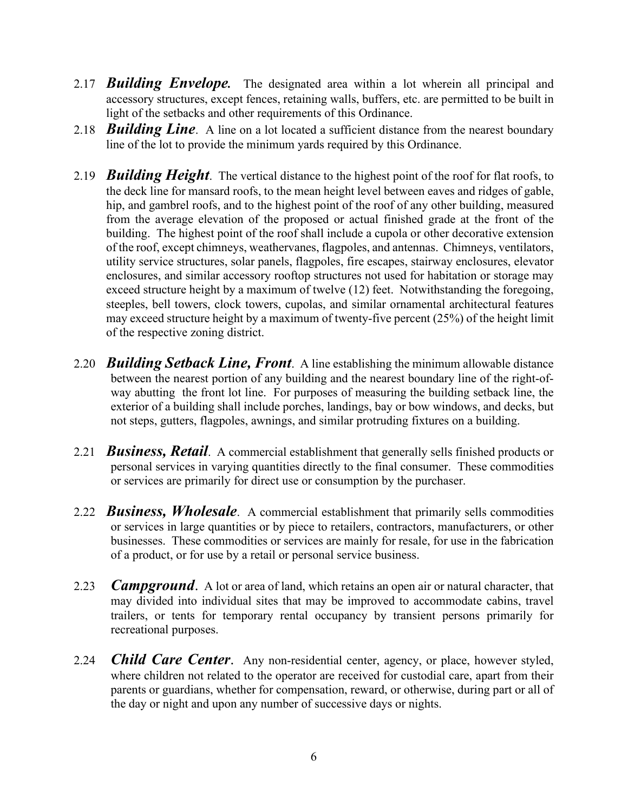- 2.17 *Building Envelope.* The designated area within a lot wherein all principal and accessory structures, except fences, retaining walls, buffers, etc. are permitted to be built in light of the setbacks and other requirements of this Ordinance.
- 2.18 *Building Line*. A line on a lot located a sufficient distance from the nearest boundary line of the lot to provide the minimum yards required by this Ordinance.
- 2.19 *Building Height*. The vertical distance to the highest point of the roof for flat roofs, to the deck line for mansard roofs, to the mean height level between eaves and ridges of gable, hip, and gambrel roofs, and to the highest point of the roof of any other building, measured from the average elevation of the proposed or actual finished grade at the front of the building. The highest point of the roof shall include a cupola or other decorative extension of the roof, except chimneys, weathervanes, flagpoles, and antennas. Chimneys, ventilators, utility service structures, solar panels, flagpoles, fire escapes, stairway enclosures, elevator enclosures, and similar accessory rooftop structures not used for habitation or storage may exceed structure height by a maximum of twelve (12) feet. Notwithstanding the foregoing, steeples, bell towers, clock towers, cupolas, and similar ornamental architectural features may exceed structure height by a maximum of twenty-five percent (25%) of the height limit of the respective zoning district.
- 2.20 *Building Setback Line, Front*. A line establishing the minimum allowable distance between the nearest portion of any building and the nearest boundary line of the right-ofway abutting the front lot line. For purposes of measuring the building setback line, the exterior of a building shall include porches, landings, bay or bow windows, and decks, but not steps, gutters, flagpoles, awnings, and similar protruding fixtures on a building.
- 2.21 *Business, Retail*. A commercial establishment that generally sells finished products or personal services in varying quantities directly to the final consumer. These commodities or services are primarily for direct use or consumption by the purchaser.
- 2.22 *Business, Wholesale*. A commercial establishment that primarily sells commodities or services in large quantities or by piece to retailers, contractors, manufacturers, or other businesses. These commodities or services are mainly for resale, for use in the fabrication of a product, or for use by a retail or personal service business.
- 2.23 *Campground*. A lot or area of land, which retains an open air or natural character, that may divided into individual sites that may be improved to accommodate cabins, travel trailers, or tents for temporary rental occupancy by transient persons primarily for recreational purposes.
- 2.24 *Child Care Center*. Any non-residential center, agency, or place, however styled, where children not related to the operator are received for custodial care, apart from their parents or guardians, whether for compensation, reward, or otherwise, during part or all of the day or night and upon any number of successive days or nights.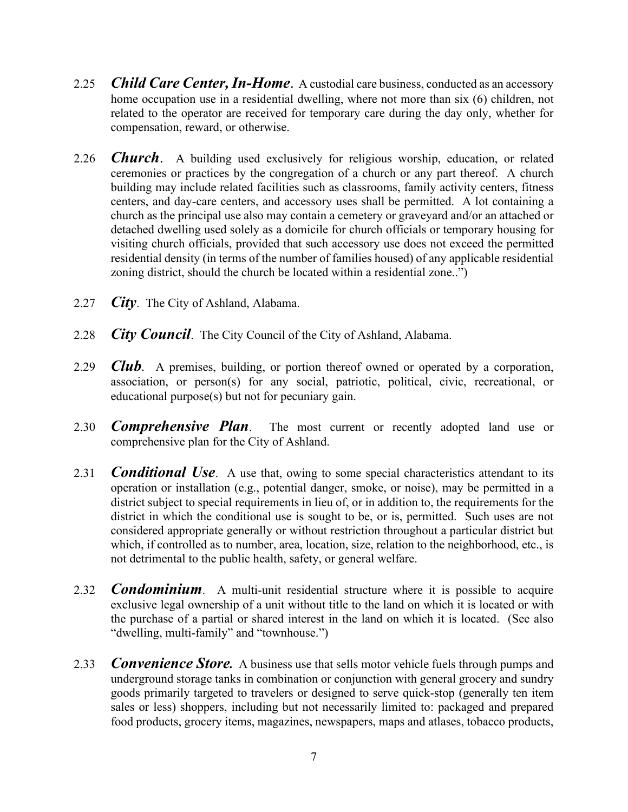- 2.25 *Child Care Center, In-Home*. A custodial care business, conducted as an accessory home occupation use in a residential dwelling, where not more than six (6) children, not related to the operator are received for temporary care during the day only, whether for compensation, reward, or otherwise.
- 2.26 *Church*. A building used exclusively for religious worship, education, or related ceremonies or practices by the congregation of a church or any part thereof. A church building may include related facilities such as classrooms, family activity centers, fitness centers, and day-care centers, and accessory uses shall be permitted. A lot containing a church as the principal use also may contain a cemetery or graveyard and/or an attached or detached dwelling used solely as a domicile for church officials or temporary housing for visiting church officials, provided that such accessory use does not exceed the permitted residential density (in terms of the number of families housed) of any applicable residential zoning district, should the church be located within a residential zone..")
- 2.27 *City*. The City of Ashland, Alabama.
- 2.28 *City Council*. The City Council of the City of Ashland, Alabama.
- 2.29 *Club.* A premises, building, or portion thereof owned or operated by a corporation, association, or person(s) for any social, patriotic, political, civic, recreational, or educational purpose(s) but not for pecuniary gain.
- 2.30 *Comprehensive Plan*. The most current or recently adopted land use or comprehensive plan for the City of Ashland.
- 2.31 *Conditional Use*. A use that, owing to some special characteristics attendant to its operation or installation (e.g., potential danger, smoke, or noise), may be permitted in a district subject to special requirements in lieu of, or in addition to, the requirements for the district in which the conditional use is sought to be, or is, permitted. Such uses are not considered appropriate generally or without restriction throughout a particular district but which, if controlled as to number, area, location, size, relation to the neighborhood, etc., is not detrimental to the public health, safety, or general welfare.
- 2.32 *Condominium*. A multi-unit residential structure where it is possible to acquire exclusive legal ownership of a unit without title to the land on which it is located or with the purchase of a partial or shared interest in the land on which it is located. (See also "dwelling, multi-family" and "townhouse.")
- 2.33 **Convenience Store.** A business use that sells motor vehicle fuels through pumps and underground storage tanks in combination or conjunction with general grocery and sundry goods primarily targeted to travelers or designed to serve quick-stop (generally ten item sales or less) shoppers, including but not necessarily limited to: packaged and prepared food products, grocery items, magazines, newspapers, maps and atlases, tobacco products,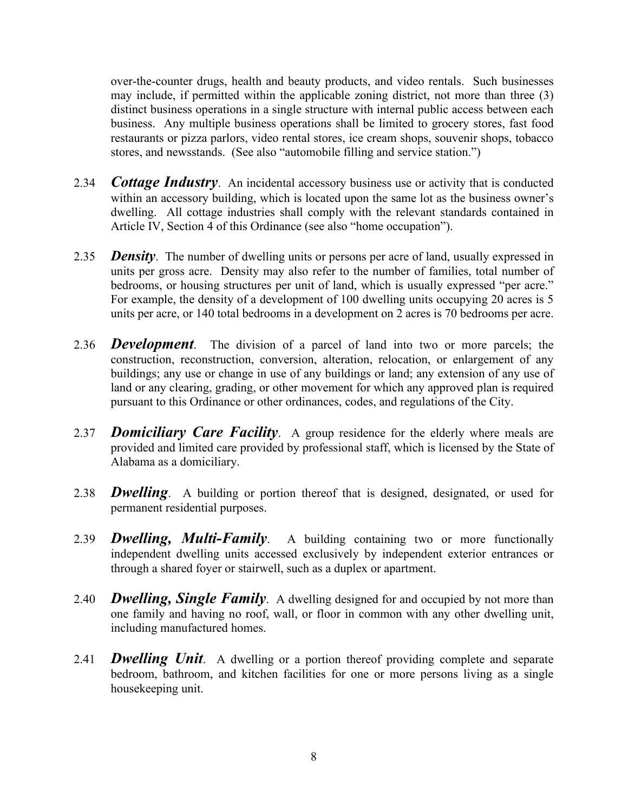over-the-counter drugs, health and beauty products, and video rentals. Such businesses may include, if permitted within the applicable zoning district, not more than three (3) distinct business operations in a single structure with internal public access between each business. Any multiple business operations shall be limited to grocery stores, fast food restaurants or pizza parlors, video rental stores, ice cream shops, souvenir shops, tobacco stores, and newsstands. (See also "automobile filling and service station.")

- 2.34 *Cottage Industry*. An incidental accessory business use or activity that is conducted within an accessory building, which is located upon the same lot as the business owner's dwelling. All cottage industries shall comply with the relevant standards contained in Article IV, Section 4 of this Ordinance (see also "home occupation").
- 2.35 *Density*. The number of dwelling units or persons per acre of land, usually expressed in units per gross acre. Density may also refer to the number of families, total number of bedrooms, or housing structures per unit of land, which is usually expressed "per acre." For example, the density of a development of 100 dwelling units occupying 20 acres is 5 units per acre, or 140 total bedrooms in a development on 2 acres is 70 bedrooms per acre.
- 2.36 *Development*. The division of a parcel of land into two or more parcels; the construction, reconstruction, conversion, alteration, relocation, or enlargement of any buildings; any use or change in use of any buildings or land; any extension of any use of land or any clearing, grading, or other movement for which any approved plan is required pursuant to this Ordinance or other ordinances, codes, and regulations of the City.
- 2.37 *Domiciliary Care Facility*. A group residence for the elderly where meals are provided and limited care provided by professional staff, which is licensed by the State of Alabama as a domiciliary.
- 2.38 *Dwelling*. A building or portion thereof that is designed, designated, or used for permanent residential purposes.
- 2.39 *Dwelling, Multi-Family*. A building containing two or more functionally independent dwelling units accessed exclusively by independent exterior entrances or through a shared foyer or stairwell, such as a duplex or apartment.
- 2.40 *Dwelling, Single Family*. A dwelling designed for and occupied by not more than one family and having no roof, wall, or floor in common with any other dwelling unit, including manufactured homes.
- 2.41 *Dwelling Unit*. A dwelling or a portion thereof providing complete and separate bedroom, bathroom, and kitchen facilities for one or more persons living as a single housekeeping unit.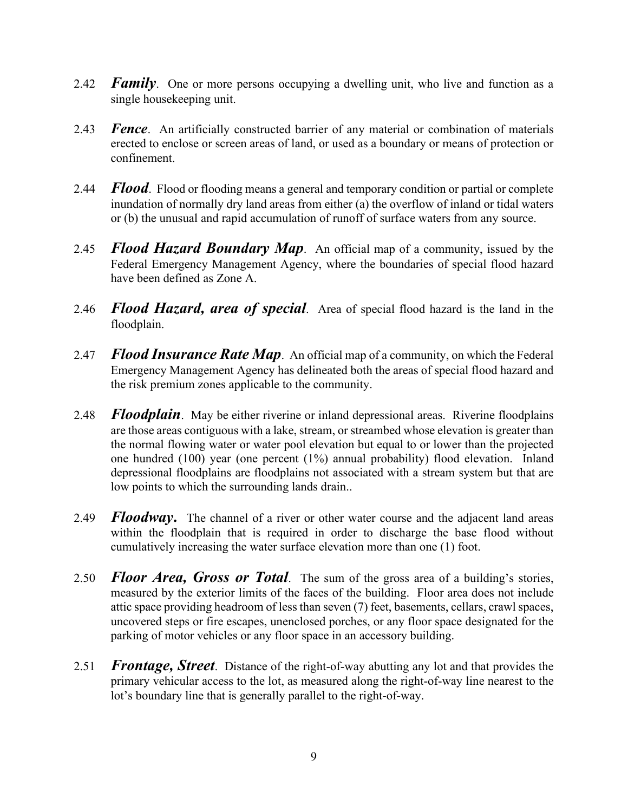- 2.42 *Family*. One or more persons occupying a dwelling unit, who live and function as a single housekeeping unit.
- 2.43 *Fence*. An artificially constructed barrier of any material or combination of materials erected to enclose or screen areas of land, or used as a boundary or means of protection or confinement.
- 2.44 *Flood*. Flood or flooding means a general and temporary condition or partial or complete inundation of normally dry land areas from either (a) the overflow of inland or tidal waters or (b) the unusual and rapid accumulation of runoff of surface waters from any source.
- 2.45 *Flood Hazard Boundary Map*. An official map of a community, issued by the Federal Emergency Management Agency, where the boundaries of special flood hazard have been defined as Zone A.
- 2.46 *Flood Hazard, area of special*. Area of special flood hazard is the land in the floodplain.
- 2.47 *Flood Insurance Rate Map*. An official map of a community, on which the Federal Emergency Management Agency has delineated both the areas of special flood hazard and the risk premium zones applicable to the community.
- 2.48 *Floodplain*. May be either riverine or inland depressional areas. Riverine floodplains are those areas contiguous with a lake, stream, or streambed whose elevation is greater than the normal flowing water or water pool elevation but equal to or lower than the projected one hundred (100) year (one percent (1%) annual probability) flood elevation. Inland depressional floodplains are floodplains not associated with a stream system but that are low points to which the surrounding lands drain..
- 2.49 *Floodway***.** The channel of a river or other water course and the adjacent land areas within the floodplain that is required in order to discharge the base flood without cumulatively increasing the water surface elevation more than one (1) foot.
- 2.50 *Floor Area, Gross or Total*. The sum of the gross area of a building's stories, measured by the exterior limits of the faces of the building. Floor area does not include attic space providing headroom of less than seven (7) feet, basements, cellars, crawl spaces, uncovered steps or fire escapes, unenclosed porches, or any floor space designated for the parking of motor vehicles or any floor space in an accessory building.
- 2.51 *Frontage, Street*. Distance of the right-of-way abutting any lot and that provides the primary vehicular access to the lot, as measured along the right-of-way line nearest to the lot's boundary line that is generally parallel to the right-of-way.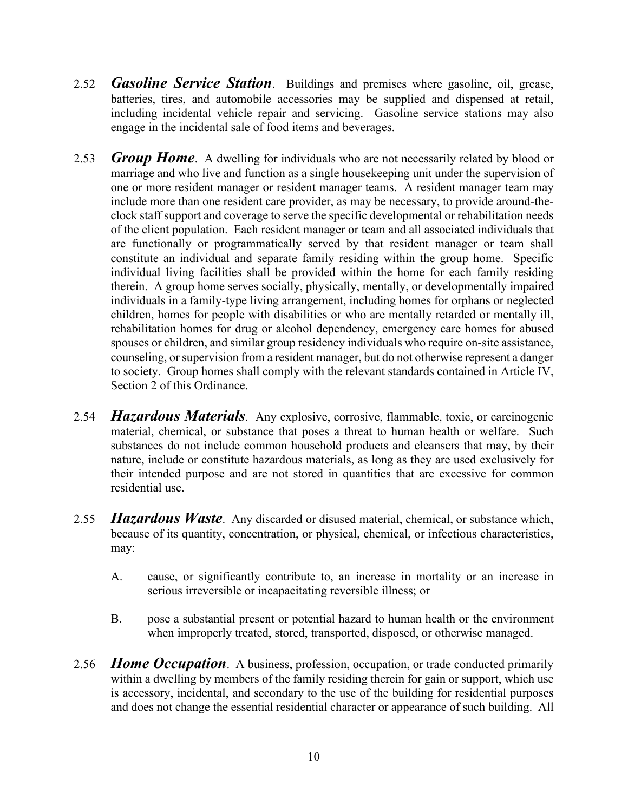- 2.52 *Gasoline Service Station*. Buildings and premises where gasoline, oil, grease, batteries, tires, and automobile accessories may be supplied and dispensed at retail, including incidental vehicle repair and servicing. Gasoline service stations may also engage in the incidental sale of food items and beverages.
- 2.53 *Group Home*. A dwelling for individuals who are not necessarily related by blood or marriage and who live and function as a single housekeeping unit under the supervision of one or more resident manager or resident manager teams. A resident manager team may include more than one resident care provider, as may be necessary, to provide around-theclock staff support and coverage to serve the specific developmental or rehabilitation needs of the client population. Each resident manager or team and all associated individuals that are functionally or programmatically served by that resident manager or team shall constitute an individual and separate family residing within the group home. Specific individual living facilities shall be provided within the home for each family residing therein. A group home serves socially, physically, mentally, or developmentally impaired individuals in a family-type living arrangement, including homes for orphans or neglected children, homes for people with disabilities or who are mentally retarded or mentally ill, rehabilitation homes for drug or alcohol dependency, emergency care homes for abused spouses or children, and similar group residency individuals who require on-site assistance, counseling, or supervision from a resident manager, but do not otherwise represent a danger to society. Group homes shall comply with the relevant standards contained in Article IV, Section 2 of this Ordinance.
- 2.54 *Hazardous Materials*. Any explosive, corrosive, flammable, toxic, or carcinogenic material, chemical, or substance that poses a threat to human health or welfare. Such substances do not include common household products and cleansers that may, by their nature, include or constitute hazardous materials, as long as they are used exclusively for their intended purpose and are not stored in quantities that are excessive for common residential use.
- 2.55 *Hazardous Waste*. Any discarded or disused material, chemical, or substance which, because of its quantity, concentration, or physical, chemical, or infectious characteristics, may:
	- A. cause, or significantly contribute to, an increase in mortality or an increase in serious irreversible or incapacitating reversible illness; or
	- B. pose a substantial present or potential hazard to human health or the environment when improperly treated, stored, transported, disposed, or otherwise managed.
- 2.56 *Home Occupation*. A business, profession, occupation, or trade conducted primarily within a dwelling by members of the family residing therein for gain or support, which use is accessory, incidental, and secondary to the use of the building for residential purposes and does not change the essential residential character or appearance of such building. All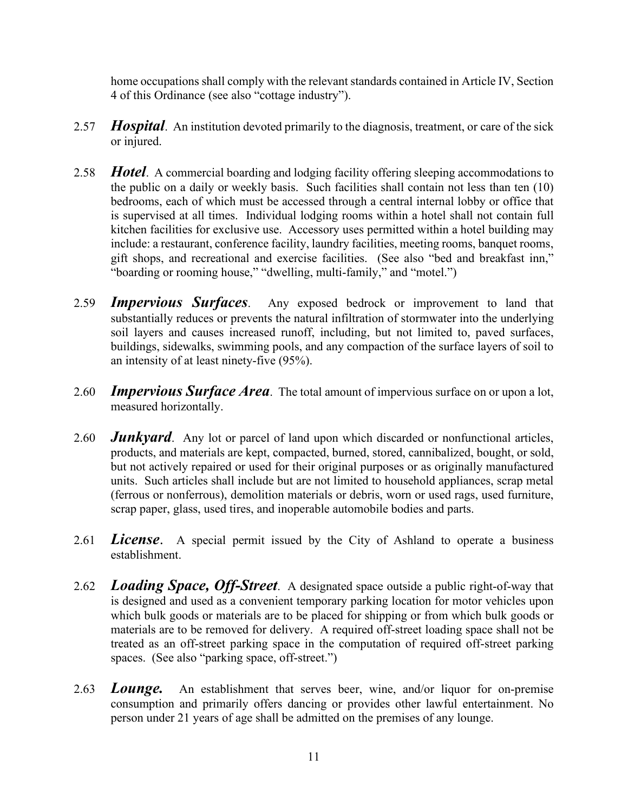home occupations shall comply with the relevant standards contained in Article IV, Section 4 of this Ordinance (see also "cottage industry").

- 2.57 *Hospital*. An institution devoted primarily to the diagnosis, treatment, or care of the sick or injured.
- 2.58 *Hotel*. A commercial boarding and lodging facility offering sleeping accommodations to the public on a daily or weekly basis. Such facilities shall contain not less than ten (10) bedrooms, each of which must be accessed through a central internal lobby or office that is supervised at all times. Individual lodging rooms within a hotel shall not contain full kitchen facilities for exclusive use. Accessory uses permitted within a hotel building may include: a restaurant, conference facility, laundry facilities, meeting rooms, banquet rooms, gift shops, and recreational and exercise facilities. (See also "bed and breakfast inn," "boarding or rooming house," "dwelling, multi-family," and "motel.")
- 2.59 *Impervious Surfaces*. Any exposed bedrock or improvement to land that substantially reduces or prevents the natural infiltration of stormwater into the underlying soil layers and causes increased runoff, including, but not limited to, paved surfaces, buildings, sidewalks, swimming pools, and any compaction of the surface layers of soil to an intensity of at least ninety-five (95%).
- 2.60 *Impervious Surface Area*. The total amount of impervious surface on or upon a lot, measured horizontally.
- 2.60 *Junkyard*. Any lot or parcel of land upon which discarded or nonfunctional articles, products, and materials are kept, compacted, burned, stored, cannibalized, bought, or sold, but not actively repaired or used for their original purposes or as originally manufactured units. Such articles shall include but are not limited to household appliances, scrap metal (ferrous or nonferrous), demolition materials or debris, worn or used rags, used furniture, scrap paper, glass, used tires, and inoperable automobile bodies and parts.
- 2.61 *License*. A special permit issued by the City of Ashland to operate a business establishment.
- 2.62 *Loading Space, Off-Street*. A designated space outside a public right-of-way that is designed and used as a convenient temporary parking location for motor vehicles upon which bulk goods or materials are to be placed for shipping or from which bulk goods or materials are to be removed for delivery. A required off-street loading space shall not be treated as an off-street parking space in the computation of required off-street parking spaces. (See also "parking space, off-street.")
- 2.63 *Lounge.* An establishment that serves beer, wine, and/or liquor for on-premise consumption and primarily offers dancing or provides other lawful entertainment. No person under 21 years of age shall be admitted on the premises of any lounge.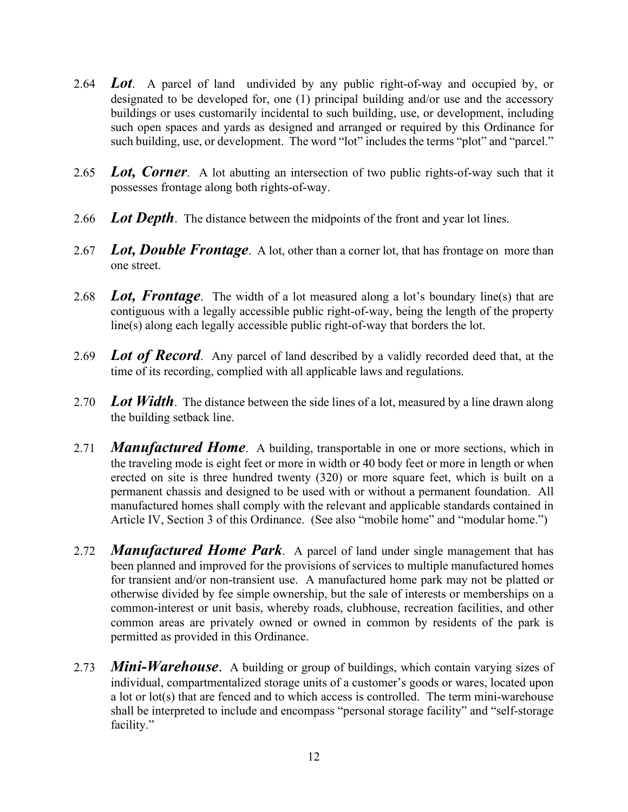- 2.64 *Lot*. A parcel of land undivided by any public right-of-way and occupied by, or designated to be developed for, one (1) principal building and/or use and the accessory buildings or uses customarily incidental to such building, use, or development, including such open spaces and yards as designed and arranged or required by this Ordinance for such building, use, or development. The word "lot" includes the terms "plot" and "parcel."
- 2.65 *Lot, Corner*. A lot abutting an intersection of two public rights-of-way such that it possesses frontage along both rights-of-way.
- 2.66 *Lot Depth*. The distance between the midpoints of the front and year lot lines.
- 2.67 *Lot, Double Frontage*. A lot, other than a corner lot, that has frontage on more than one street.
- 2.68 *Lot, Frontage*. The width of a lot measured along a lot's boundary line(s) that are contiguous with a legally accessible public right-of-way, being the length of the property line(s) along each legally accessible public right-of-way that borders the lot.
- 2.69 *Lot of Record.* Any parcel of land described by a validly recorded deed that, at the time of its recording, complied with all applicable laws and regulations.
- 2.70 *Lot Width*. The distance between the side lines of a lot, measured by a line drawn along the building setback line.
- 2.71 *Manufactured Home*. A building, transportable in one or more sections, which in the traveling mode is eight feet or more in width or 40 body feet or more in length or when erected on site is three hundred twenty (320) or more square feet, which is built on a permanent chassis and designed to be used with or without a permanent foundation. All manufactured homes shall comply with the relevant and applicable standards contained in Article IV, Section 3 of this Ordinance. (See also "mobile home" and "modular home.")
- 2.72 *Manufactured Home Park*. A parcel of land under single management that has been planned and improved for the provisions of services to multiple manufactured homes for transient and/or non-transient use. A manufactured home park may not be platted or otherwise divided by fee simple ownership, but the sale of interests or memberships on a common-interest or unit basis, whereby roads, clubhouse, recreation facilities, and other common areas are privately owned or owned in common by residents of the park is permitted as provided in this Ordinance.
- 2.73 *Mini-Warehouse*. A building or group of buildings, which contain varying sizes of individual, compartmentalized storage units of a customer's goods or wares, located upon a lot or lot(s) that are fenced and to which access is controlled. The term mini-warehouse shall be interpreted to include and encompass "personal storage facility" and "self-storage facility."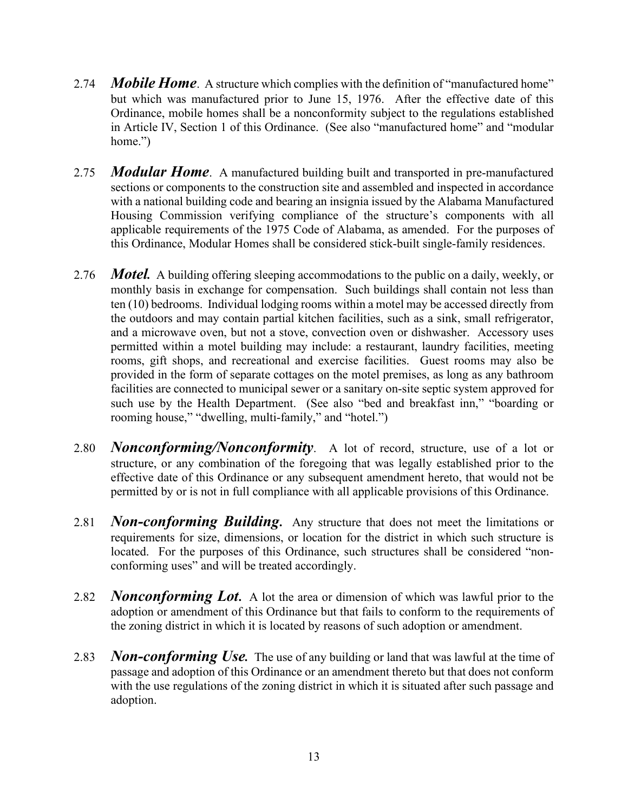- 2.74 *Mobile Home*. A structure which complies with the definition of "manufactured home" but which was manufactured prior to June 15, 1976. After the effective date of this Ordinance, mobile homes shall be a nonconformity subject to the regulations established in Article IV, Section 1 of this Ordinance. (See also "manufactured home" and "modular home.")
- 2.75 *Modular Home*. A manufactured building built and transported in pre-manufactured sections or components to the construction site and assembled and inspected in accordance with a national building code and bearing an insignia issued by the Alabama Manufactured Housing Commission verifying compliance of the structure's components with all applicable requirements of the 1975 Code of Alabama, as amended. For the purposes of this Ordinance, Modular Homes shall be considered stick-built single-family residences.
- 2.76 *Motel.* A building offering sleeping accommodations to the public on a daily, weekly, or monthly basis in exchange for compensation. Such buildings shall contain not less than ten (10) bedrooms. Individual lodging rooms within a motel may be accessed directly from the outdoors and may contain partial kitchen facilities, such as a sink, small refrigerator, and a microwave oven, but not a stove, convection oven or dishwasher. Accessory uses permitted within a motel building may include: a restaurant, laundry facilities, meeting rooms, gift shops, and recreational and exercise facilities. Guest rooms may also be provided in the form of separate cottages on the motel premises, as long as any bathroom facilities are connected to municipal sewer or a sanitary on-site septic system approved for such use by the Health Department. (See also "bed and breakfast inn," "boarding or rooming house," "dwelling, multi-family," and "hotel.")
- 2.80 *Nonconforming/Nonconformity*. A lot of record, structure, use of a lot or structure, or any combination of the foregoing that was legally established prior to the effective date of this Ordinance or any subsequent amendment hereto, that would not be permitted by or is not in full compliance with all applicable provisions of this Ordinance.
- 2.81 *Non-conforming Building***.** Any structure that does not meet the limitations or requirements for size, dimensions, or location for the district in which such structure is located. For the purposes of this Ordinance, such structures shall be considered "nonconforming uses" and will be treated accordingly.
- 2.82 *Nonconforming Lot***.** A lot the area or dimension of which was lawful prior to the adoption or amendment of this Ordinance but that fails to conform to the requirements of the zoning district in which it is located by reasons of such adoption or amendment.
- 2.83 *Non-conforming Use.* The use of any building or land that was lawful at the time of passage and adoption of this Ordinance or an amendment thereto but that does not conform with the use regulations of the zoning district in which it is situated after such passage and adoption.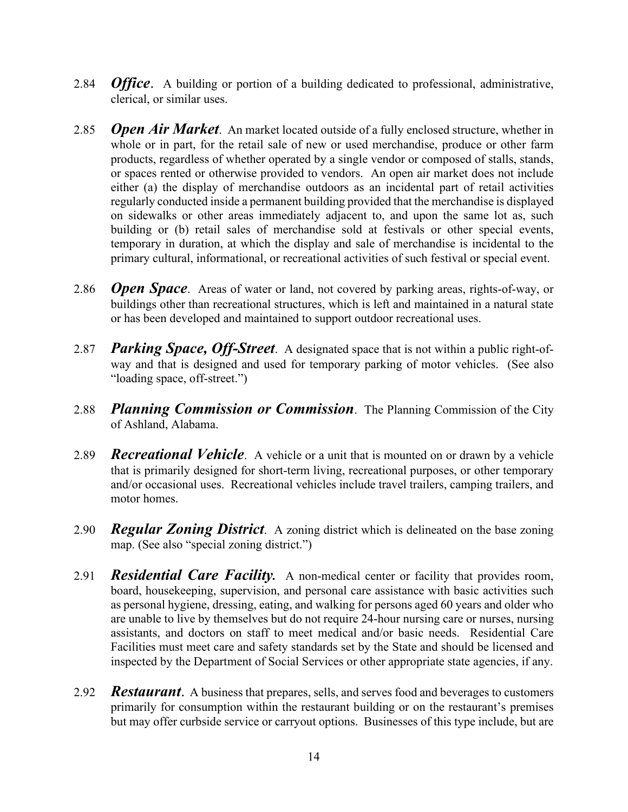- 2.84 *Office*. A building or portion of a building dedicated to professional, administrative, clerical, or similar uses.
- 2.85 *Open Air Market*. An market located outside of a fully enclosed structure, whether in whole or in part, for the retail sale of new or used merchandise, produce or other farm products, regardless of whether operated by a single vendor or composed of stalls, stands, or spaces rented or otherwise provided to vendors. An open air market does not include either (a) the display of merchandise outdoors as an incidental part of retail activities regularly conducted inside a permanent building provided that the merchandise is displayed on sidewalks or other areas immediately adjacent to, and upon the same lot as, such building or (b) retail sales of merchandise sold at festivals or other special events, temporary in duration, at which the display and sale of merchandise is incidental to the primary cultural, informational, or recreational activities of such festival or special event.
- 2.86 *Open Space*. Areas of water or land, not covered by parking areas, rights-of-way, or buildings other than recreational structures, which is left and maintained in a natural state or has been developed and maintained to support outdoor recreational uses.
- 2.87 *Parking Space, Off-Street*. A designated space that is not within a public right-ofway and that is designed and used for temporary parking of motor vehicles. (See also "loading space, off-street.")
- 2.88 *Planning Commission or Commission*. The Planning Commission of the City of Ashland, Alabama.
- 2.89 *Recreational Vehicle*. A vehicle or a unit that is mounted on or drawn by a vehicle that is primarily designed for short-term living, recreational purposes, or other temporary and/or occasional uses. Recreational vehicles include travel trailers, camping trailers, and motor homes.
- 2.90 *Regular Zoning District*. A zoning district which is delineated on the base zoning map. (See also "special zoning district.")
- 2.91 *Residential Care Facility.* A non-medical center or facility that provides room, board, housekeeping, supervision, and personal care assistance with basic activities such as personal hygiene, dressing, eating, and walking for persons aged 60 years and older who are unable to live by themselves but do not require 24-hour nursing care or nurses, nursing assistants, and doctors on staff to meet medical and/or basic needs. Residential Care Facilities must meet care and safety standards set by the State and should be licensed and inspected by the Department of Social Services or other appropriate state agencies, if any.
- 2.92 *Restaurant*. A business that prepares, sells, and serves food and beverages to customers primarily for consumption within the restaurant building or on the restaurant's premises but may offer curbside service or carryout options. Businesses of this type include, but are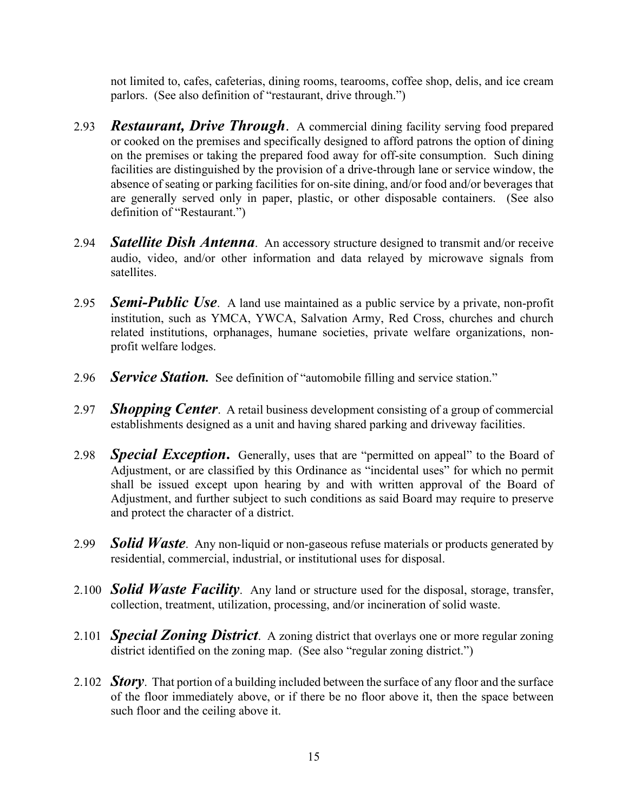not limited to, cafes, cafeterias, dining rooms, tearooms, coffee shop, delis, and ice cream parlors. (See also definition of "restaurant, drive through.")

- 2.93 *Restaurant, Drive Through*. A commercial dining facility serving food prepared or cooked on the premises and specifically designed to afford patrons the option of dining on the premises or taking the prepared food away for off-site consumption. Such dining facilities are distinguished by the provision of a drive-through lane or service window, the absence of seating or parking facilities for on-site dining, and/or food and/or beverages that are generally served only in paper, plastic, or other disposable containers. (See also definition of "Restaurant.")
- 2.94 *Satellite Dish Antenna*. An accessory structure designed to transmit and/or receive audio, video, and/or other information and data relayed by microwave signals from satellites.
- 2.95 *Semi-Public Use*. A land use maintained as a public service by a private, non-profit institution, such as YMCA, YWCA, Salvation Army, Red Cross, churches and church related institutions, orphanages, humane societies, private welfare organizations, nonprofit welfare lodges.
- 2.96 *Service Station.* See definition of "automobile filling and service station."
- 2.97 *Shopping Center*. A retail business development consisting of a group of commercial establishments designed as a unit and having shared parking and driveway facilities.
- 2.98 *Special Exception***.** Generally, uses that are "permitted on appeal" to the Board of Adjustment, or are classified by this Ordinance as "incidental uses" for which no permit shall be issued except upon hearing by and with written approval of the Board of Adjustment, and further subject to such conditions as said Board may require to preserve and protect the character of a district.
- 2.99 *Solid Waste*. Any non-liquid or non-gaseous refuse materials or products generated by residential, commercial, industrial, or institutional uses for disposal.
- 2.100 *Solid Waste Facility*. Any land or structure used for the disposal, storage, transfer, collection, treatment, utilization, processing, and/or incineration of solid waste.
- 2.101 *Special Zoning District*. A zoning district that overlays one or more regular zoning district identified on the zoning map. (See also "regular zoning district.")
- 2.102 *Story*. That portion of a building included between the surface of any floor and the surface of the floor immediately above, or if there be no floor above it, then the space between such floor and the ceiling above it.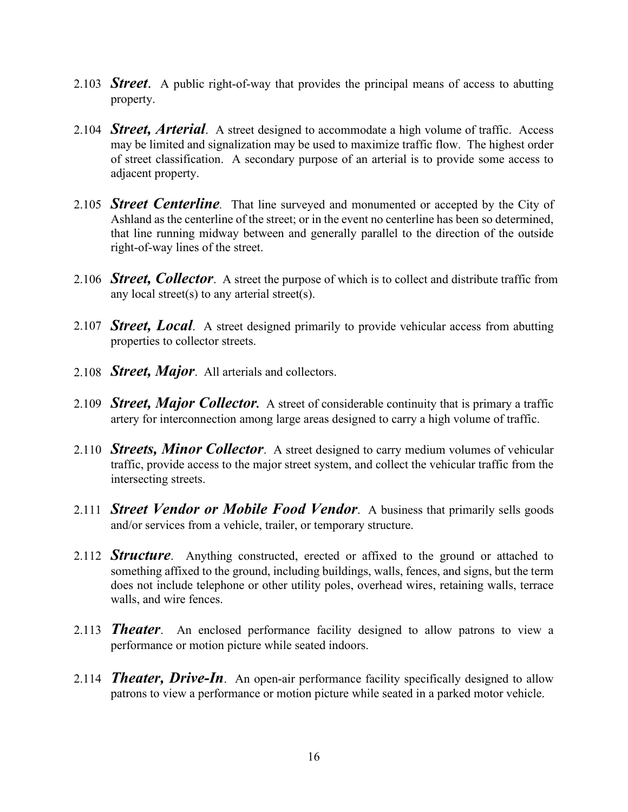- 2.103 *Street*. A public right-of-way that provides the principal means of access to abutting property.
- 2.104 *Street, Arterial*. A street designed to accommodate a high volume of traffic. Access may be limited and signalization may be used to maximize traffic flow. The highest order of street classification. A secondary purpose of an arterial is to provide some access to adjacent property.
- 2.105 *Street Centerline.* That line surveyed and monumented or accepted by the City of Ashland as the centerline of the street; or in the event no centerline has been so determined, that line running midway between and generally parallel to the direction of the outside right-of-way lines of the street.
- 2.106 *Street, Collector*. A street the purpose of which is to collect and distribute traffic from any local street(s) to any arterial street(s).
- 2.107 *Street, Local*. A street designed primarily to provide vehicular access from abutting properties to collector streets.
- 2.108 *Street, Major*. All arterials and collectors.
- 2.109 *Street, Major Collector.* A street of considerable continuity that is primary a traffic artery for interconnection among large areas designed to carry a high volume of traffic.
- 2.110 *Streets, Minor Collector*. A street designed to carry medium volumes of vehicular traffic, provide access to the major street system, and collect the vehicular traffic from the intersecting streets.
- 2.111 *Street Vendor or Mobile Food Vendor*. A business that primarily sells goods and/or services from a vehicle, trailer, or temporary structure.
- 2.112 **Structure**. Anything constructed, erected or affixed to the ground or attached to something affixed to the ground, including buildings, walls, fences, and signs, but the term does not include telephone or other utility poles, overhead wires, retaining walls, terrace walls, and wire fences.
- 2.113 *Theater*. An enclosed performance facility designed to allow patrons to view a performance or motion picture while seated indoors.
- 2.114 *Theater, Drive-In*. An open-air performance facility specifically designed to allow patrons to view a performance or motion picture while seated in a parked motor vehicle.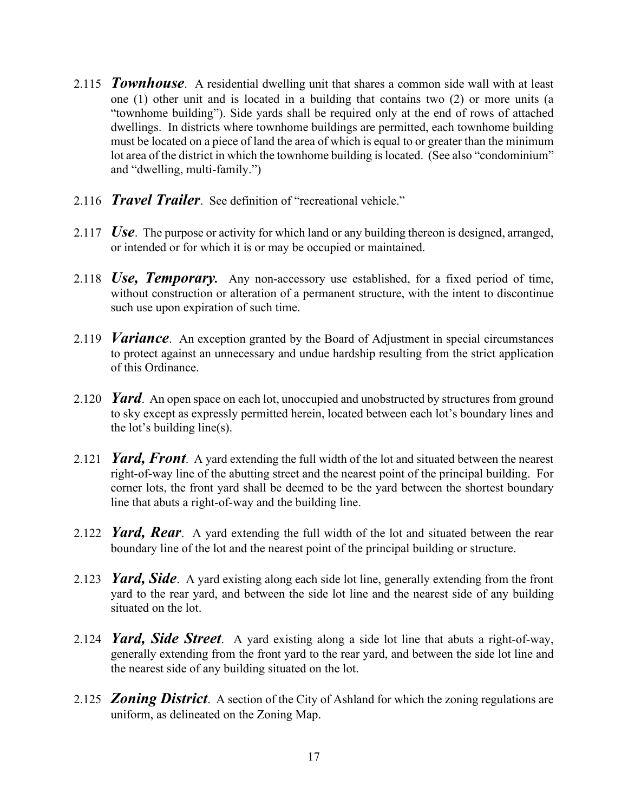- 2.115 *Townhouse*. A residential dwelling unit that shares a common side wall with at least one (1) other unit and is located in a building that contains two (2) or more units (a "townhome building"). Side yards shall be required only at the end of rows of attached dwellings. In districts where townhome buildings are permitted, each townhome building must be located on a piece of land the area of which is equal to or greater than the minimum lot area of the district in which the townhome building is located. (See also "condominium" and "dwelling, multi-family.")
- 2.116 *Travel Trailer*. See definition of "recreational vehicle."
- 2.117 *Use*. The purpose or activity for which land or any building thereon is designed, arranged, or intended or for which it is or may be occupied or maintained.
- 2.118 *Use, Temporary.* Any non-accessory use established, for a fixed period of time, without construction or alteration of a permanent structure, with the intent to discontinue such use upon expiration of such time.
- 2.119 *Variance*. An exception granted by the Board of Adjustment in special circumstances to protect against an unnecessary and undue hardship resulting from the strict application of this Ordinance.
- 2.120 *Yard*. An open space on each lot, unoccupied and unobstructed by structures from ground to sky except as expressly permitted herein, located between each lot's boundary lines and the lot's building line(s).
- 2.121 *Yard, Front*. A yard extending the full width of the lot and situated between the nearest right-of-way line of the abutting street and the nearest point of the principal building. For corner lots, the front yard shall be deemed to be the yard between the shortest boundary line that abuts a right-of-way and the building line.
- 2.122 *Yard, Rear*. A yard extending the full width of the lot and situated between the rear boundary line of the lot and the nearest point of the principal building or structure.
- 2.123 *Yard, Side*. A yard existing along each side lot line, generally extending from the front yard to the rear yard, and between the side lot line and the nearest side of any building situated on the lot.
- 2.124 *Yard, Side Street*. A yard existing along a side lot line that abuts a right-of-way, generally extending from the front yard to the rear yard, and between the side lot line and the nearest side of any building situated on the lot.
- 2.125 *Zoning District*. A section of the City of Ashland for which the zoning regulations are uniform, as delineated on the Zoning Map.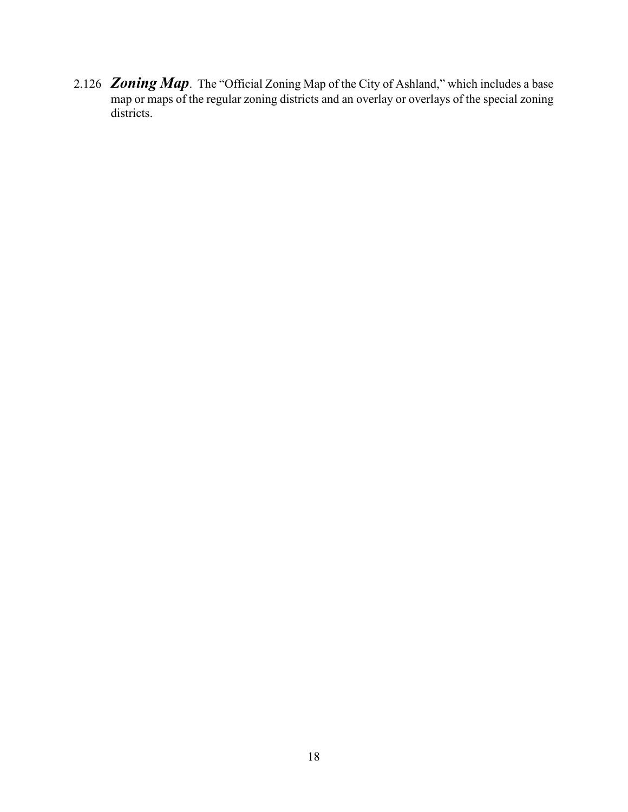2.126 *Zoning Map*. The "Official Zoning Map of the City of Ashland," which includes a base map or maps of the regular zoning districts and an overlay or overlays of the special zoning districts.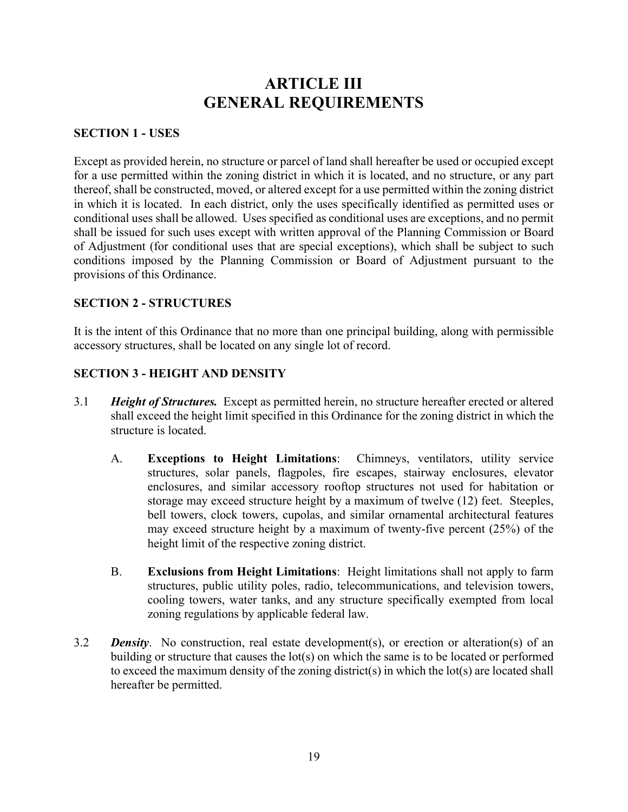# **ARTICLE III GENERAL REQUIREMENTS**

#### **SECTION 1 - USES**

Except as provided herein, no structure or parcel of land shall hereafter be used or occupied except for a use permitted within the zoning district in which it is located, and no structure, or any part thereof, shall be constructed, moved, or altered except for a use permitted within the zoning district in which it is located. In each district, only the uses specifically identified as permitted uses or conditional uses shall be allowed. Uses specified as conditional uses are exceptions, and no permit shall be issued for such uses except with written approval of the Planning Commission or Board of Adjustment (for conditional uses that are special exceptions), which shall be subject to such conditions imposed by the Planning Commission or Board of Adjustment pursuant to the provisions of this Ordinance.

#### **SECTION 2 - STRUCTURES**

It is the intent of this Ordinance that no more than one principal building, along with permissible accessory structures, shall be located on any single lot of record.

#### **SECTION 3 - HEIGHT AND DENSITY**

- 3.1 *Height of Structures.* Except as permitted herein, no structure hereafter erected or altered shall exceed the height limit specified in this Ordinance for the zoning district in which the structure is located.
	- A. **Exceptions to Height Limitations**: Chimneys, ventilators, utility service structures, solar panels, flagpoles, fire escapes, stairway enclosures, elevator enclosures, and similar accessory rooftop structures not used for habitation or storage may exceed structure height by a maximum of twelve (12) feet. Steeples, bell towers, clock towers, cupolas, and similar ornamental architectural features may exceed structure height by a maximum of twenty-five percent (25%) of the height limit of the respective zoning district.
	- B. **Exclusions from Height Limitations**: Height limitations shall not apply to farm structures, public utility poles, radio, telecommunications, and television towers, cooling towers, water tanks, and any structure specifically exempted from local zoning regulations by applicable federal law.
- 3.2 *Density*. No construction, real estate development(s), or erection or alteration(s) of an building or structure that causes the lot(s) on which the same is to be located or performed to exceed the maximum density of the zoning district(s) in which the lot(s) are located shall hereafter be permitted.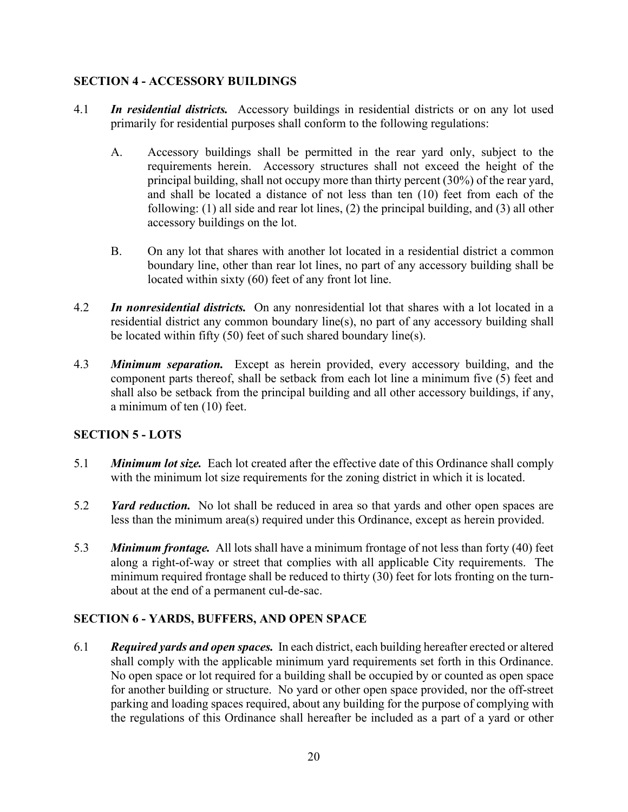#### **SECTION 4 - ACCESSORY BUILDINGS**

- 4.1 *In residential districts.* Accessory buildings in residential districts or on any lot used primarily for residential purposes shall conform to the following regulations:
	- A. Accessory buildings shall be permitted in the rear yard only, subject to the requirements herein. Accessory structures shall not exceed the height of the principal building, shall not occupy more than thirty percent (30%) of the rear yard, and shall be located a distance of not less than ten (10) feet from each of the following: (1) all side and rear lot lines, (2) the principal building, and (3) all other accessory buildings on the lot.
	- B. On any lot that shares with another lot located in a residential district a common boundary line, other than rear lot lines, no part of any accessory building shall be located within sixty (60) feet of any front lot line.
- 4.2 *In nonresidential districts.* On any nonresidential lot that shares with a lot located in a residential district any common boundary line(s), no part of any accessory building shall be located within fifty (50) feet of such shared boundary line(s).
- 4.3 *Minimum separation.* Except as herein provided, every accessory building, and the component parts thereof, shall be setback from each lot line a minimum five (5) feet and shall also be setback from the principal building and all other accessory buildings, if any, a minimum of ten (10) feet.

#### **SECTION 5 - LOTS**

- 5.1 *Minimum lot size.* Each lot created after the effective date of this Ordinance shall comply with the minimum lot size requirements for the zoning district in which it is located.
- 5.2 *Yard reduction.* No lot shall be reduced in area so that yards and other open spaces are less than the minimum area(s) required under this Ordinance, except as herein provided.
- 5.3 *Minimum frontage.* All lots shall have a minimum frontage of not less than forty (40) feet along a right-of-way or street that complies with all applicable City requirements. The minimum required frontage shall be reduced to thirty (30) feet for lots fronting on the turnabout at the end of a permanent cul-de-sac.

#### **SECTION 6 - YARDS, BUFFERS, AND OPEN SPACE**

6.1 *Required yards and open spaces.* In each district, each building hereafter erected or altered shall comply with the applicable minimum yard requirements set forth in this Ordinance. No open space or lot required for a building shall be occupied by or counted as open space for another building or structure. No yard or other open space provided, nor the off-street parking and loading spaces required, about any building for the purpose of complying with the regulations of this Ordinance shall hereafter be included as a part of a yard or other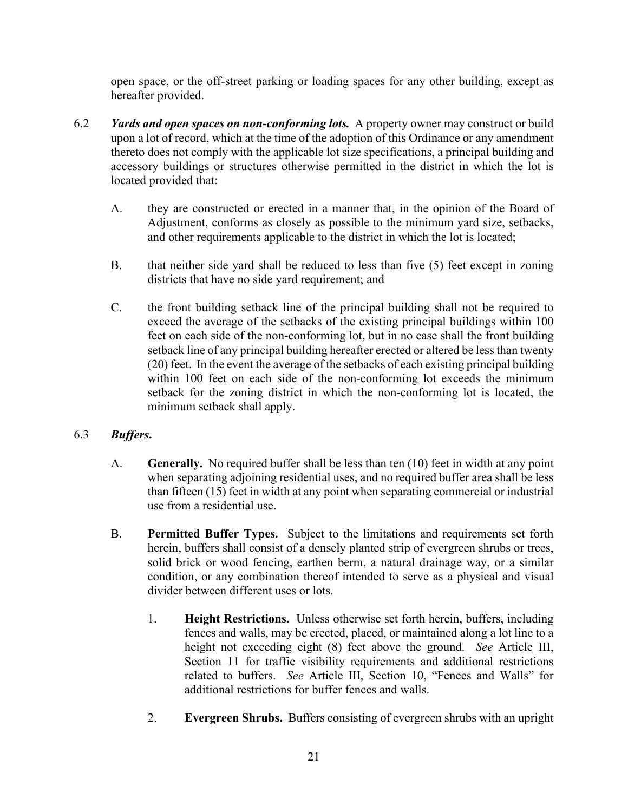open space, or the off-street parking or loading spaces for any other building, except as hereafter provided.

- 6.2 *Yards and open spaces on non-conforming lots.* A property owner may construct or build upon a lot of record, which at the time of the adoption of this Ordinance or any amendment thereto does not comply with the applicable lot size specifications, a principal building and accessory buildings or structures otherwise permitted in the district in which the lot is located provided that:
	- A. they are constructed or erected in a manner that, in the opinion of the Board of Adjustment, conforms as closely as possible to the minimum yard size, setbacks, and other requirements applicable to the district in which the lot is located;
	- B. that neither side yard shall be reduced to less than five (5) feet except in zoning districts that have no side yard requirement; and
	- C. the front building setback line of the principal building shall not be required to exceed the average of the setbacks of the existing principal buildings within 100 feet on each side of the non-conforming lot, but in no case shall the front building setback line of any principal building hereafter erected or altered be less than twenty (20) feet. In the event the average of the setbacks of each existing principal building within 100 feet on each side of the non-conforming lot exceeds the minimum setback for the zoning district in which the non-conforming lot is located, the minimum setback shall apply.

## 6.3 *Buffers***.**

- A. **Generally.** No required buffer shall be less than ten (10) feet in width at any point when separating adjoining residential uses, and no required buffer area shall be less than fifteen (15) feet in width at any point when separating commercial or industrial use from a residential use.
- B. **Permitted Buffer Types.** Subject to the limitations and requirements set forth herein, buffers shall consist of a densely planted strip of evergreen shrubs or trees, solid brick or wood fencing, earthen berm, a natural drainage way, or a similar condition, or any combination thereof intended to serve as a physical and visual divider between different uses or lots.
	- 1. **Height Restrictions.** Unless otherwise set forth herein, buffers, including fences and walls, may be erected, placed, or maintained along a lot line to a height not exceeding eight (8) feet above the ground. *See* Article III, Section 11 for traffic visibility requirements and additional restrictions related to buffers. *See* Article III, Section 10, "Fences and Walls" for additional restrictions for buffer fences and walls.
	- 2. **Evergreen Shrubs.** Buffers consisting of evergreen shrubs with an upright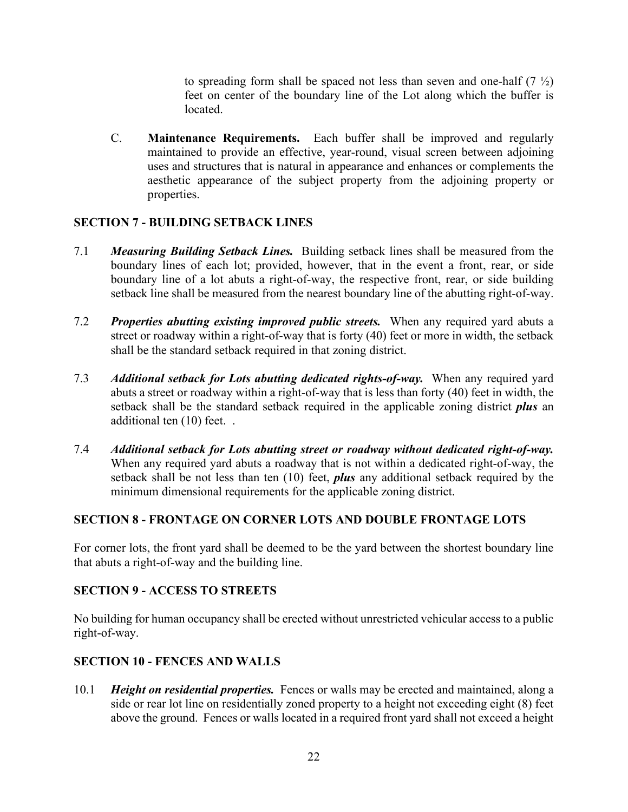to spreading form shall be spaced not less than seven and one-half  $(7 \frac{1}{2})$ feet on center of the boundary line of the Lot along which the buffer is located.

C. **Maintenance Requirements.** Each buffer shall be improved and regularly maintained to provide an effective, year-round, visual screen between adjoining uses and structures that is natural in appearance and enhances or complements the aesthetic appearance of the subject property from the adjoining property or properties.

#### **SECTION 7 - BUILDING SETBACK LINES**

- 7.1 *Measuring Building Setback Lines.* Building setback lines shall be measured from the boundary lines of each lot; provided, however, that in the event a front, rear, or side boundary line of a lot abuts a right-of-way, the respective front, rear, or side building setback line shall be measured from the nearest boundary line of the abutting right-of-way.
- 7.2 *Properties abutting existing improved public streets.* When any required yard abuts a street or roadway within a right-of-way that is forty (40) feet or more in width, the setback shall be the standard setback required in that zoning district.
- 7.3 *Additional setback for Lots abutting dedicated rights-of-way.* When any required yard abuts a street or roadway within a right-of-way that is less than forty (40) feet in width, the setback shall be the standard setback required in the applicable zoning district *plus* an additional ten (10) feet. .
- 7.4 *Additional setback for Lots abutting street or roadway without dedicated right-of-way.* When any required yard abuts a roadway that is not within a dedicated right-of-way, the setback shall be not less than ten (10) feet, *plus* any additional setback required by the minimum dimensional requirements for the applicable zoning district.

#### **SECTION 8 - FRONTAGE ON CORNER LOTS AND DOUBLE FRONTAGE LOTS**

For corner lots, the front yard shall be deemed to be the yard between the shortest boundary line that abuts a right-of-way and the building line.

#### **SECTION 9 - ACCESS TO STREETS**

No building for human occupancy shall be erected without unrestricted vehicular access to a public right-of-way.

#### **SECTION 10 - FENCES AND WALLS**

10.1 *Height on residential properties.* Fences or walls may be erected and maintained, along a side or rear lot line on residentially zoned property to a height not exceeding eight (8) feet above the ground. Fences or walls located in a required front yard shall not exceed a height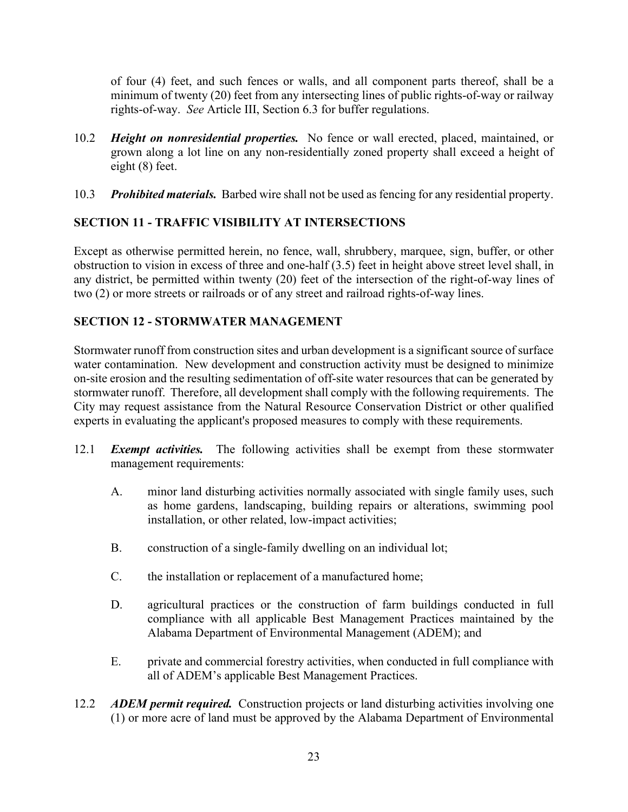of four (4) feet, and such fences or walls, and all component parts thereof, shall be a minimum of twenty (20) feet from any intersecting lines of public rights-of-way or railway rights-of-way. *See* Article III, Section 6.3 for buffer regulations.

- 10.2 *Height on nonresidential properties.* No fence or wall erected, placed, maintained, or grown along a lot line on any non-residentially zoned property shall exceed a height of eight (8) feet.
- 10.3 *Prohibited materials.* Barbed wire shall not be used as fencing for any residential property.

## **SECTION 11 - TRAFFIC VISIBILITY AT INTERSECTIONS**

Except as otherwise permitted herein, no fence, wall, shrubbery, marquee, sign, buffer, or other obstruction to vision in excess of three and one-half (3.5) feet in height above street level shall, in any district, be permitted within twenty (20) feet of the intersection of the right-of-way lines of two (2) or more streets or railroads or of any street and railroad rights-of-way lines.

## **SECTION 12 - STORMWATER MANAGEMENT**

Stormwater runoff from construction sites and urban development is a significant source of surface water contamination. New development and construction activity must be designed to minimize on-site erosion and the resulting sedimentation of off-site water resources that can be generated by stormwater runoff. Therefore, all development shall comply with the following requirements. The City may request assistance from the Natural Resource Conservation District or other qualified experts in evaluating the applicant's proposed measures to comply with these requirements.

- 12.1 *Exempt activities.* The following activities shall be exempt from these stormwater management requirements:
	- A. minor land disturbing activities normally associated with single family uses, such as home gardens, landscaping, building repairs or alterations, swimming pool installation, or other related, low-impact activities;
	- B. construction of a single-family dwelling on an individual lot;
	- C. the installation or replacement of a manufactured home;
	- D. agricultural practices or the construction of farm buildings conducted in full compliance with all applicable Best Management Practices maintained by the Alabama Department of Environmental Management (ADEM); and
	- E. private and commercial forestry activities, when conducted in full compliance with all of ADEM's applicable Best Management Practices.
- 12.2 *ADEM permit required.* Construction projects or land disturbing activities involving one (1) or more acre of land must be approved by the Alabama Department of Environmental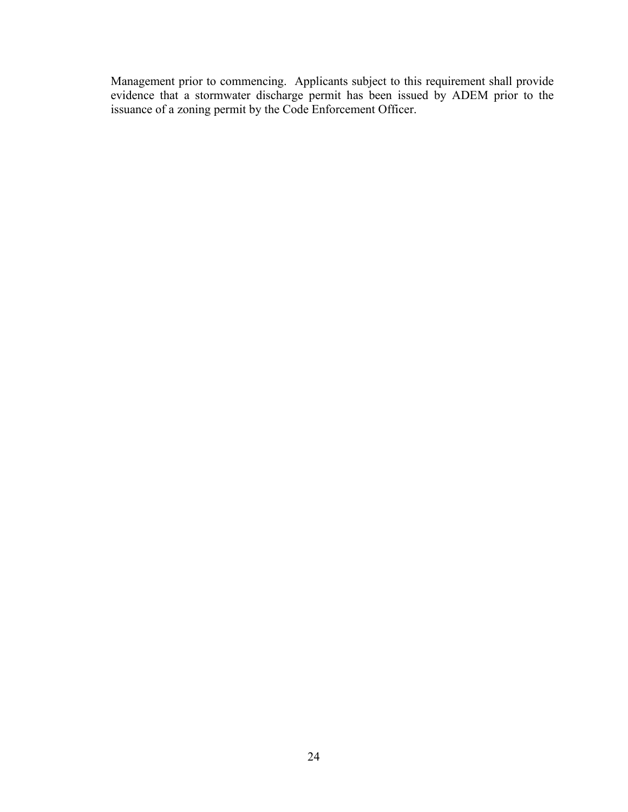Management prior to commencing. Applicants subject to this requirement shall provide evidence that a stormwater discharge permit has been issued by ADEM prior to the issuance of a zoning permit by the Code Enforcement Officer.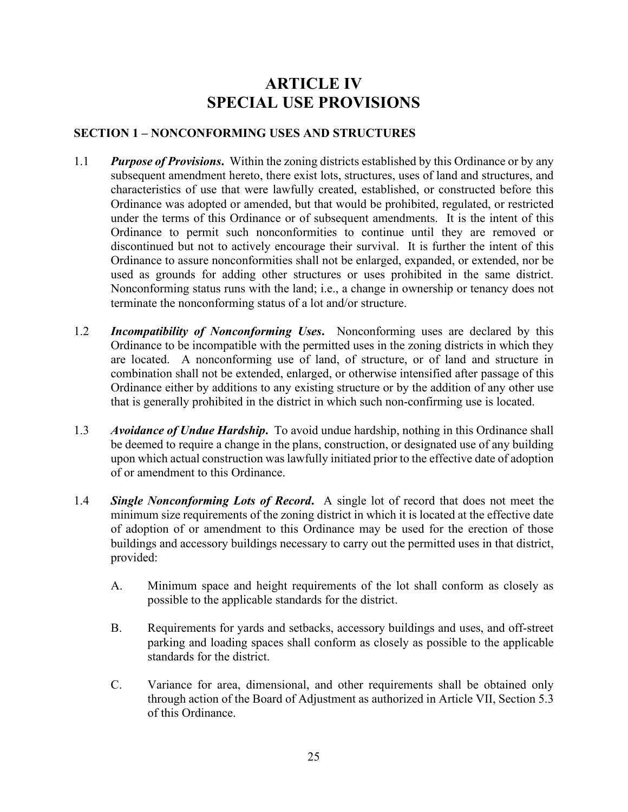# **ARTICLE IV SPECIAL USE PROVISIONS**

#### **SECTION 1 – NONCONFORMING USES AND STRUCTURES**

- 1.1 *Purpose of Provisions***.** Within the zoning districts established by this Ordinance or by any subsequent amendment hereto, there exist lots, structures, uses of land and structures, and characteristics of use that were lawfully created, established, or constructed before this Ordinance was adopted or amended, but that would be prohibited, regulated, or restricted under the terms of this Ordinance or of subsequent amendments. It is the intent of this Ordinance to permit such nonconformities to continue until they are removed or discontinued but not to actively encourage their survival. It is further the intent of this Ordinance to assure nonconformities shall not be enlarged, expanded, or extended, nor be used as grounds for adding other structures or uses prohibited in the same district. Nonconforming status runs with the land; i.e., a change in ownership or tenancy does not terminate the nonconforming status of a lot and/or structure.
- 1.2 *Incompatibility of Nonconforming Uses***.** Nonconforming uses are declared by this Ordinance to be incompatible with the permitted uses in the zoning districts in which they are located. A nonconforming use of land, of structure, or of land and structure in combination shall not be extended, enlarged, or otherwise intensified after passage of this Ordinance either by additions to any existing structure or by the addition of any other use that is generally prohibited in the district in which such non-confirming use is located.
- 1.3 *Avoidance of Undue Hardship***.** To avoid undue hardship, nothing in this Ordinance shall be deemed to require a change in the plans, construction, or designated use of any building upon which actual construction was lawfully initiated prior to the effective date of adoption of or amendment to this Ordinance.
- 1.4 *Single Nonconforming Lots of Record***.** A single lot of record that does not meet the minimum size requirements of the zoning district in which it is located at the effective date of adoption of or amendment to this Ordinance may be used for the erection of those buildings and accessory buildings necessary to carry out the permitted uses in that district, provided:
	- A. Minimum space and height requirements of the lot shall conform as closely as possible to the applicable standards for the district.
	- B. Requirements for yards and setbacks, accessory buildings and uses, and off-street parking and loading spaces shall conform as closely as possible to the applicable standards for the district.
	- C. Variance for area, dimensional, and other requirements shall be obtained only through action of the Board of Adjustment as authorized in Article VII, Section 5.3 of this Ordinance.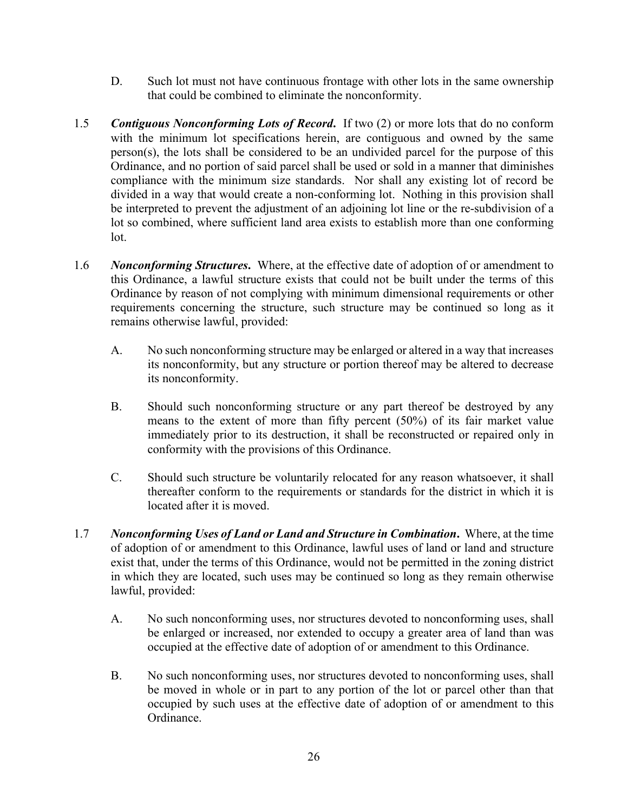- D. Such lot must not have continuous frontage with other lots in the same ownership that could be combined to eliminate the nonconformity.
- 1.5 *Contiguous Nonconforming Lots of Record***.** If two (2) or more lots that do no conform with the minimum lot specifications herein, are contiguous and owned by the same person(s), the lots shall be considered to be an undivided parcel for the purpose of this Ordinance, and no portion of said parcel shall be used or sold in a manner that diminishes compliance with the minimum size standards. Nor shall any existing lot of record be divided in a way that would create a non-conforming lot. Nothing in this provision shall be interpreted to prevent the adjustment of an adjoining lot line or the re-subdivision of a lot so combined, where sufficient land area exists to establish more than one conforming lot.
- 1.6 *Nonconforming Structures***.** Where, at the effective date of adoption of or amendment to this Ordinance, a lawful structure exists that could not be built under the terms of this Ordinance by reason of not complying with minimum dimensional requirements or other requirements concerning the structure, such structure may be continued so long as it remains otherwise lawful, provided:
	- A. No such nonconforming structure may be enlarged or altered in a way that increases its nonconformity, but any structure or portion thereof may be altered to decrease its nonconformity.
	- B. Should such nonconforming structure or any part thereof be destroyed by any means to the extent of more than fifty percent (50%) of its fair market value immediately prior to its destruction, it shall be reconstructed or repaired only in conformity with the provisions of this Ordinance.
	- C. Should such structure be voluntarily relocated for any reason whatsoever, it shall thereafter conform to the requirements or standards for the district in which it is located after it is moved.
- 1.7 *Nonconforming Uses of Land or Land and Structure in Combination***.** Where, at the time of adoption of or amendment to this Ordinance, lawful uses of land or land and structure exist that, under the terms of this Ordinance, would not be permitted in the zoning district in which they are located, such uses may be continued so long as they remain otherwise lawful, provided:
	- A. No such nonconforming uses, nor structures devoted to nonconforming uses, shall be enlarged or increased, nor extended to occupy a greater area of land than was occupied at the effective date of adoption of or amendment to this Ordinance.
	- B. No such nonconforming uses, nor structures devoted to nonconforming uses, shall be moved in whole or in part to any portion of the lot or parcel other than that occupied by such uses at the effective date of adoption of or amendment to this Ordinance.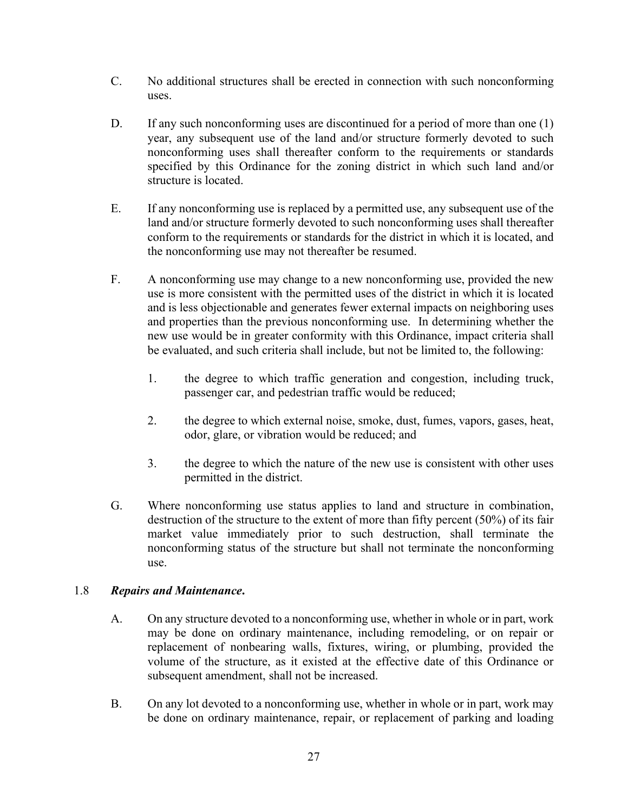- C. No additional structures shall be erected in connection with such nonconforming uses.
- D. If any such nonconforming uses are discontinued for a period of more than one (1) year, any subsequent use of the land and/or structure formerly devoted to such nonconforming uses shall thereafter conform to the requirements or standards specified by this Ordinance for the zoning district in which such land and/or structure is located.
- E. If any nonconforming use is replaced by a permitted use, any subsequent use of the land and/or structure formerly devoted to such nonconforming uses shall thereafter conform to the requirements or standards for the district in which it is located, and the nonconforming use may not thereafter be resumed.
- F. A nonconforming use may change to a new nonconforming use, provided the new use is more consistent with the permitted uses of the district in which it is located and is less objectionable and generates fewer external impacts on neighboring uses and properties than the previous nonconforming use. In determining whether the new use would be in greater conformity with this Ordinance, impact criteria shall be evaluated, and such criteria shall include, but not be limited to, the following:
	- 1. the degree to which traffic generation and congestion, including truck, passenger car, and pedestrian traffic would be reduced;
	- 2. the degree to which external noise, smoke, dust, fumes, vapors, gases, heat, odor, glare, or vibration would be reduced; and
	- 3. the degree to which the nature of the new use is consistent with other uses permitted in the district.
- G. Where nonconforming use status applies to land and structure in combination, destruction of the structure to the extent of more than fifty percent (50%) of its fair market value immediately prior to such destruction, shall terminate the nonconforming status of the structure but shall not terminate the nonconforming use.

#### 1.8 *Repairs and Maintenance***.**

- A. On any structure devoted to a nonconforming use, whether in whole or in part, work may be done on ordinary maintenance, including remodeling, or on repair or replacement of nonbearing walls, fixtures, wiring, or plumbing, provided the volume of the structure, as it existed at the effective date of this Ordinance or subsequent amendment, shall not be increased.
- B. On any lot devoted to a nonconforming use, whether in whole or in part, work may be done on ordinary maintenance, repair, or replacement of parking and loading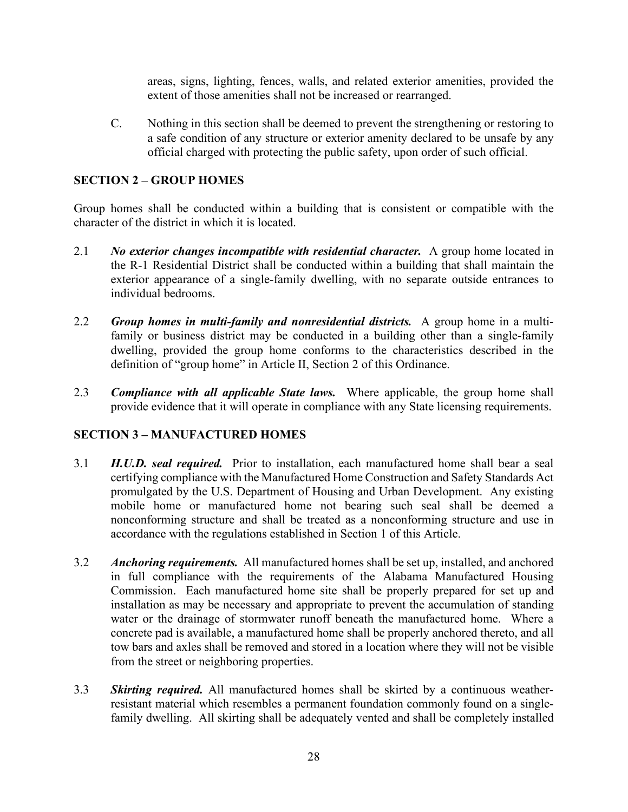areas, signs, lighting, fences, walls, and related exterior amenities, provided the extent of those amenities shall not be increased or rearranged.

C. Nothing in this section shall be deemed to prevent the strengthening or restoring to a safe condition of any structure or exterior amenity declared to be unsafe by any official charged with protecting the public safety, upon order of such official.

#### **SECTION 2 – GROUP HOMES**

Group homes shall be conducted within a building that is consistent or compatible with the character of the district in which it is located.

- 2.1 *No exterior changes incompatible with residential character.* A group home located in the R-1 Residential District shall be conducted within a building that shall maintain the exterior appearance of a single-family dwelling, with no separate outside entrances to individual bedrooms.
- 2.2 *Group homes in multi-family and nonresidential districts.* A group home in a multifamily or business district may be conducted in a building other than a single-family dwelling, provided the group home conforms to the characteristics described in the definition of "group home" in Article II, Section 2 of this Ordinance.
- 2.3 *Compliance with all applicable State laws.* Where applicable, the group home shall provide evidence that it will operate in compliance with any State licensing requirements.

#### **SECTION 3 – MANUFACTURED HOMES**

- 3.1 *H.U.D. seal required.* Prior to installation, each manufactured home shall bear a seal certifying compliance with the Manufactured Home Construction and Safety Standards Act promulgated by the U.S. Department of Housing and Urban Development. Any existing mobile home or manufactured home not bearing such seal shall be deemed a nonconforming structure and shall be treated as a nonconforming structure and use in accordance with the regulations established in Section 1 of this Article.
- 3.2 *Anchoring requirements.* All manufactured homes shall be set up, installed, and anchored in full compliance with the requirements of the Alabama Manufactured Housing Commission. Each manufactured home site shall be properly prepared for set up and installation as may be necessary and appropriate to prevent the accumulation of standing water or the drainage of stormwater runoff beneath the manufactured home. Where a concrete pad is available, a manufactured home shall be properly anchored thereto, and all tow bars and axles shall be removed and stored in a location where they will not be visible from the street or neighboring properties.
- 3.3 *Skirting required.* All manufactured homes shall be skirted by a continuous weatherresistant material which resembles a permanent foundation commonly found on a singlefamily dwelling. All skirting shall be adequately vented and shall be completely installed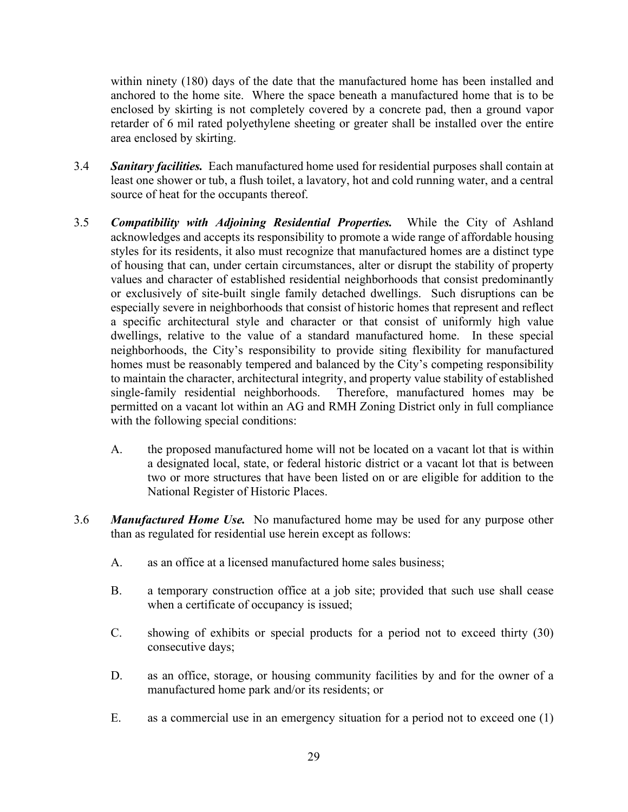within ninety (180) days of the date that the manufactured home has been installed and anchored to the home site. Where the space beneath a manufactured home that is to be enclosed by skirting is not completely covered by a concrete pad, then a ground vapor retarder of 6 mil rated polyethylene sheeting or greater shall be installed over the entire area enclosed by skirting.

- 3.4 *Sanitary facilities.* Each manufactured home used for residential purposes shall contain at least one shower or tub, a flush toilet, a lavatory, hot and cold running water, and a central source of heat for the occupants thereof.
- 3.5 *Compatibility with Adjoining Residential Properties.* While the City of Ashland acknowledges and accepts its responsibility to promote a wide range of affordable housing styles for its residents, it also must recognize that manufactured homes are a distinct type of housing that can, under certain circumstances, alter or disrupt the stability of property values and character of established residential neighborhoods that consist predominantly or exclusively of site-built single family detached dwellings. Such disruptions can be especially severe in neighborhoods that consist of historic homes that represent and reflect a specific architectural style and character or that consist of uniformly high value dwellings, relative to the value of a standard manufactured home. In these special neighborhoods, the City's responsibility to provide siting flexibility for manufactured homes must be reasonably tempered and balanced by the City's competing responsibility to maintain the character, architectural integrity, and property value stability of established single-family residential neighborhoods. Therefore, manufactured homes may be permitted on a vacant lot within an AG and RMH Zoning District only in full compliance with the following special conditions:
	- A. the proposed manufactured home will not be located on a vacant lot that is within a designated local, state, or federal historic district or a vacant lot that is between two or more structures that have been listed on or are eligible for addition to the National Register of Historic Places.
- 3.6 *Manufactured Home Use.* No manufactured home may be used for any purpose other than as regulated for residential use herein except as follows:
	- A. as an office at a licensed manufactured home sales business;
	- B. a temporary construction office at a job site; provided that such use shall cease when a certificate of occupancy is issued;
	- C. showing of exhibits or special products for a period not to exceed thirty (30) consecutive days;
	- D. as an office, storage, or housing community facilities by and for the owner of a manufactured home park and/or its residents; or
	- E. as a commercial use in an emergency situation for a period not to exceed one (1)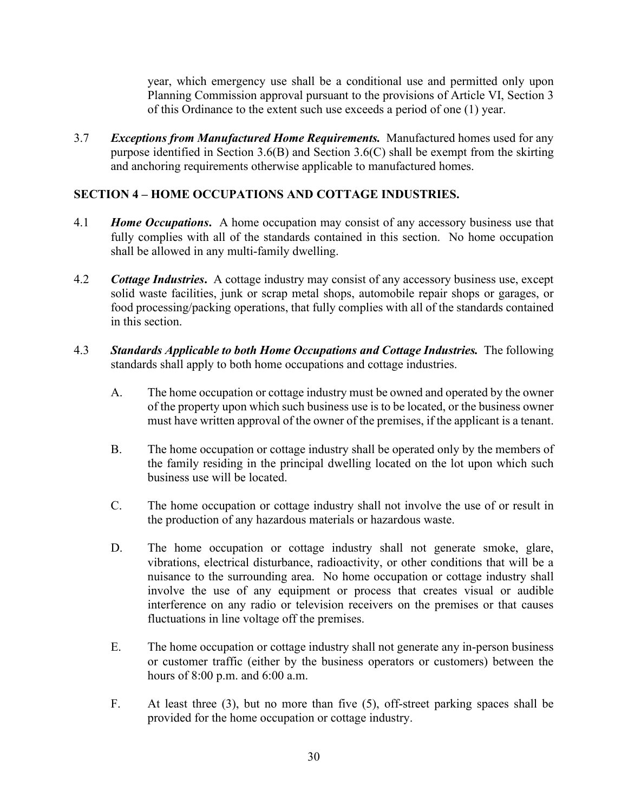year, which emergency use shall be a conditional use and permitted only upon Planning Commission approval pursuant to the provisions of Article VI, Section 3 of this Ordinance to the extent such use exceeds a period of one (1) year.

3.7 *Exceptions from Manufactured Home Requirements.* Manufactured homes used for any purpose identified in Section 3.6(B) and Section 3.6(C) shall be exempt from the skirting and anchoring requirements otherwise applicable to manufactured homes.

#### **SECTION 4 – HOME OCCUPATIONS AND COTTAGE INDUSTRIES.**

- 4.1 *Home Occupations***.** A home occupation may consist of any accessory business use that fully complies with all of the standards contained in this section. No home occupation shall be allowed in any multi-family dwelling.
- 4.2 *Cottage Industries***.** A cottage industry may consist of any accessory business use, except solid waste facilities, junk or scrap metal shops, automobile repair shops or garages, or food processing/packing operations, that fully complies with all of the standards contained in this section.
- 4.3 *Standards Applicable to both Home Occupations and Cottage Industries.* The following standards shall apply to both home occupations and cottage industries.
	- A. The home occupation or cottage industry must be owned and operated by the owner of the property upon which such business use is to be located, or the business owner must have written approval of the owner of the premises, if the applicant is a tenant.
	- B. The home occupation or cottage industry shall be operated only by the members of the family residing in the principal dwelling located on the lot upon which such business use will be located.
	- C. The home occupation or cottage industry shall not involve the use of or result in the production of any hazardous materials or hazardous waste.
	- D. The home occupation or cottage industry shall not generate smoke, glare, vibrations, electrical disturbance, radioactivity, or other conditions that will be a nuisance to the surrounding area. No home occupation or cottage industry shall involve the use of any equipment or process that creates visual or audible interference on any radio or television receivers on the premises or that causes fluctuations in line voltage off the premises.
	- E. The home occupation or cottage industry shall not generate any in-person business or customer traffic (either by the business operators or customers) between the hours of 8:00 p.m. and 6:00 a.m.
	- F. At least three (3), but no more than five (5), off-street parking spaces shall be provided for the home occupation or cottage industry.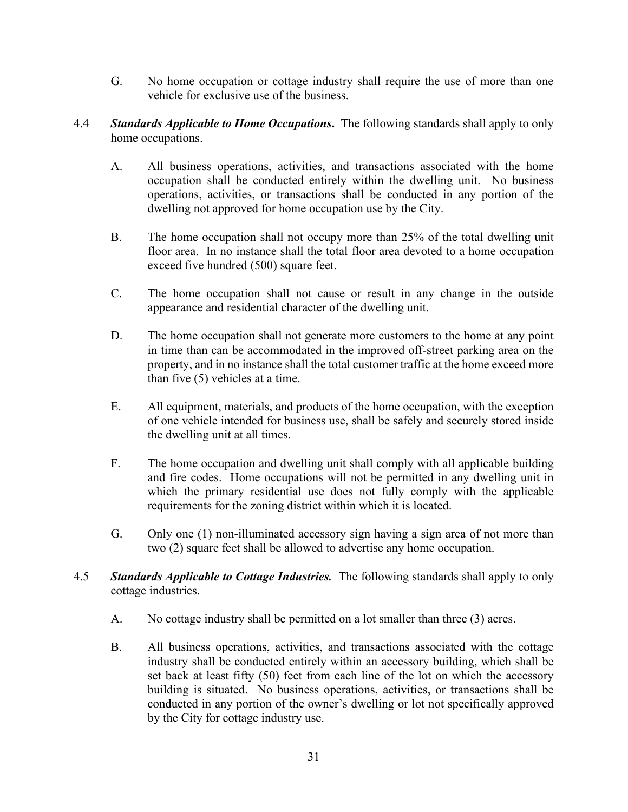- G. No home occupation or cottage industry shall require the use of more than one vehicle for exclusive use of the business.
- 4.4 *Standards Applicable to Home Occupations***.** The following standards shall apply to only home occupations.
	- A. All business operations, activities, and transactions associated with the home occupation shall be conducted entirely within the dwelling unit. No business operations, activities, or transactions shall be conducted in any portion of the dwelling not approved for home occupation use by the City.
	- B. The home occupation shall not occupy more than 25% of the total dwelling unit floor area. In no instance shall the total floor area devoted to a home occupation exceed five hundred (500) square feet.
	- C. The home occupation shall not cause or result in any change in the outside appearance and residential character of the dwelling unit.
	- D. The home occupation shall not generate more customers to the home at any point in time than can be accommodated in the improved off-street parking area on the property, and in no instance shall the total customer traffic at the home exceed more than five (5) vehicles at a time.
	- E. All equipment, materials, and products of the home occupation, with the exception of one vehicle intended for business use, shall be safely and securely stored inside the dwelling unit at all times.
	- F. The home occupation and dwelling unit shall comply with all applicable building and fire codes. Home occupations will not be permitted in any dwelling unit in which the primary residential use does not fully comply with the applicable requirements for the zoning district within which it is located.
	- G. Only one (1) non-illuminated accessory sign having a sign area of not more than two (2) square feet shall be allowed to advertise any home occupation.
- 4.5 *Standards Applicable to Cottage Industries.* The following standards shall apply to only cottage industries.
	- A. No cottage industry shall be permitted on a lot smaller than three (3) acres.
	- B. All business operations, activities, and transactions associated with the cottage industry shall be conducted entirely within an accessory building, which shall be set back at least fifty (50) feet from each line of the lot on which the accessory building is situated. No business operations, activities, or transactions shall be conducted in any portion of the owner's dwelling or lot not specifically approved by the City for cottage industry use.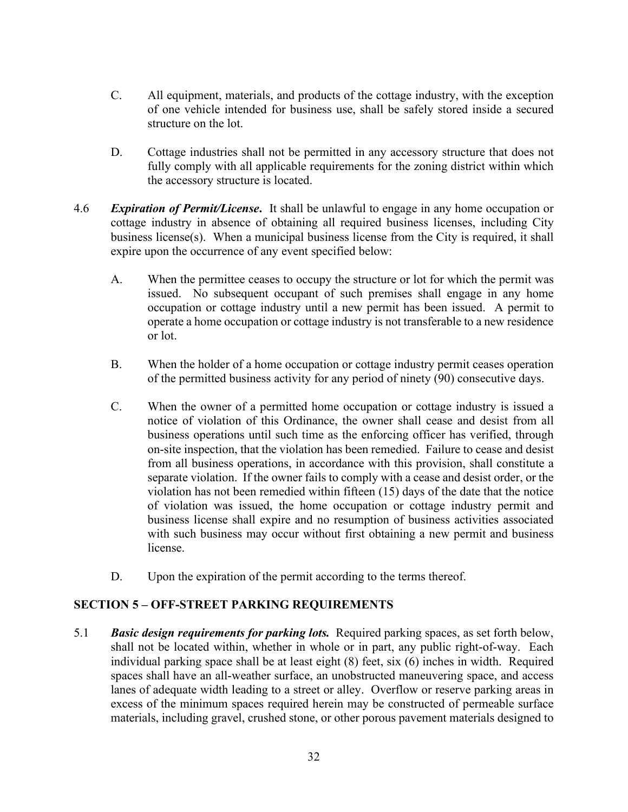- C. All equipment, materials, and products of the cottage industry, with the exception of one vehicle intended for business use, shall be safely stored inside a secured structure on the lot.
- D. Cottage industries shall not be permitted in any accessory structure that does not fully comply with all applicable requirements for the zoning district within which the accessory structure is located.
- 4.6 *Expiration of Permit/License***.** It shall be unlawful to engage in any home occupation or cottage industry in absence of obtaining all required business licenses, including City business license(s). When a municipal business license from the City is required, it shall expire upon the occurrence of any event specified below:
	- A. When the permittee ceases to occupy the structure or lot for which the permit was issued. No subsequent occupant of such premises shall engage in any home occupation or cottage industry until a new permit has been issued. A permit to operate a home occupation or cottage industry is not transferable to a new residence or lot.
	- B. When the holder of a home occupation or cottage industry permit ceases operation of the permitted business activity for any period of ninety (90) consecutive days.
	- C. When the owner of a permitted home occupation or cottage industry is issued a notice of violation of this Ordinance, the owner shall cease and desist from all business operations until such time as the enforcing officer has verified, through on-site inspection, that the violation has been remedied. Failure to cease and desist from all business operations, in accordance with this provision, shall constitute a separate violation. If the owner fails to comply with a cease and desist order, or the violation has not been remedied within fifteen (15) days of the date that the notice of violation was issued, the home occupation or cottage industry permit and business license shall expire and no resumption of business activities associated with such business may occur without first obtaining a new permit and business license.
	- D. Upon the expiration of the permit according to the terms thereof.

### **SECTION 5 – OFF-STREET PARKING REQUIREMENTS**

5.1 *Basic design requirements for parking lots.* Required parking spaces, as set forth below, shall not be located within, whether in whole or in part, any public right-of-way. Each individual parking space shall be at least eight (8) feet, six (6) inches in width. Required spaces shall have an all-weather surface, an unobstructed maneuvering space, and access lanes of adequate width leading to a street or alley. Overflow or reserve parking areas in excess of the minimum spaces required herein may be constructed of permeable surface materials, including gravel, crushed stone, or other porous pavement materials designed to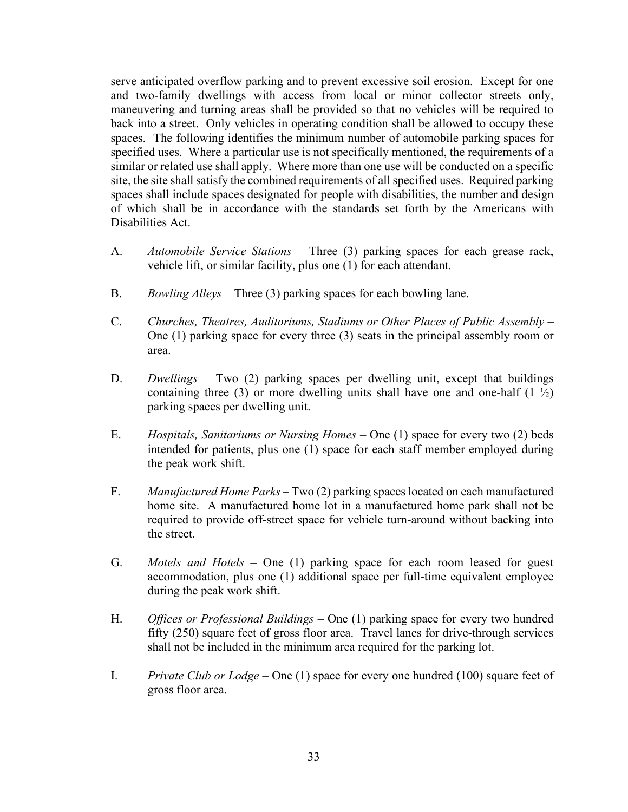serve anticipated overflow parking and to prevent excessive soil erosion. Except for one and two-family dwellings with access from local or minor collector streets only, maneuvering and turning areas shall be provided so that no vehicles will be required to back into a street. Only vehicles in operating condition shall be allowed to occupy these spaces. The following identifies the minimum number of automobile parking spaces for specified uses. Where a particular use is not specifically mentioned, the requirements of a similar or related use shall apply. Where more than one use will be conducted on a specific site, the site shall satisfy the combined requirements of all specified uses. Required parking spaces shall include spaces designated for people with disabilities, the number and design of which shall be in accordance with the standards set forth by the Americans with Disabilities Act.

- A. *Automobile Service Stations* Three (3) parking spaces for each grease rack, vehicle lift, or similar facility, plus one (1) for each attendant.
- B. *Bowling Alleys* Three (3) parking spaces for each bowling lane.
- C. *Churches, Theatres, Auditoriums, Stadiums or Other Places of Public Assembly* One (1) parking space for every three (3) seats in the principal assembly room or area.
- D. *Dwellings* Two (2) parking spaces per dwelling unit, except that buildings containing three (3) or more dwelling units shall have one and one-half  $(1 \frac{1}{2})$ parking spaces per dwelling unit.
- E. *Hospitals, Sanitariums or Nursing Homes* One (1) space for every two (2) beds intended for patients, plus one (1) space for each staff member employed during the peak work shift.
- F. *Manufactured Home Parks* Two (2) parking spaces located on each manufactured home site. A manufactured home lot in a manufactured home park shall not be required to provide off-street space for vehicle turn-around without backing into the street.
- G. *Motels and Hotels* One (1) parking space for each room leased for guest accommodation, plus one (1) additional space per full-time equivalent employee during the peak work shift.
- H. *Offices or Professional Buildings* One (1) parking space for every two hundred fifty (250) square feet of gross floor area. Travel lanes for drive-through services shall not be included in the minimum area required for the parking lot.
- I. *Private Club or Lodge* One (1) space for every one hundred (100) square feet of gross floor area.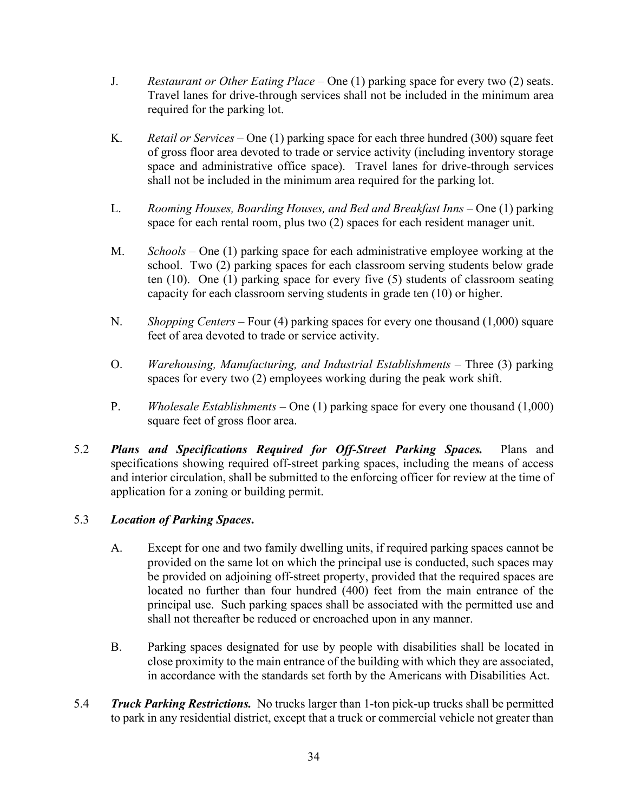- J. *Restaurant or Other Eating Place* One (1) parking space for every two (2) seats. Travel lanes for drive-through services shall not be included in the minimum area required for the parking lot.
- K. *Retail or Services* One (1) parking space for each three hundred (300) square feet of gross floor area devoted to trade or service activity (including inventory storage space and administrative office space). Travel lanes for drive-through services shall not be included in the minimum area required for the parking lot.
- L. *Rooming Houses, Boarding Houses, and Bed and Breakfast Inns* One (1) parking space for each rental room, plus two (2) spaces for each resident manager unit.
- M. *Schools* One (1) parking space for each administrative employee working at the school. Two (2) parking spaces for each classroom serving students below grade ten (10). One (1) parking space for every five (5) students of classroom seating capacity for each classroom serving students in grade ten (10) or higher.
- N. *Shopping Centers* Four (4) parking spaces for every one thousand (1,000) square feet of area devoted to trade or service activity.
- O. *Warehousing, Manufacturing, and Industrial Establishments* Three (3) parking spaces for every two (2) employees working during the peak work shift.
- P. *Wholesale Establishments* One (1) parking space for every one thousand (1,000) square feet of gross floor area.
- 5.2 *Plans and Specifications Required for Off-Street Parking Spaces.* Plans and specifications showing required off-street parking spaces, including the means of access and interior circulation, shall be submitted to the enforcing officer for review at the time of application for a zoning or building permit.

# 5.3 *Location of Parking Spaces***.**

- A. Except for one and two family dwelling units, if required parking spaces cannot be provided on the same lot on which the principal use is conducted, such spaces may be provided on adjoining off-street property, provided that the required spaces are located no further than four hundred (400) feet from the main entrance of the principal use. Such parking spaces shall be associated with the permitted use and shall not thereafter be reduced or encroached upon in any manner.
- B. Parking spaces designated for use by people with disabilities shall be located in close proximity to the main entrance of the building with which they are associated, in accordance with the standards set forth by the Americans with Disabilities Act.
- 5.4 *Truck Parking Restrictions.* No trucks larger than 1-ton pick-up trucks shall be permitted to park in any residential district, except that a truck or commercial vehicle not greater than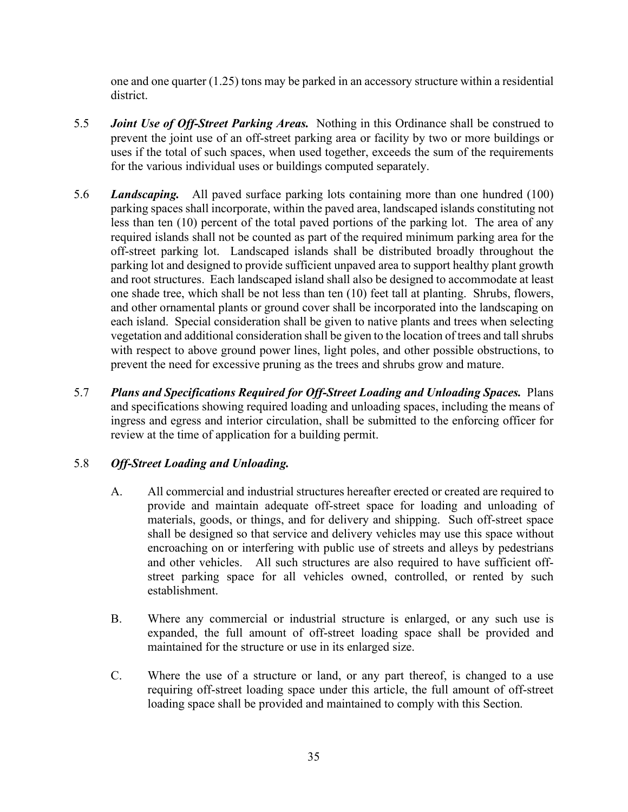one and one quarter (1.25) tons may be parked in an accessory structure within a residential district.

- 5.5 *Joint Use of Off-Street Parking Areas.* Nothing in this Ordinance shall be construed to prevent the joint use of an off-street parking area or facility by two or more buildings or uses if the total of such spaces, when used together, exceeds the sum of the requirements for the various individual uses or buildings computed separately.
- 5.6 *Landscaping.* All paved surface parking lots containing more than one hundred (100) parking spaces shall incorporate, within the paved area, landscaped islands constituting not less than ten (10) percent of the total paved portions of the parking lot. The area of any required islands shall not be counted as part of the required minimum parking area for the off-street parking lot. Landscaped islands shall be distributed broadly throughout the parking lot and designed to provide sufficient unpaved area to support healthy plant growth and root structures. Each landscaped island shall also be designed to accommodate at least one shade tree, which shall be not less than ten (10) feet tall at planting. Shrubs, flowers, and other ornamental plants or ground cover shall be incorporated into the landscaping on each island. Special consideration shall be given to native plants and trees when selecting vegetation and additional consideration shall be given to the location of trees and tall shrubs with respect to above ground power lines, light poles, and other possible obstructions, to prevent the need for excessive pruning as the trees and shrubs grow and mature.
- 5.7 *Plans and Specifications Required for Off-Street Loading and Unloading Spaces.* Plans and specifications showing required loading and unloading spaces, including the means of ingress and egress and interior circulation, shall be submitted to the enforcing officer for review at the time of application for a building permit.

### 5.8 *Off-Street Loading and Unloading.*

- A. All commercial and industrial structures hereafter erected or created are required to provide and maintain adequate off-street space for loading and unloading of materials, goods, or things, and for delivery and shipping. Such off-street space shall be designed so that service and delivery vehicles may use this space without encroaching on or interfering with public use of streets and alleys by pedestrians and other vehicles. All such structures are also required to have sufficient offstreet parking space for all vehicles owned, controlled, or rented by such establishment.
- B. Where any commercial or industrial structure is enlarged, or any such use is expanded, the full amount of off-street loading space shall be provided and maintained for the structure or use in its enlarged size.
- C. Where the use of a structure or land, or any part thereof, is changed to a use requiring off-street loading space under this article, the full amount of off-street loading space shall be provided and maintained to comply with this Section.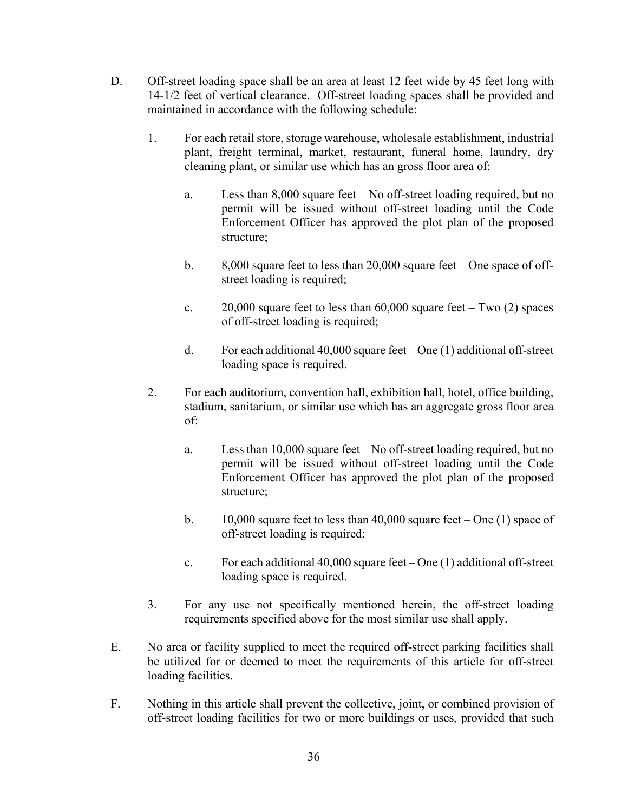- D. Off-street loading space shall be an area at least 12 feet wide by 45 feet long with 14-1/2 feet of vertical clearance. Off-street loading spaces shall be provided and maintained in accordance with the following schedule:
	- 1. For each retail store, storage warehouse, wholesale establishment, industrial plant, freight terminal, market, restaurant, funeral home, laundry, dry cleaning plant, or similar use which has an gross floor area of:
		- a. Less than 8,000 square feet No off-street loading required, but no permit will be issued without off-street loading until the Code Enforcement Officer has approved the plot plan of the proposed structure;
		- b. 8,000 square feet to less than 20,000 square feet One space of offstreet loading is required;
		- c.  $20,000$  square feet to less than  $60,000$  square feet Two (2) spaces of off-street loading is required;
		- d. For each additional 40,000 square feet One (1) additional off-street loading space is required.
	- 2. For each auditorium, convention hall, exhibition hall, hotel, office building, stadium, sanitarium, or similar use which has an aggregate gross floor area of:
		- a. Less than 10,000 square feet No off-street loading required, but no permit will be issued without off-street loading until the Code Enforcement Officer has approved the plot plan of the proposed structure;
		- b.  $10,000$  square feet to less than 40,000 square feet One (1) space of off-street loading is required;
		- c. For each additional  $40,000$  square feet One (1) additional off-street loading space is required.
	- 3. For any use not specifically mentioned herein, the off-street loading requirements specified above for the most similar use shall apply.
- E. No area or facility supplied to meet the required off-street parking facilities shall be utilized for or deemed to meet the requirements of this article for off-street loading facilities.
- F. Nothing in this article shall prevent the collective, joint, or combined provision of off-street loading facilities for two or more buildings or uses, provided that such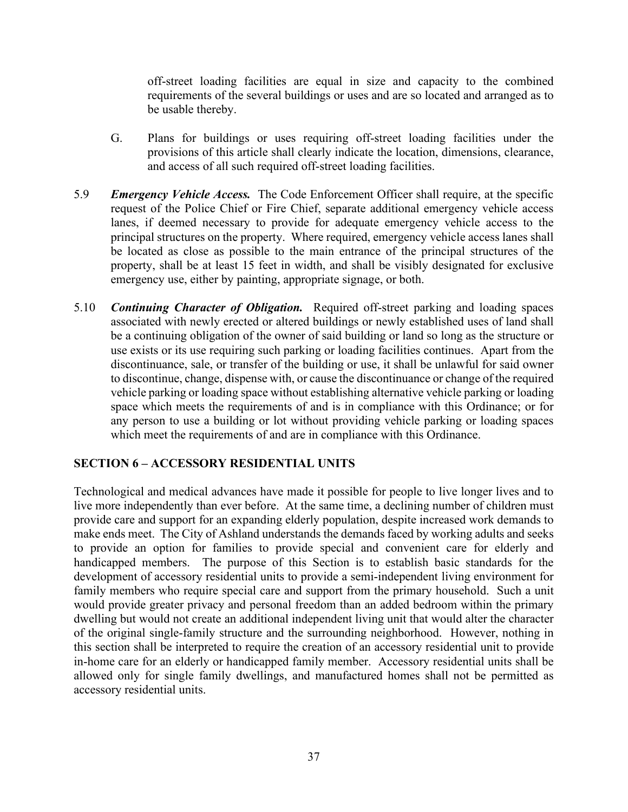off-street loading facilities are equal in size and capacity to the combined requirements of the several buildings or uses and are so located and arranged as to be usable thereby.

- G. Plans for buildings or uses requiring off-street loading facilities under the provisions of this article shall clearly indicate the location, dimensions, clearance, and access of all such required off-street loading facilities.
- 5.9 *Emergency Vehicle Access.* The Code Enforcement Officer shall require, at the specific request of the Police Chief or Fire Chief, separate additional emergency vehicle access lanes, if deemed necessary to provide for adequate emergency vehicle access to the principal structures on the property. Where required, emergency vehicle access lanes shall be located as close as possible to the main entrance of the principal structures of the property, shall be at least 15 feet in width, and shall be visibly designated for exclusive emergency use, either by painting, appropriate signage, or both.
- 5.10 *Continuing Character of Obligation.* Required off-street parking and loading spaces associated with newly erected or altered buildings or newly established uses of land shall be a continuing obligation of the owner of said building or land so long as the structure or use exists or its use requiring such parking or loading facilities continues. Apart from the discontinuance, sale, or transfer of the building or use, it shall be unlawful for said owner to discontinue, change, dispense with, or cause the discontinuance or change of the required vehicle parking or loading space without establishing alternative vehicle parking or loading space which meets the requirements of and is in compliance with this Ordinance; or for any person to use a building or lot without providing vehicle parking or loading spaces which meet the requirements of and are in compliance with this Ordinance.

### **SECTION 6 – ACCESSORY RESIDENTIAL UNITS**

Technological and medical advances have made it possible for people to live longer lives and to live more independently than ever before. At the same time, a declining number of children must provide care and support for an expanding elderly population, despite increased work demands to make ends meet. The City of Ashland understands the demands faced by working adults and seeks to provide an option for families to provide special and convenient care for elderly and handicapped members. The purpose of this Section is to establish basic standards for the development of accessory residential units to provide a semi-independent living environment for family members who require special care and support from the primary household. Such a unit would provide greater privacy and personal freedom than an added bedroom within the primary dwelling but would not create an additional independent living unit that would alter the character of the original single-family structure and the surrounding neighborhood. However, nothing in this section shall be interpreted to require the creation of an accessory residential unit to provide in-home care for an elderly or handicapped family member. Accessory residential units shall be allowed only for single family dwellings, and manufactured homes shall not be permitted as accessory residential units.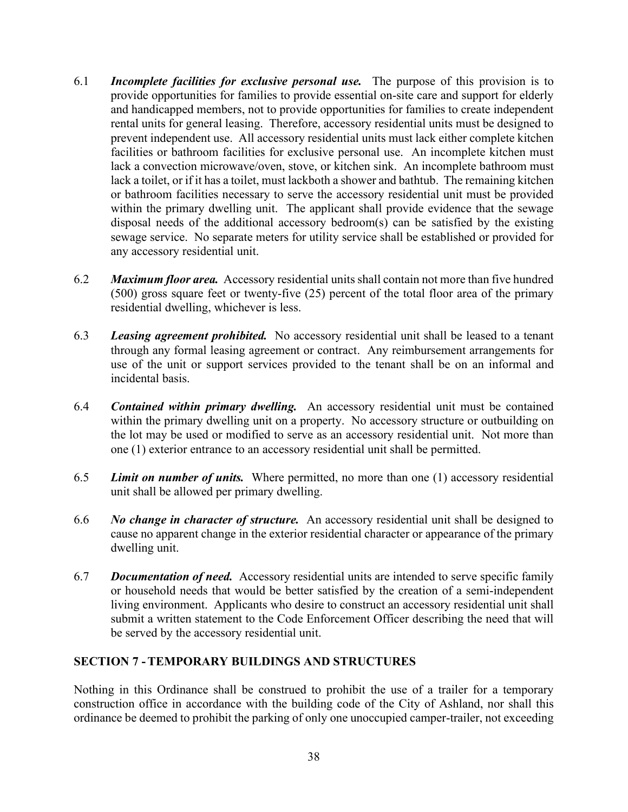- 6.1 *Incomplete facilities for exclusive personal use.* The purpose of this provision is to provide opportunities for families to provide essential on-site care and support for elderly and handicapped members, not to provide opportunities for families to create independent rental units for general leasing. Therefore, accessory residential units must be designed to prevent independent use. All accessory residential units must lack either complete kitchen facilities or bathroom facilities for exclusive personal use. An incomplete kitchen must lack a convection microwave/oven, stove, or kitchen sink. An incomplete bathroom must lack a toilet, or if it has a toilet, must lackboth a shower and bathtub. The remaining kitchen or bathroom facilities necessary to serve the accessory residential unit must be provided within the primary dwelling unit. The applicant shall provide evidence that the sewage disposal needs of the additional accessory bedroom(s) can be satisfied by the existing sewage service. No separate meters for utility service shall be established or provided for any accessory residential unit.
- 6.2 *Maximum floor area.* Accessory residential units shall contain not more than five hundred (500) gross square feet or twenty-five (25) percent of the total floor area of the primary residential dwelling, whichever is less.
- 6.3 *Leasing agreement prohibited.* No accessory residential unit shall be leased to a tenant through any formal leasing agreement or contract. Any reimbursement arrangements for use of the unit or support services provided to the tenant shall be on an informal and incidental basis.
- 6.4 *Contained within primary dwelling.* An accessory residential unit must be contained within the primary dwelling unit on a property. No accessory structure or outbuilding on the lot may be used or modified to serve as an accessory residential unit. Not more than one (1) exterior entrance to an accessory residential unit shall be permitted.
- 6.5 *Limit on number of units.* Where permitted, no more than one (1) accessory residential unit shall be allowed per primary dwelling.
- 6.6 *No change in character of structure.* An accessory residential unit shall be designed to cause no apparent change in the exterior residential character or appearance of the primary dwelling unit.
- 6.7 *Documentation of need.* Accessory residential units are intended to serve specific family or household needs that would be better satisfied by the creation of a semi-independent living environment. Applicants who desire to construct an accessory residential unit shall submit a written statement to the Code Enforcement Officer describing the need that will be served by the accessory residential unit.

#### **SECTION 7 -TEMPORARY BUILDINGS AND STRUCTURES**

Nothing in this Ordinance shall be construed to prohibit the use of a trailer for a temporary construction office in accordance with the building code of the City of Ashland, nor shall this ordinance be deemed to prohibit the parking of only one unoccupied camper-trailer, not exceeding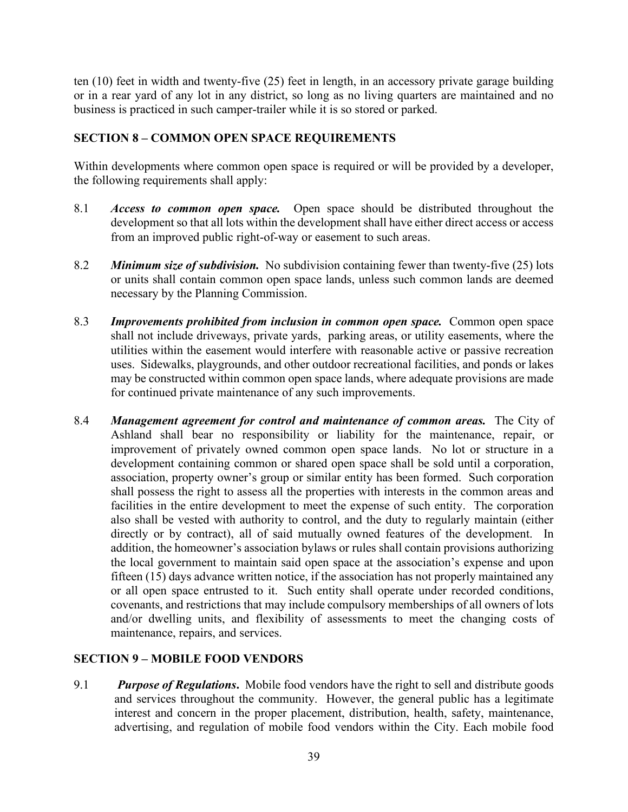ten (10) feet in width and twenty-five (25) feet in length, in an accessory private garage building or in a rear yard of any lot in any district, so long as no living quarters are maintained and no business is practiced in such camper-trailer while it is so stored or parked.

# **SECTION 8 – COMMON OPEN SPACE REQUIREMENTS**

Within developments where common open space is required or will be provided by a developer, the following requirements shall apply:

- 8.1 *Access to common open space.* Open space should be distributed throughout the development so that all lots within the development shall have either direct access or access from an improved public right-of-way or easement to such areas.
- 8.2 *Minimum size of subdivision.* No subdivision containing fewer than twenty-five (25) lots or units shall contain common open space lands, unless such common lands are deemed necessary by the Planning Commission.
- 8.3 *Improvements prohibited from inclusion in common open space.* Common open space shall not include driveways, private yards, parking areas, or utility easements, where the utilities within the easement would interfere with reasonable active or passive recreation uses. Sidewalks, playgrounds, and other outdoor recreational facilities, and ponds or lakes may be constructed within common open space lands, where adequate provisions are made for continued private maintenance of any such improvements.
- 8.4 *Management agreement for control and maintenance of common areas.* The City of Ashland shall bear no responsibility or liability for the maintenance, repair, or improvement of privately owned common open space lands. No lot or structure in a development containing common or shared open space shall be sold until a corporation, association, property owner's group or similar entity has been formed. Such corporation shall possess the right to assess all the properties with interests in the common areas and facilities in the entire development to meet the expense of such entity. The corporation also shall be vested with authority to control, and the duty to regularly maintain (either directly or by contract), all of said mutually owned features of the development. In addition, the homeowner's association bylaws or rules shall contain provisions authorizing the local government to maintain said open space at the association's expense and upon fifteen (15) days advance written notice, if the association has not properly maintained any or all open space entrusted to it. Such entity shall operate under recorded conditions, covenants, and restrictions that may include compulsory memberships of all owners of lots and/or dwelling units, and flexibility of assessments to meet the changing costs of maintenance, repairs, and services.

# **SECTION 9 – MOBILE FOOD VENDORS**

9.1 *Purpose of Regulations***.** Mobile food vendors have the right to sell and distribute goods and services throughout the community. However, the general public has a legitimate interest and concern in the proper placement, distribution, health, safety, maintenance, advertising, and regulation of mobile food vendors within the City. Each mobile food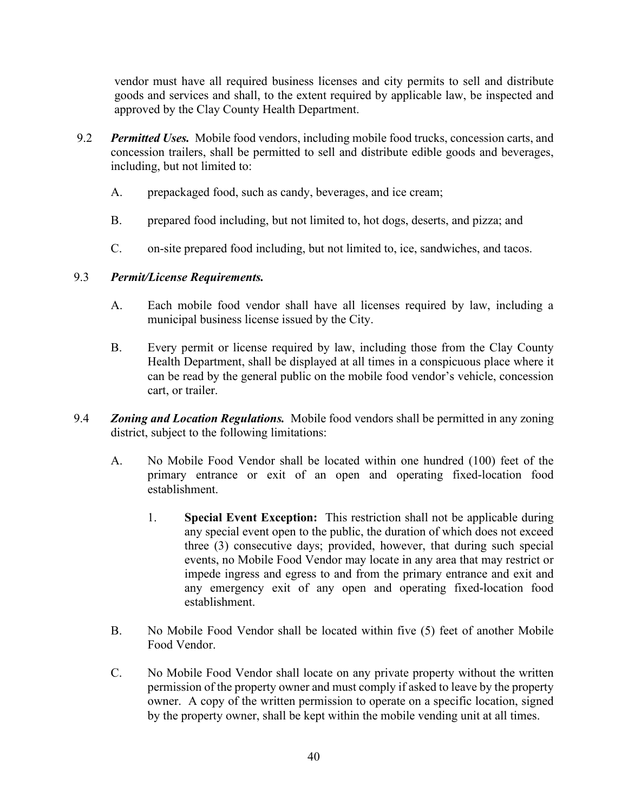vendor must have all required business licenses and city permits to sell and distribute goods and services and shall, to the extent required by applicable law, be inspected and approved by the Clay County Health Department.

- 9.2 *Permitted Uses.* Mobile food vendors, including mobile food trucks, concession carts, and concession trailers, shall be permitted to sell and distribute edible goods and beverages, including, but not limited to:
	- A. prepackaged food, such as candy, beverages, and ice cream;
	- B. prepared food including, but not limited to, hot dogs, deserts, and pizza; and
	- C. on-site prepared food including, but not limited to, ice, sandwiches, and tacos.

### 9.3 *Permit/License Requirements.*

- A. Each mobile food vendor shall have all licenses required by law, including a municipal business license issued by the City.
- B. Every permit or license required by law, including those from the Clay County Health Department, shall be displayed at all times in a conspicuous place where it can be read by the general public on the mobile food vendor's vehicle, concession cart, or trailer.
- 9.4 *Zoning and Location Regulations.* Mobile food vendors shall be permitted in any zoning district, subject to the following limitations:
	- A. No Mobile Food Vendor shall be located within one hundred (100) feet of the primary entrance or exit of an open and operating fixed-location food establishment.
		- 1. **Special Event Exception:** This restriction shall not be applicable during any special event open to the public, the duration of which does not exceed three (3) consecutive days; provided, however, that during such special events, no Mobile Food Vendor may locate in any area that may restrict or impede ingress and egress to and from the primary entrance and exit and any emergency exit of any open and operating fixed-location food establishment.
	- B. No Mobile Food Vendor shall be located within five (5) feet of another Mobile Food Vendor.
	- C. No Mobile Food Vendor shall locate on any private property without the written permission of the property owner and must comply if asked to leave by the property owner. A copy of the written permission to operate on a specific location, signed by the property owner, shall be kept within the mobile vending unit at all times.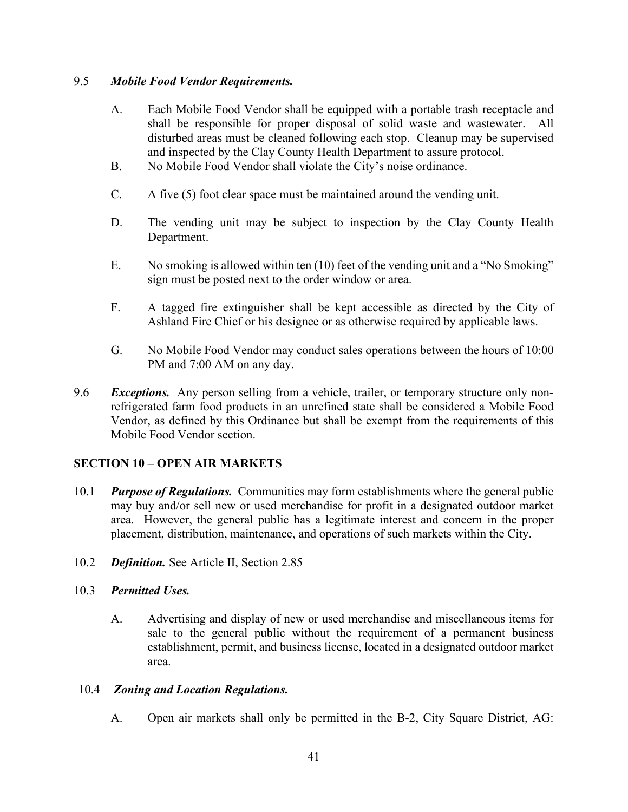#### 9.5 *Mobile Food Vendor Requirements.*

- A. Each Mobile Food Vendor shall be equipped with a portable trash receptacle and shall be responsible for proper disposal of solid waste and wastewater. All disturbed areas must be cleaned following each stop. Cleanup may be supervised and inspected by the Clay County Health Department to assure protocol.
- B. No Mobile Food Vendor shall violate the City's noise ordinance.
- C. A five (5) foot clear space must be maintained around the vending unit.
- D. The vending unit may be subject to inspection by the Clay County Health Department.
- E. No smoking is allowed within ten (10) feet of the vending unit and a "No Smoking" sign must be posted next to the order window or area.
- F. A tagged fire extinguisher shall be kept accessible as directed by the City of Ashland Fire Chief or his designee or as otherwise required by applicable laws.
- G. No Mobile Food Vendor may conduct sales operations between the hours of 10:00 PM and 7:00 AM on any day.
- 9.6 *Exceptions.* Any person selling from a vehicle, trailer, or temporary structure only nonrefrigerated farm food products in an unrefined state shall be considered a Mobile Food Vendor, as defined by this Ordinance but shall be exempt from the requirements of this Mobile Food Vendor section.

### **SECTION 10 – OPEN AIR MARKETS**

- 10.1 *Purpose of Regulations.* Communities may form establishments where the general public may buy and/or sell new or used merchandise for profit in a designated outdoor market area. However, the general public has a legitimate interest and concern in the proper placement, distribution, maintenance, and operations of such markets within the City.
- 10.2 *Definition.* See Article II, Section 2.85

#### 10.3 *Permitted Uses.*

A. Advertising and display of new or used merchandise and miscellaneous items for sale to the general public without the requirement of a permanent business establishment, permit, and business license, located in a designated outdoor market area.

#### 10.4 *Zoning and Location Regulations.*

A. Open air markets shall only be permitted in the B-2, City Square District, AG: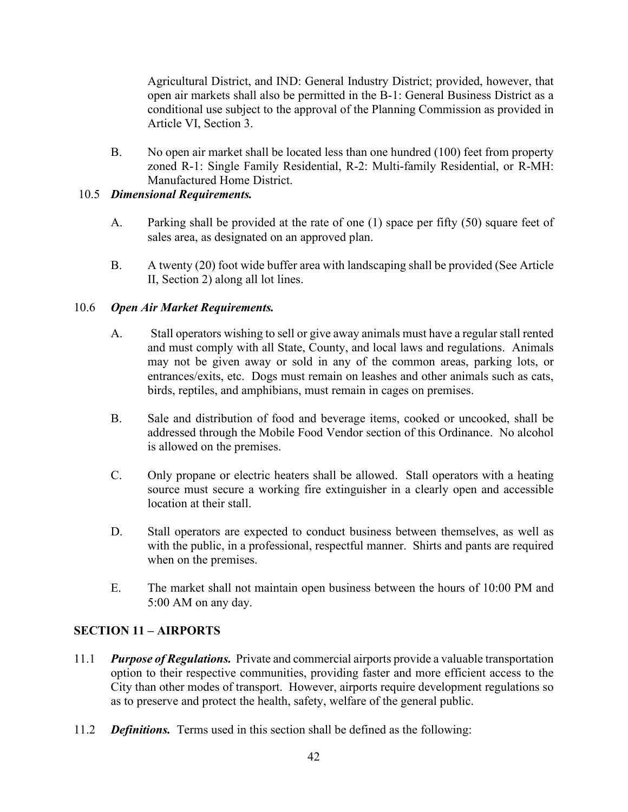Agricultural District, and IND: General Industry District; provided, however, that open air markets shall also be permitted in the B-1: General Business District as a conditional use subject to the approval of the Planning Commission as provided in Article VI, Section 3.

B. No open air market shall be located less than one hundred (100) feet from property zoned R-1: Single Family Residential, R-2: Multi-family Residential, or R-MH: Manufactured Home District.

### 10.5 *Dimensional Requirements.*

- A. Parking shall be provided at the rate of one (1) space per fifty (50) square feet of sales area, as designated on an approved plan.
- B. A twenty (20) foot wide buffer area with landscaping shall be provided (See Article II, Section 2) along all lot lines.

# 10.6 *Open Air Market Requirements.*

- A. Stall operators wishing to sell or give away animals must have a regular stall rented and must comply with all State, County, and local laws and regulations. Animals may not be given away or sold in any of the common areas, parking lots, or entrances/exits, etc. Dogs must remain on leashes and other animals such as cats, birds, reptiles, and amphibians, must remain in cages on premises.
- B. Sale and distribution of food and beverage items, cooked or uncooked, shall be addressed through the Mobile Food Vendor section of this Ordinance. No alcohol is allowed on the premises.
- C. Only propane or electric heaters shall be allowed. Stall operators with a heating source must secure a working fire extinguisher in a clearly open and accessible location at their stall.
- D. Stall operators are expected to conduct business between themselves, as well as with the public, in a professional, respectful manner. Shirts and pants are required when on the premises.
- E. The market shall not maintain open business between the hours of 10:00 PM and 5:00 AM on any day.

# **SECTION 11 – AIRPORTS**

- 11.1 *Purpose of Regulations.* Private and commercial airports provide a valuable transportation option to their respective communities, providing faster and more efficient access to the City than other modes of transport. However, airports require development regulations so as to preserve and protect the health, safety, welfare of the general public.
- 11.2 *Definitions.* Terms used in this section shall be defined as the following: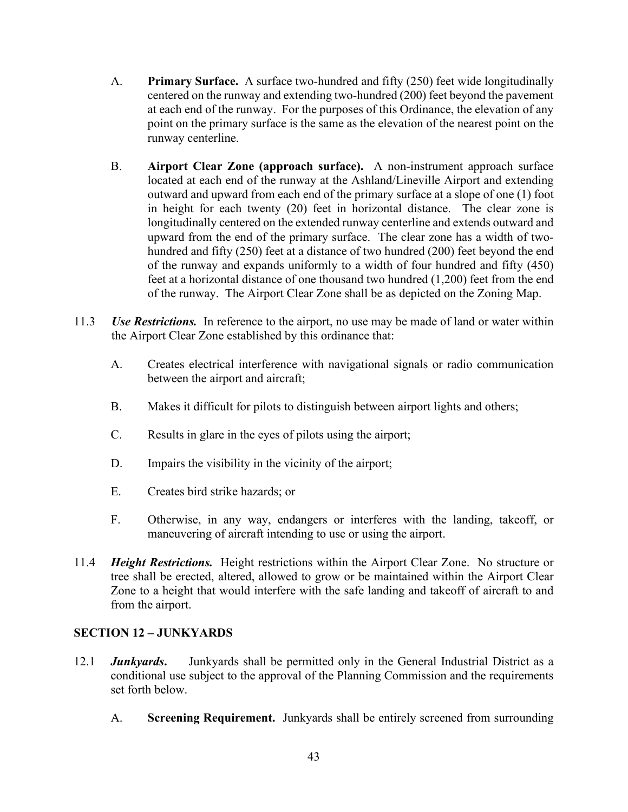- A. **Primary Surface.** A surface two-hundred and fifty (250) feet wide longitudinally centered on the runway and extending two-hundred (200) feet beyond the pavement at each end of the runway. For the purposes of this Ordinance, the elevation of any point on the primary surface is the same as the elevation of the nearest point on the runway centerline.
- B. **Airport Clear Zone (approach surface).** A non-instrument approach surface located at each end of the runway at the Ashland/Lineville Airport and extending outward and upward from each end of the primary surface at a slope of one (1) foot in height for each twenty (20) feet in horizontal distance. The clear zone is longitudinally centered on the extended runway centerline and extends outward and upward from the end of the primary surface. The clear zone has a width of twohundred and fifty (250) feet at a distance of two hundred (200) feet beyond the end of the runway and expands uniformly to a width of four hundred and fifty (450) feet at a horizontal distance of one thousand two hundred (1,200) feet from the end of the runway. The Airport Clear Zone shall be as depicted on the Zoning Map.
- 11.3 *Use Restrictions.* In reference to the airport, no use may be made of land or water within the Airport Clear Zone established by this ordinance that:
	- A. Creates electrical interference with navigational signals or radio communication between the airport and aircraft;
	- B. Makes it difficult for pilots to distinguish between airport lights and others;
	- C. Results in glare in the eyes of pilots using the airport;
	- D. Impairs the visibility in the vicinity of the airport;
	- E. Creates bird strike hazards; or
	- F. Otherwise, in any way, endangers or interferes with the landing, takeoff, or maneuvering of aircraft intending to use or using the airport.
- 11.4 *Height Restrictions.* Height restrictions within the Airport Clear Zone. No structure or tree shall be erected, altered, allowed to grow or be maintained within the Airport Clear Zone to a height that would interfere with the safe landing and takeoff of aircraft to and from the airport.

### **SECTION 12 – JUNKYARDS**

- 12.1 *Junkyards***.** Junkyards shall be permitted only in the General Industrial District as a conditional use subject to the approval of the Planning Commission and the requirements set forth below.
	- A. **Screening Requirement.** Junkyards shall be entirely screened from surrounding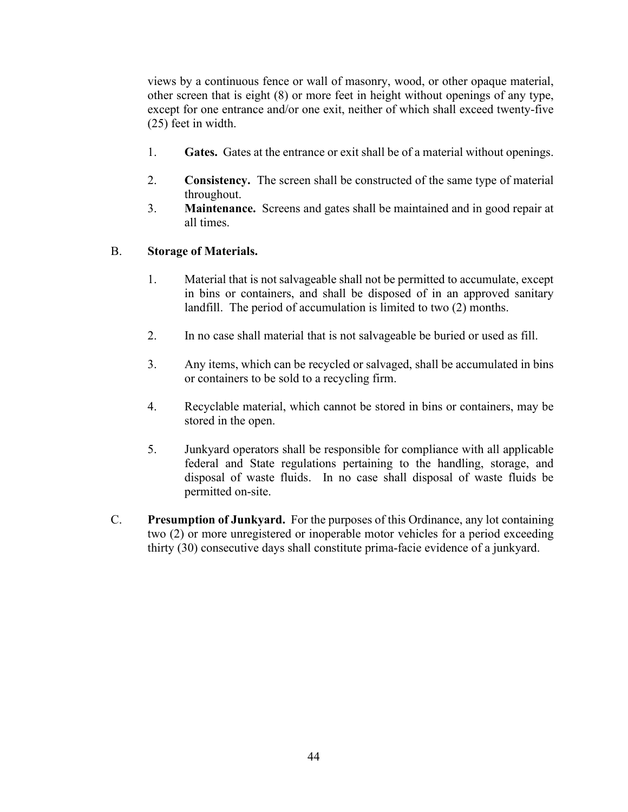views by a continuous fence or wall of masonry, wood, or other opaque material, other screen that is eight (8) or more feet in height without openings of any type, except for one entrance and/or one exit, neither of which shall exceed twenty-five (25) feet in width.

- 1. **Gates.** Gates at the entrance or exit shall be of a material without openings.
- 2. **Consistency.** The screen shall be constructed of the same type of material throughout.
- 3. **Maintenance.** Screens and gates shall be maintained and in good repair at all times.

#### B. **Storage of Materials.**

- 1. Material that is not salvageable shall not be permitted to accumulate, except in bins or containers, and shall be disposed of in an approved sanitary landfill. The period of accumulation is limited to two (2) months.
- 2. In no case shall material that is not salvageable be buried or used as fill.
- 3. Any items, which can be recycled or salvaged, shall be accumulated in bins or containers to be sold to a recycling firm.
- 4. Recyclable material, which cannot be stored in bins or containers, may be stored in the open.
- 5. Junkyard operators shall be responsible for compliance with all applicable federal and State regulations pertaining to the handling, storage, and disposal of waste fluids. In no case shall disposal of waste fluids be permitted on-site.
- C. **Presumption of Junkyard.** For the purposes of this Ordinance, any lot containing two (2) or more unregistered or inoperable motor vehicles for a period exceeding thirty (30) consecutive days shall constitute prima-facie evidence of a junkyard.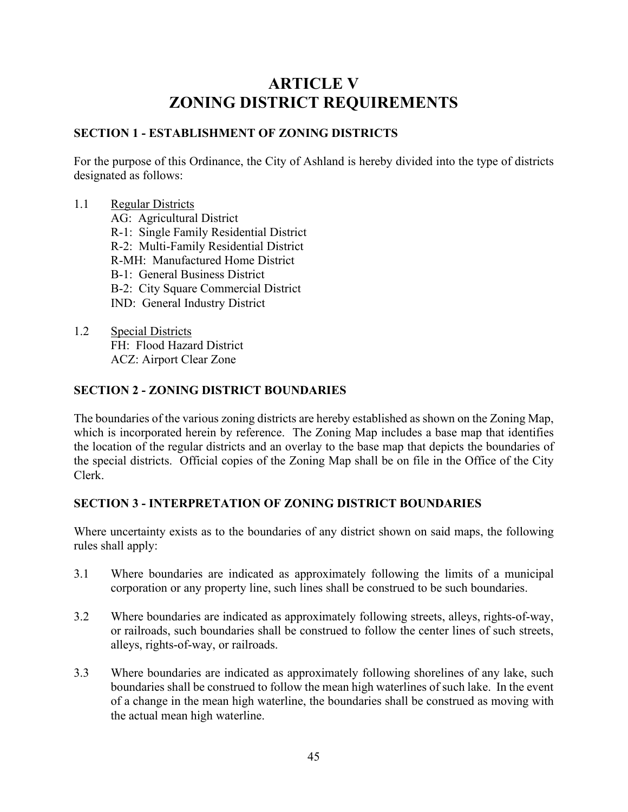# **ARTICLE V ZONING DISTRICT REQUIREMENTS**

# **SECTION 1 - ESTABLISHMENT OF ZONING DISTRICTS**

For the purpose of this Ordinance, the City of Ashland is hereby divided into the type of districts designated as follows:

#### 1.1 Regular Districts

- AG: Agricultural District
- R-1: Single Family Residential District
- R-2: Multi-Family Residential District
- R-MH: Manufactured Home District
- B-1: General Business District
- B-2: City Square Commercial District
- IND: General Industry District
- 1.2 Special Districts FH: Flood Hazard District ACZ: Airport Clear Zone

### **SECTION 2 - ZONING DISTRICT BOUNDARIES**

The boundaries of the various zoning districts are hereby established as shown on the Zoning Map, which is incorporated herein by reference. The Zoning Map includes a base map that identifies the location of the regular districts and an overlay to the base map that depicts the boundaries of the special districts. Official copies of the Zoning Map shall be on file in the Office of the City Clerk.

### **SECTION 3 - INTERPRETATION OF ZONING DISTRICT BOUNDARIES**

Where uncertainty exists as to the boundaries of any district shown on said maps, the following rules shall apply:

- 3.1 Where boundaries are indicated as approximately following the limits of a municipal corporation or any property line, such lines shall be construed to be such boundaries.
- 3.2 Where boundaries are indicated as approximately following streets, alleys, rights-of-way, or railroads, such boundaries shall be construed to follow the center lines of such streets, alleys, rights-of-way, or railroads.
- 3.3 Where boundaries are indicated as approximately following shorelines of any lake, such boundaries shall be construed to follow the mean high waterlines of such lake. In the event of a change in the mean high waterline, the boundaries shall be construed as moving with the actual mean high waterline.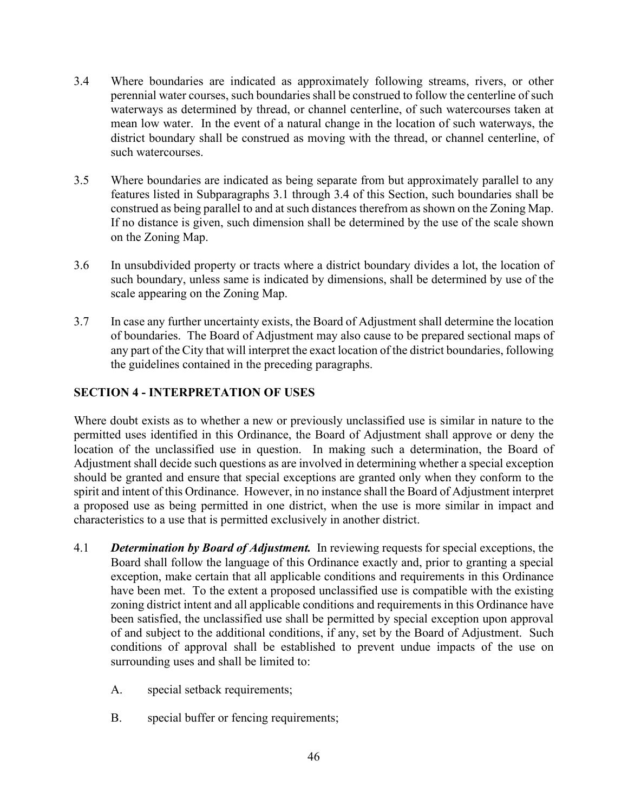- 3.4 Where boundaries are indicated as approximately following streams, rivers, or other perennial water courses, such boundaries shall be construed to follow the centerline of such waterways as determined by thread, or channel centerline, of such watercourses taken at mean low water. In the event of a natural change in the location of such waterways, the district boundary shall be construed as moving with the thread, or channel centerline, of such watercourses.
- 3.5 Where boundaries are indicated as being separate from but approximately parallel to any features listed in Subparagraphs 3.1 through 3.4 of this Section, such boundaries shall be construed as being parallel to and at such distances therefrom as shown on the Zoning Map. If no distance is given, such dimension shall be determined by the use of the scale shown on the Zoning Map.
- 3.6 In unsubdivided property or tracts where a district boundary divides a lot, the location of such boundary, unless same is indicated by dimensions, shall be determined by use of the scale appearing on the Zoning Map.
- 3.7 In case any further uncertainty exists, the Board of Adjustment shall determine the location of boundaries. The Board of Adjustment may also cause to be prepared sectional maps of any part of the City that will interpret the exact location of the district boundaries, following the guidelines contained in the preceding paragraphs.

# **SECTION 4 - INTERPRETATION OF USES**

Where doubt exists as to whether a new or previously unclassified use is similar in nature to the permitted uses identified in this Ordinance, the Board of Adjustment shall approve or deny the location of the unclassified use in question. In making such a determination, the Board of Adjustment shall decide such questions as are involved in determining whether a special exception should be granted and ensure that special exceptions are granted only when they conform to the spirit and intent of this Ordinance. However, in no instance shall the Board of Adjustment interpret a proposed use as being permitted in one district, when the use is more similar in impact and characteristics to a use that is permitted exclusively in another district.

- 4.1 *Determination by Board of Adjustment.* In reviewing requests for special exceptions, the Board shall follow the language of this Ordinance exactly and, prior to granting a special exception, make certain that all applicable conditions and requirements in this Ordinance have been met. To the extent a proposed unclassified use is compatible with the existing zoning district intent and all applicable conditions and requirements in this Ordinance have been satisfied, the unclassified use shall be permitted by special exception upon approval of and subject to the additional conditions, if any, set by the Board of Adjustment. Such conditions of approval shall be established to prevent undue impacts of the use on surrounding uses and shall be limited to:
	- A. special setback requirements;
	- B. special buffer or fencing requirements;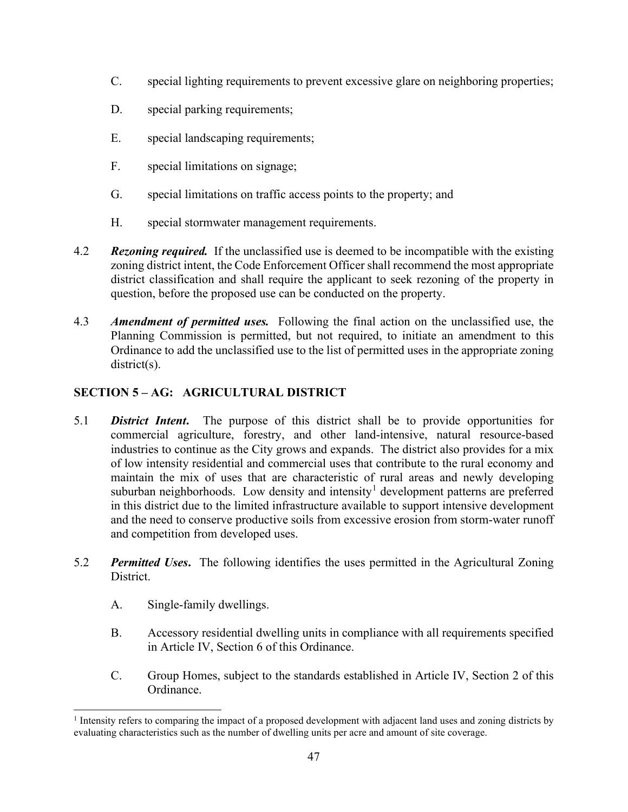- C. special lighting requirements to prevent excessive glare on neighboring properties;
- D. special parking requirements;
- E. special landscaping requirements;
- F. special limitations on signage;
- G. special limitations on traffic access points to the property; and
- H. special stormwater management requirements.
- 4.2 *Rezoning required.* If the unclassified use is deemed to be incompatible with the existing zoning district intent, the Code Enforcement Officer shall recommend the most appropriate district classification and shall require the applicant to seek rezoning of the property in question, before the proposed use can be conducted on the property.
- 4.3 *Amendment of permitted uses.* Following the final action on the unclassified use, the Planning Commission is permitted, but not required, to initiate an amendment to this Ordinance to add the unclassified use to the list of permitted uses in the appropriate zoning district(s).

# **SECTION 5 – AG: AGRICULTURAL DISTRICT**

- 5.1 *District Intent***.** The purpose of this district shall be to provide opportunities for commercial agriculture, forestry, and other land-intensive, natural resource-based industries to continue as the City grows and expands. The district also provides for a mix of low intensity residential and commercial uses that contribute to the rural economy and maintain the mix of uses that are characteristic of rural areas and newly developing suburban neighborhoods. Low density and intensity<sup>[1](#page-52-0)</sup> development patterns are preferred in this district due to the limited infrastructure available to support intensive development and the need to conserve productive soils from excessive erosion from storm-water runoff and competition from developed uses.
- 5.2 *Permitted Uses***.** The following identifies the uses permitted in the Agricultural Zoning District.
	- A. Single-family dwellings.
	- B. Accessory residential dwelling units in compliance with all requirements specified in Article IV, Section 6 of this Ordinance.
	- C. Group Homes, subject to the standards established in Article IV, Section 2 of this Ordinance.

<span id="page-52-0"></span><sup>&</sup>lt;sup>1</sup> Intensity refers to comparing the impact of a proposed development with adjacent land uses and zoning districts by evaluating characteristics such as the number of dwelling units per acre and amount of site coverage.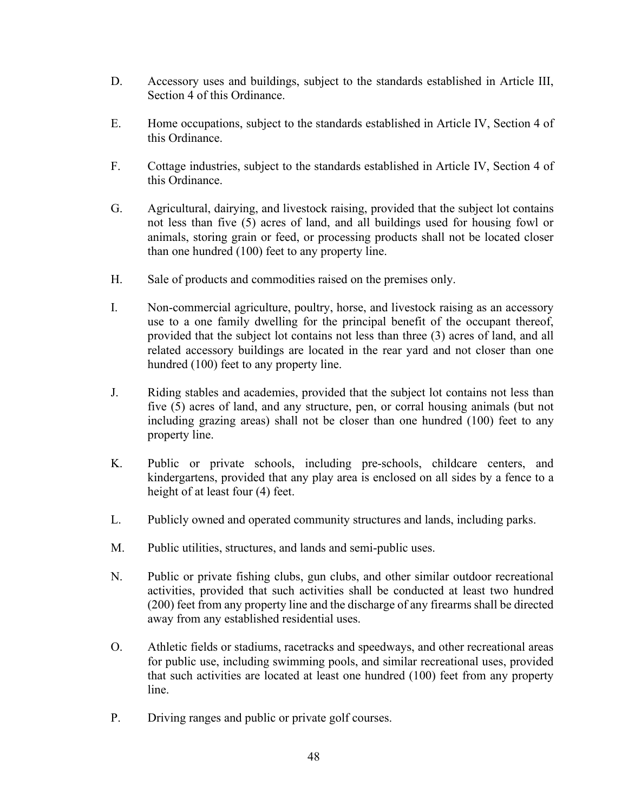- D. Accessory uses and buildings, subject to the standards established in Article III, Section 4 of this Ordinance.
- E. Home occupations, subject to the standards established in Article IV, Section 4 of this Ordinance.
- F. Cottage industries, subject to the standards established in Article IV, Section 4 of this Ordinance.
- G. Agricultural, dairying, and livestock raising, provided that the subject lot contains not less than five (5) acres of land, and all buildings used for housing fowl or animals, storing grain or feed, or processing products shall not be located closer than one hundred (100) feet to any property line.
- H. Sale of products and commodities raised on the premises only.
- I. Non-commercial agriculture, poultry, horse, and livestock raising as an accessory use to a one family dwelling for the principal benefit of the occupant thereof, provided that the subject lot contains not less than three (3) acres of land, and all related accessory buildings are located in the rear yard and not closer than one hundred (100) feet to any property line.
- J. Riding stables and academies, provided that the subject lot contains not less than five (5) acres of land, and any structure, pen, or corral housing animals (but not including grazing areas) shall not be closer than one hundred (100) feet to any property line.
- K. Public or private schools, including pre-schools, childcare centers, and kindergartens, provided that any play area is enclosed on all sides by a fence to a height of at least four (4) feet.
- L. Publicly owned and operated community structures and lands, including parks.
- M. Public utilities, structures, and lands and semi-public uses.
- N. Public or private fishing clubs, gun clubs, and other similar outdoor recreational activities, provided that such activities shall be conducted at least two hundred (200) feet from any property line and the discharge of any firearms shall be directed away from any established residential uses.
- O. Athletic fields or stadiums, racetracks and speedways, and other recreational areas for public use, including swimming pools, and similar recreational uses, provided that such activities are located at least one hundred (100) feet from any property line.
- P. Driving ranges and public or private golf courses.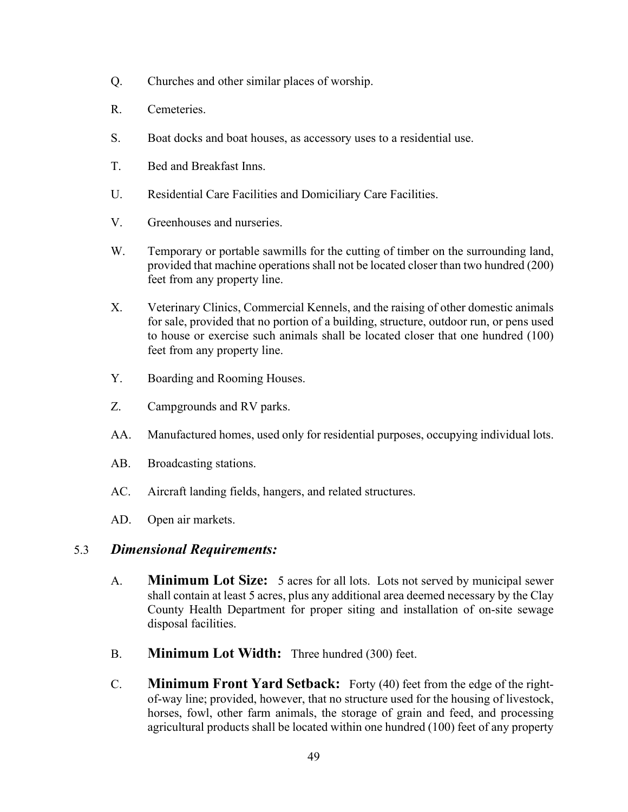- Q. Churches and other similar places of worship.
- R. Cemeteries.
- S. Boat docks and boat houses, as accessory uses to a residential use.
- T. Bed and Breakfast Inns.
- U. Residential Care Facilities and Domiciliary Care Facilities.
- V. Greenhouses and nurseries.
- W. Temporary or portable sawmills for the cutting of timber on the surrounding land, provided that machine operations shall not be located closer than two hundred (200) feet from any property line.
- X. Veterinary Clinics, Commercial Kennels, and the raising of other domestic animals for sale, provided that no portion of a building, structure, outdoor run, or pens used to house or exercise such animals shall be located closer that one hundred (100) feet from any property line.
- Y. Boarding and Rooming Houses.
- Z. Campgrounds and RV parks.
- AA. Manufactured homes, used only for residential purposes, occupying individual lots.
- AB. Broadcasting stations.
- AC. Aircraft landing fields, hangers, and related structures.
- AD. Open air markets.

# 5.3 *Dimensional Requirements:*

- A. **Minimum Lot Size:** 5 acres for all lots. Lots not served by municipal sewer shall contain at least 5 acres, plus any additional area deemed necessary by the Clay County Health Department for proper siting and installation of on-site sewage disposal facilities.
- B. **Minimum Lot Width:** Three hundred (300) feet.
- C. **Minimum Front Yard Setback:** Forty (40) feet from the edge of the rightof-way line; provided, however, that no structure used for the housing of livestock, horses, fowl, other farm animals, the storage of grain and feed, and processing agricultural products shall be located within one hundred (100) feet of any property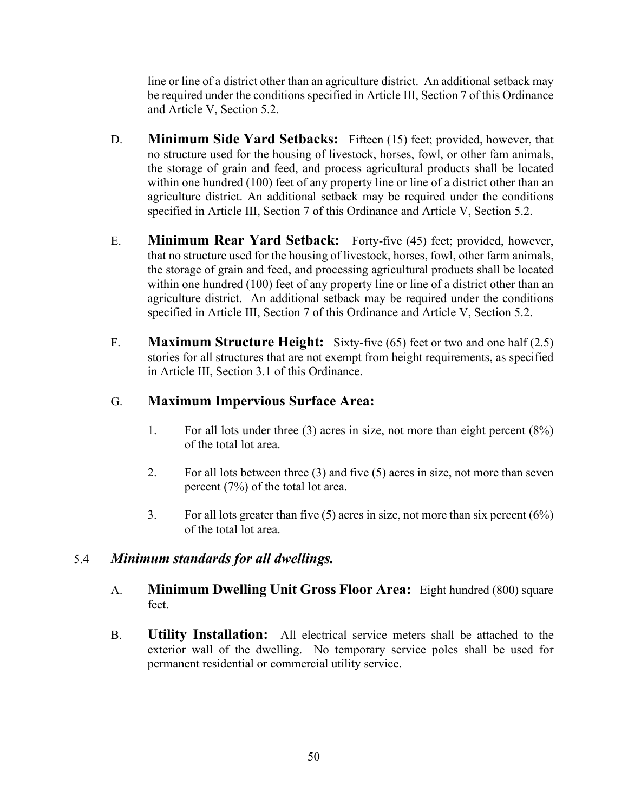line or line of a district other than an agriculture district. An additional setback may be required under the conditions specified in Article III, Section 7 of this Ordinance and Article V, Section 5.2.

- D. **Minimum Side Yard Setbacks:** Fifteen (15) feet; provided, however, that no structure used for the housing of livestock, horses, fowl, or other fam animals, the storage of grain and feed, and process agricultural products shall be located within one hundred (100) feet of any property line or line of a district other than an agriculture district. An additional setback may be required under the conditions specified in Article III, Section 7 of this Ordinance and Article V, Section 5.2.
- E. **Minimum Rear Yard Setback:** Forty-five (45) feet; provided, however, that no structure used for the housing of livestock, horses, fowl, other farm animals, the storage of grain and feed, and processing agricultural products shall be located within one hundred (100) feet of any property line or line of a district other than an agriculture district. An additional setback may be required under the conditions specified in Article III, Section 7 of this Ordinance and Article V, Section 5.2.
- F. **Maximum Structure Height:** Sixty-five (65) feet or two and one half (2.5) stories for all structures that are not exempt from height requirements, as specified in Article III, Section 3.1 of this Ordinance.

# G. **Maximum Impervious Surface Area:**

- 1. For all lots under three (3) acres in size, not more than eight percent (8%) of the total lot area.
- 2. For all lots between three (3) and five (5) acres in size, not more than seven percent (7%) of the total lot area.
- 3. For all lots greater than five  $(5)$  acres in size, not more than six percent  $(6\%)$ of the total lot area.

# 5.4 *Minimum standards for all dwellings.*

- A. **Minimum Dwelling Unit Gross Floor Area:** Eight hundred (800) square feet.
- B. **Utility Installation:** All electrical service meters shall be attached to the exterior wall of the dwelling. No temporary service poles shall be used for permanent residential or commercial utility service.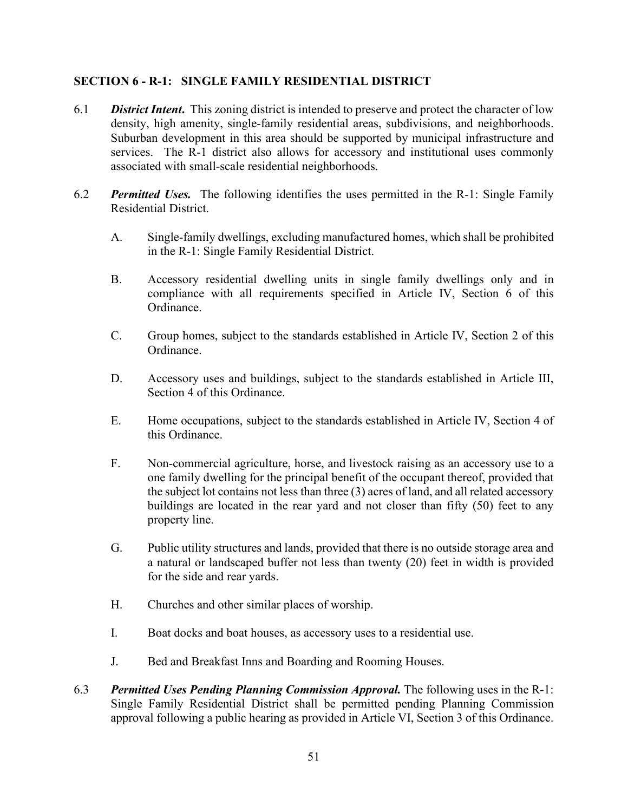### **SECTION 6 - R-1: SINGLE FAMILY RESIDENTIAL DISTRICT**

- 6.1 *District Intent***.** This zoning district is intended to preserve and protect the character of low density, high amenity, single-family residential areas, subdivisions, and neighborhoods. Suburban development in this area should be supported by municipal infrastructure and services. The R-1 district also allows for accessory and institutional uses commonly associated with small-scale residential neighborhoods.
- 6.2 *Permitted Uses.* The following identifies the uses permitted in the R-1: Single Family Residential District.
	- A. Single-family dwellings, excluding manufactured homes, which shall be prohibited in the R-1: Single Family Residential District.
	- B. Accessory residential dwelling units in single family dwellings only and in compliance with all requirements specified in Article IV, Section 6 of this Ordinance.
	- C. Group homes, subject to the standards established in Article IV, Section 2 of this Ordinance.
	- D. Accessory uses and buildings, subject to the standards established in Article III, Section 4 of this Ordinance.
	- E. Home occupations, subject to the standards established in Article IV, Section 4 of this Ordinance.
	- F. Non-commercial agriculture, horse, and livestock raising as an accessory use to a one family dwelling for the principal benefit of the occupant thereof, provided that the subject lot contains not less than three (3) acres of land, and all related accessory buildings are located in the rear yard and not closer than fifty (50) feet to any property line.
	- G. Public utility structures and lands, provided that there is no outside storage area and a natural or landscaped buffer not less than twenty (20) feet in width is provided for the side and rear yards.
	- H. Churches and other similar places of worship.
	- I. Boat docks and boat houses, as accessory uses to a residential use.
	- J. Bed and Breakfast Inns and Boarding and Rooming Houses.
- 6.3 *Permitted Uses Pending Planning Commission Approval.* The following uses in the R-1: Single Family Residential District shall be permitted pending Planning Commission approval following a public hearing as provided in Article VI, Section 3 of this Ordinance.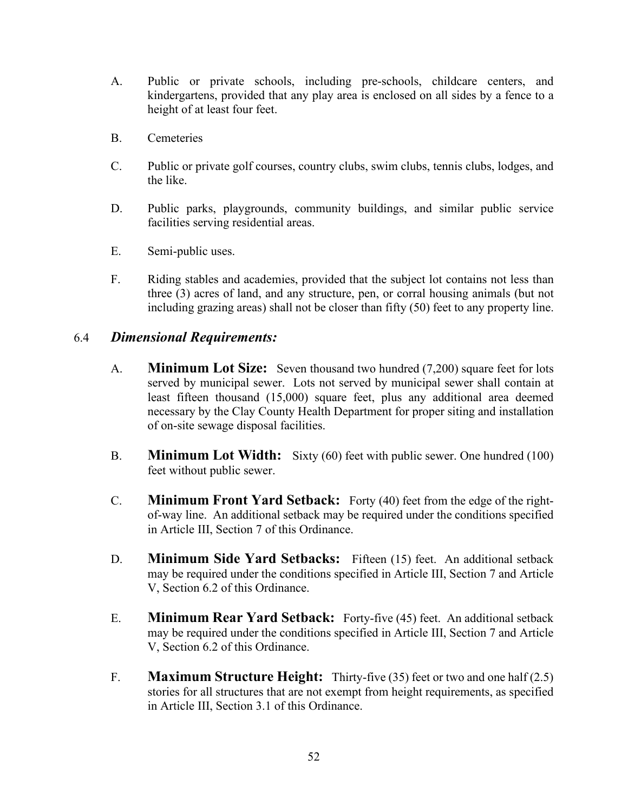- A. Public or private schools, including pre-schools, childcare centers, and kindergartens, provided that any play area is enclosed on all sides by a fence to a height of at least four feet.
- B. Cemeteries
- C. Public or private golf courses, country clubs, swim clubs, tennis clubs, lodges, and the like.
- D. Public parks, playgrounds, community buildings, and similar public service facilities serving residential areas.
- E. Semi-public uses.
- F. Riding stables and academies, provided that the subject lot contains not less than three (3) acres of land, and any structure, pen, or corral housing animals (but not including grazing areas) shall not be closer than fifty (50) feet to any property line.

# 6.4 *Dimensional Requirements:*

- A. **Minimum Lot Size:** Seven thousand two hundred (7,200) square feet for lots served by municipal sewer. Lots not served by municipal sewer shall contain at least fifteen thousand (15,000) square feet, plus any additional area deemed necessary by the Clay County Health Department for proper siting and installation of on-site sewage disposal facilities.
- B. **Minimum Lot Width:** Sixty (60) feet with public sewer. One hundred (100) feet without public sewer.
- C. **Minimum Front Yard Setback:** Forty (40) feet from the edge of the rightof-way line. An additional setback may be required under the conditions specified in Article III, Section 7 of this Ordinance.
- D. **Minimum Side Yard Setbacks:** Fifteen (15) feet. An additional setback may be required under the conditions specified in Article III, Section 7 and Article V, Section 6.2 of this Ordinance.
- E. **Minimum Rear Yard Setback:** Forty-five (45) feet. An additional setback may be required under the conditions specified in Article III, Section 7 and Article V, Section 6.2 of this Ordinance.
- F. **Maximum Structure Height:** Thirty-five (35) feet or two and one half (2.5) stories for all structures that are not exempt from height requirements, as specified in Article III, Section 3.1 of this Ordinance.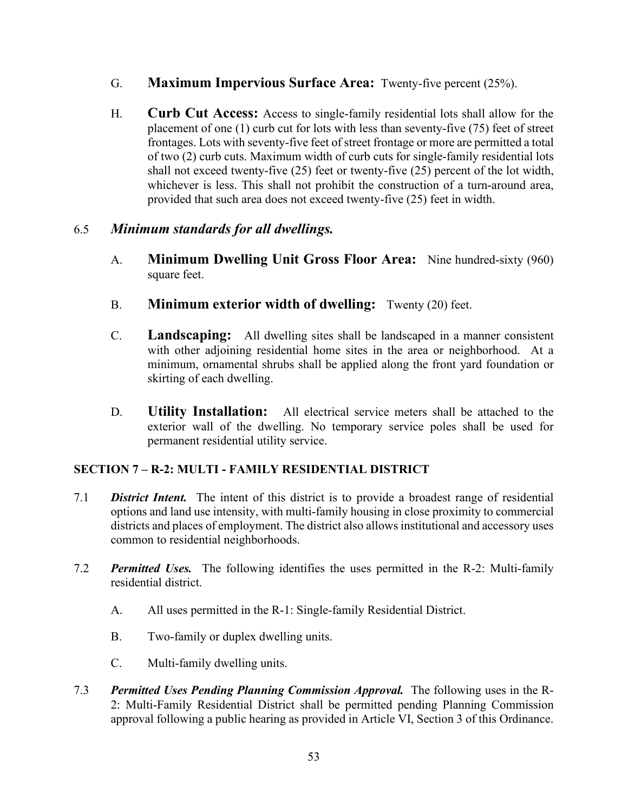- G. **Maximum Impervious Surface Area:** Twenty-five percent (25%).
- H. **Curb Cut Access:** Access to single-family residential lots shall allow for the placement of one (1) curb cut for lots with less than seventy-five (75) feet of street frontages. Lots with seventy-five feet of street frontage or more are permitted a total of two (2) curb cuts. Maximum width of curb cuts for single-family residential lots shall not exceed twenty-five (25) feet or twenty-five (25) percent of the lot width, whichever is less. This shall not prohibit the construction of a turn-around area, provided that such area does not exceed twenty-five (25) feet in width.

# 6.5 *Minimum standards for all dwellings.*

- A. **Minimum Dwelling Unit Gross Floor Area:** Nine hundred-sixty (960) square feet.
- B. **Minimum exterior width of dwelling:** Twenty (20) feet.
- C. **Landscaping:** All dwelling sites shall be landscaped in a manner consistent with other adjoining residential home sites in the area or neighborhood. At a minimum, ornamental shrubs shall be applied along the front yard foundation or skirting of each dwelling.
- D. **Utility Installation:** All electrical service meters shall be attached to the exterior wall of the dwelling. No temporary service poles shall be used for permanent residential utility service.

# **SECTION 7 – R-2: MULTI - FAMILY RESIDENTIAL DISTRICT**

- 7.1 *District Intent.* The intent of this district is to provide a broadest range of residential options and land use intensity, with multi-family housing in close proximity to commercial districts and places of employment. The district also allows institutional and accessory uses common to residential neighborhoods.
- 7.2 *Permitted Uses.* The following identifies the uses permitted in the R-2: Multi-family residential district.
	- A. All uses permitted in the R-1: Single-family Residential District.
	- B. Two-family or duplex dwelling units.
	- C. Multi-family dwelling units.
- 7.3 *Permitted Uses Pending Planning Commission Approval.* The following uses in the R-2: Multi-Family Residential District shall be permitted pending Planning Commission approval following a public hearing as provided in Article VI, Section 3 of this Ordinance.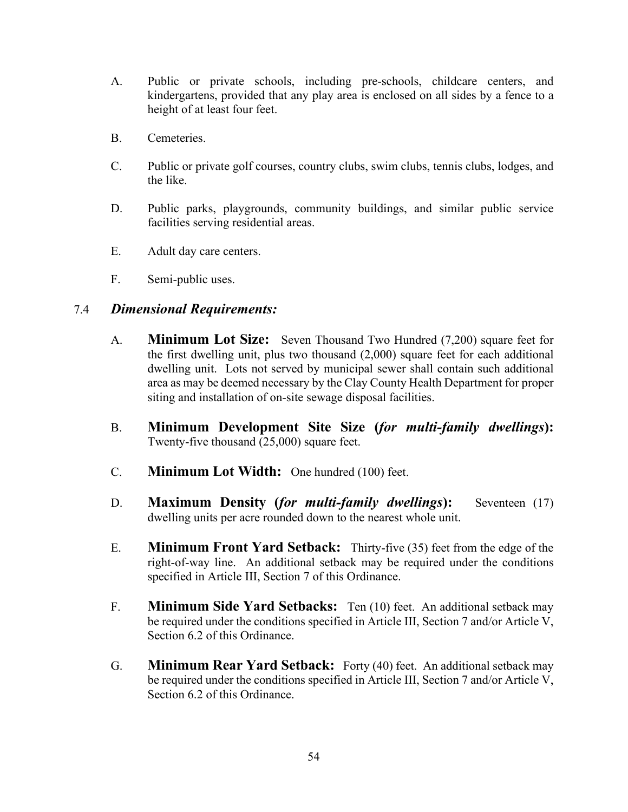- A. Public or private schools, including pre-schools, childcare centers, and kindergartens, provided that any play area is enclosed on all sides by a fence to a height of at least four feet.
- B. Cemeteries.
- C. Public or private golf courses, country clubs, swim clubs, tennis clubs, lodges, and the like.
- D. Public parks, playgrounds, community buildings, and similar public service facilities serving residential areas.
- E. Adult day care centers.
- F. Semi-public uses.

# 7.4 *Dimensional Requirements:*

- A. **Minimum Lot Size:** Seven Thousand Two Hundred (7,200) square feet for the first dwelling unit, plus two thousand (2,000) square feet for each additional dwelling unit. Lots not served by municipal sewer shall contain such additional area as may be deemed necessary by the Clay County Health Department for proper siting and installation of on-site sewage disposal facilities.
- B. **Minimum Development Site Size (***for multi-family dwellings***):** Twenty-five thousand (25,000) square feet.
- C. **Minimum Lot Width:** One hundred (100) feet.
- D. **Maximum Density (***for multi-family dwellings***):** Seventeen (17) dwelling units per acre rounded down to the nearest whole unit.
- E. **Minimum Front Yard Setback:** Thirty-five (35) feet from the edge of the right-of-way line. An additional setback may be required under the conditions specified in Article III, Section 7 of this Ordinance.
- F. **Minimum Side Yard Setbacks:** Ten (10) feet. An additional setback may be required under the conditions specified in Article III, Section 7 and/or Article V, Section 6.2 of this Ordinance.
- G. **Minimum Rear Yard Setback:** Forty (40) feet. An additional setback may be required under the conditions specified in Article III, Section 7 and/or Article V, Section 6.2 of this Ordinance.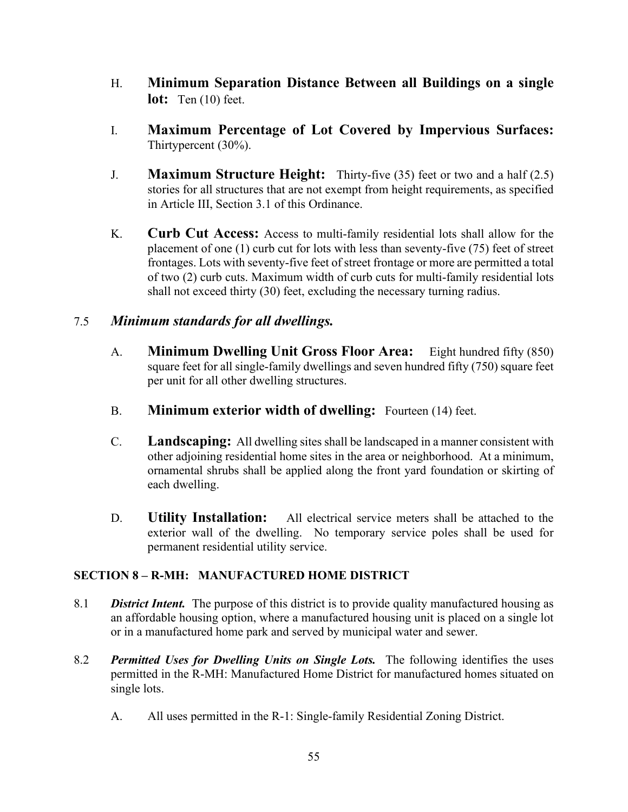- H. **Minimum Separation Distance Between all Buildings on a single lot:** Ten (10) feet.
- I. **Maximum Percentage of Lot Covered by Impervious Surfaces:** Thirtypercent (30%).
- J. **Maximum Structure Height:** Thirty-five (35) feet or two and a half (2.5) stories for all structures that are not exempt from height requirements, as specified in Article III, Section 3.1 of this Ordinance.
- K. **Curb Cut Access:** Access to multi-family residential lots shall allow for the placement of one (1) curb cut for lots with less than seventy-five (75) feet of street frontages. Lots with seventy-five feet of street frontage or more are permitted a total of two (2) curb cuts. Maximum width of curb cuts for multi-family residential lots shall not exceed thirty (30) feet, excluding the necessary turning radius.

# 7.5 *Minimum standards for all dwellings.*

- A. **Minimum Dwelling Unit Gross Floor Area:** Eight hundred fifty (850) square feet for all single-family dwellings and seven hundred fifty (750) square feet per unit for all other dwelling structures.
- B. **Minimum exterior width of dwelling:** Fourteen (14) feet.
- C. **Landscaping:** All dwelling sites shall be landscaped in a manner consistent with other adjoining residential home sites in the area or neighborhood. At a minimum, ornamental shrubs shall be applied along the front yard foundation or skirting of each dwelling.
- D. **Utility Installation:** All electrical service meters shall be attached to the exterior wall of the dwelling. No temporary service poles shall be used for permanent residential utility service.

# **SECTION 8 – R-MH: MANUFACTURED HOME DISTRICT**

- 8.1 *District Intent.* The purpose of this district is to provide quality manufactured housing as an affordable housing option, where a manufactured housing unit is placed on a single lot or in a manufactured home park and served by municipal water and sewer.
- 8.2 *Permitted Uses for Dwelling Units on Single Lots.* The following identifies the uses permitted in the R-MH: Manufactured Home District for manufactured homes situated on single lots.
	- A. All uses permitted in the R-1: Single-family Residential Zoning District.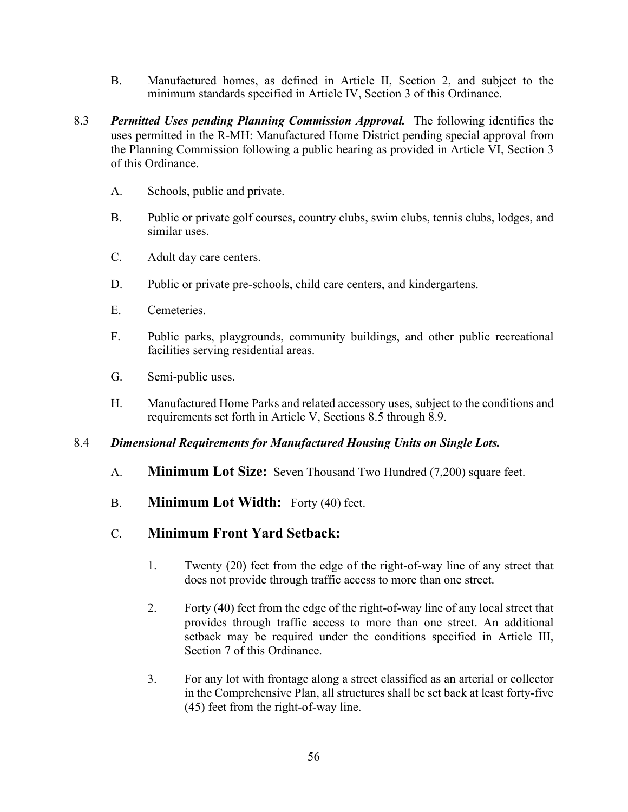- B. Manufactured homes, as defined in Article II, Section 2, and subject to the minimum standards specified in Article IV, Section 3 of this Ordinance.
- 8.3 *Permitted Uses pending Planning Commission Approval.* The following identifies the uses permitted in the R-MH: Manufactured Home District pending special approval from the Planning Commission following a public hearing as provided in Article VI, Section 3 of this Ordinance.
	- A. Schools, public and private.
	- B. Public or private golf courses, country clubs, swim clubs, tennis clubs, lodges, and similar uses.
	- C. Adult day care centers.
	- D. Public or private pre-schools, child care centers, and kindergartens.
	- E. Cemeteries.
	- F. Public parks, playgrounds, community buildings, and other public recreational facilities serving residential areas.
	- G. Semi-public uses.
	- H. Manufactured Home Parks and related accessory uses, subject to the conditions and requirements set forth in Article V, Sections 8.5 through 8.9.

#### 8.4 *Dimensional Requirements for Manufactured Housing Units on Single Lots.*

- A. **Minimum Lot Size:** Seven Thousand Two Hundred (7,200) square feet.
- B. **Minimum Lot Width:** Forty (40) feet.

# C. **Minimum Front Yard Setback:**

- 1. Twenty (20) feet from the edge of the right-of-way line of any street that does not provide through traffic access to more than one street.
- 2. Forty (40) feet from the edge of the right-of-way line of any local street that provides through traffic access to more than one street. An additional setback may be required under the conditions specified in Article III, Section 7 of this Ordinance.
- 3. For any lot with frontage along a street classified as an arterial or collector in the Comprehensive Plan, all structures shall be set back at least forty-five (45) feet from the right-of-way line.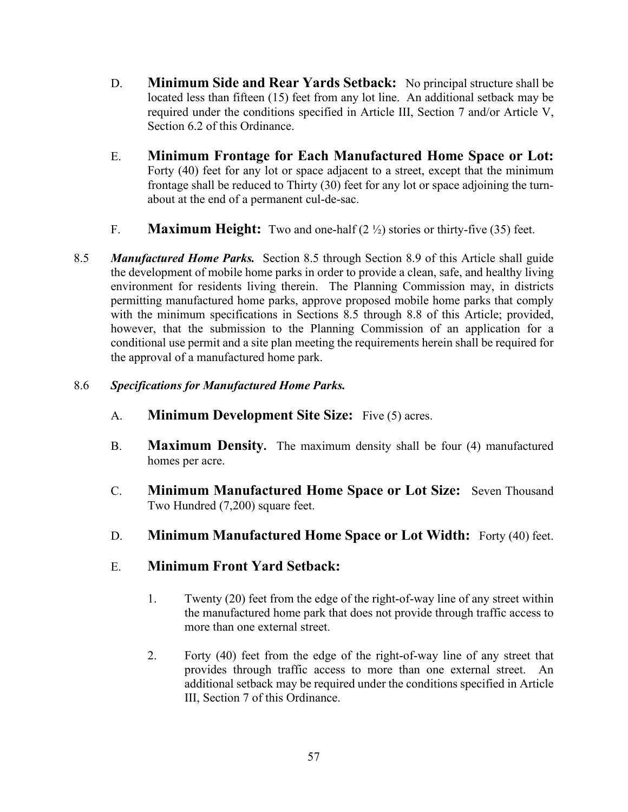- D. **Minimum Side and Rear Yards Setback:** No principal structure shall be located less than fifteen (15) feet from any lot line. An additional setback may be required under the conditions specified in Article III, Section 7 and/or Article V, Section 6.2 of this Ordinance.
- E. **Minimum Frontage for Each Manufactured Home Space or Lot:** Forty (40) feet for any lot or space adjacent to a street, except that the minimum frontage shall be reduced to Thirty (30) feet for any lot or space adjoining the turnabout at the end of a permanent cul-de-sac.
- F. **Maximum Height:** Two and one-half (2 ½) stories or thirty-five (35) feet.
- 8.5 *Manufactured Home Parks.* Section 8.5 through Section 8.9 of this Article shall guide the development of mobile home parks in order to provide a clean, safe, and healthy living environment for residents living therein. The Planning Commission may, in districts permitting manufactured home parks, approve proposed mobile home parks that comply with the minimum specifications in Sections 8.5 through 8.8 of this Article; provided, however, that the submission to the Planning Commission of an application for a conditional use permit and a site plan meeting the requirements herein shall be required for the approval of a manufactured home park.

### 8.6 *Specifications for Manufactured Home Parks.*

- A. **Minimum Development Site Size:** Five (5) acres.
- B. **Maximum Density.** The maximum density shall be four (4) manufactured homes per acre.
- C. **Minimum Manufactured Home Space or Lot Size:** Seven Thousand Two Hundred (7,200) square feet.
- D. **Minimum Manufactured Home Space or Lot Width:** Forty (40) feet.

# E. **Minimum Front Yard Setback:**

- 1. Twenty (20) feet from the edge of the right-of-way line of any street within the manufactured home park that does not provide through traffic access to more than one external street.
- 2. Forty (40) feet from the edge of the right-of-way line of any street that provides through traffic access to more than one external street. An additional setback may be required under the conditions specified in Article III, Section 7 of this Ordinance.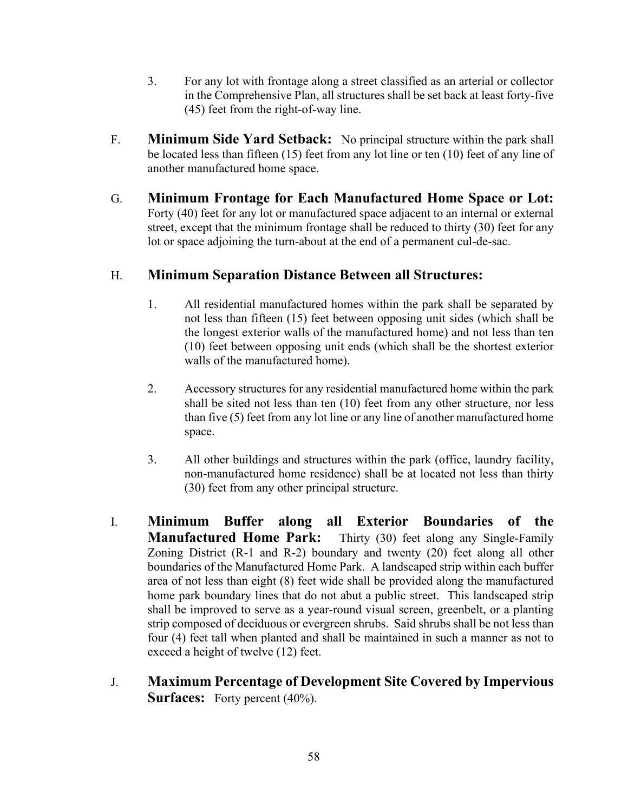- 3. For any lot with frontage along a street classified as an arterial or collector in the Comprehensive Plan, all structures shall be set back at least forty-five (45) feet from the right-of-way line.
- F. **Minimum Side Yard Setback:** No principal structure within the park shall be located less than fifteen (15) feet from any lot line or ten (10) feet of any line of another manufactured home space.
- G. **Minimum Frontage for Each Manufactured Home Space or Lot:** Forty (40) feet for any lot or manufactured space adjacent to an internal or external street, except that the minimum frontage shall be reduced to thirty (30) feet for any lot or space adjoining the turn-about at the end of a permanent cul-de-sac.

# H. **Minimum Separation Distance Between all Structures:**

- 1. All residential manufactured homes within the park shall be separated by not less than fifteen (15) feet between opposing unit sides (which shall be the longest exterior walls of the manufactured home) and not less than ten (10) feet between opposing unit ends (which shall be the shortest exterior walls of the manufactured home).
- 2. Accessory structures for any residential manufactured home within the park shall be sited not less than ten (10) feet from any other structure, nor less than five (5) feet from any lot line or any line of another manufactured home space.
- 3. All other buildings and structures within the park (office, laundry facility, non-manufactured home residence) shall be at located not less than thirty (30) feet from any other principal structure.
- I. **Minimum Buffer along all Exterior Boundaries of the Manufactured Home Park:** Thirty (30) feet along any Single-Family Zoning District (R-1 and R-2) boundary and twenty (20) feet along all other boundaries of the Manufactured Home Park.A landscaped strip within each buffer area of not less than eight (8) feet wide shall be provided along the manufactured home park boundary lines that do not abut a public street. This landscaped strip shall be improved to serve as a year-round visual screen, greenbelt, or a planting strip composed of deciduous or evergreen shrubs. Said shrubs shall be not less than four (4) feet tall when planted and shall be maintained in such a manner as not to exceed a height of twelve (12) feet.
- J. **Maximum Percentage of Development Site Covered by Impervious Surfaces:** Forty percent (40%).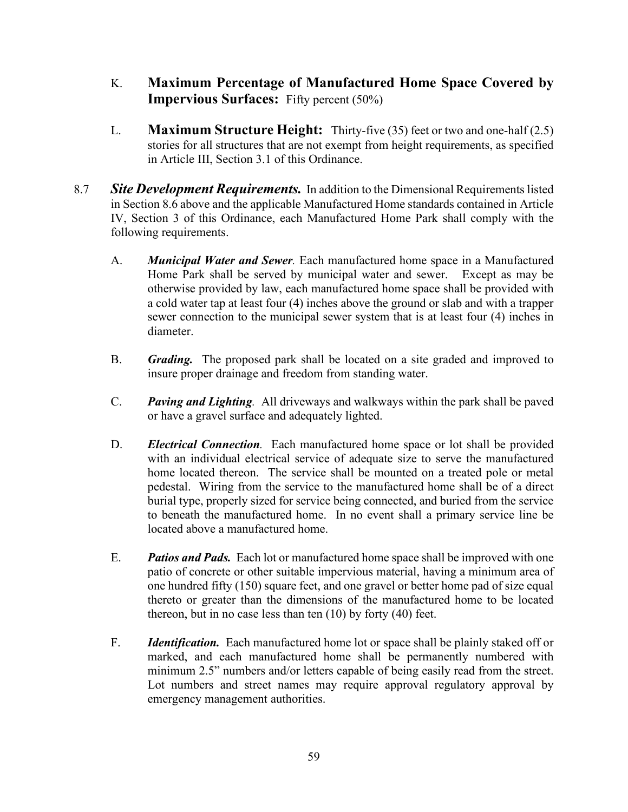- K. **Maximum Percentage of Manufactured Home Space Covered by Impervious Surfaces:** Fifty percent (50%)
- L. **Maximum Structure Height:** Thirty-five (35) feet or two and one-half (2.5) stories for all structures that are not exempt from height requirements, as specified in Article III, Section 3.1 of this Ordinance.
- 8.7 *Site Development Requirements.* In addition to the Dimensional Requirements listed in Section 8.6 above and the applicable Manufactured Home standards contained in Article IV, Section 3 of this Ordinance, each Manufactured Home Park shall comply with the following requirements.
	- A. *Municipal Water and Sewer.* Each manufactured home space in a Manufactured Home Park shall be served by municipal water and sewer. Except as may be otherwise provided by law, each manufactured home space shall be provided with a cold water tap at least four (4) inches above the ground or slab and with a trapper sewer connection to the municipal sewer system that is at least four (4) inches in diameter.
	- B. *Grading.* The proposed park shall be located on a site graded and improved to insure proper drainage and freedom from standing water.
	- C. *Paving and Lighting.* All driveways and walkways within the park shall be paved or have a gravel surface and adequately lighted.
	- D. *Electrical Connection.* Each manufactured home space or lot shall be provided with an individual electrical service of adequate size to serve the manufactured home located thereon. The service shall be mounted on a treated pole or metal pedestal. Wiring from the service to the manufactured home shall be of a direct burial type, properly sized for service being connected, and buried from the service to beneath the manufactured home. In no event shall a primary service line be located above a manufactured home.
	- E. *Patios and Pads.* Each lot or manufactured home space shall be improved with one patio of concrete or other suitable impervious material, having a minimum area of one hundred fifty (150) square feet, and one gravel or better home pad of size equal thereto or greater than the dimensions of the manufactured home to be located thereon, but in no case less than ten (10) by forty (40) feet.
	- F. *Identification.* Each manufactured home lot or space shall be plainly staked off or marked, and each manufactured home shall be permanently numbered with minimum 2.5" numbers and/or letters capable of being easily read from the street. Lot numbers and street names may require approval regulatory approval by emergency management authorities.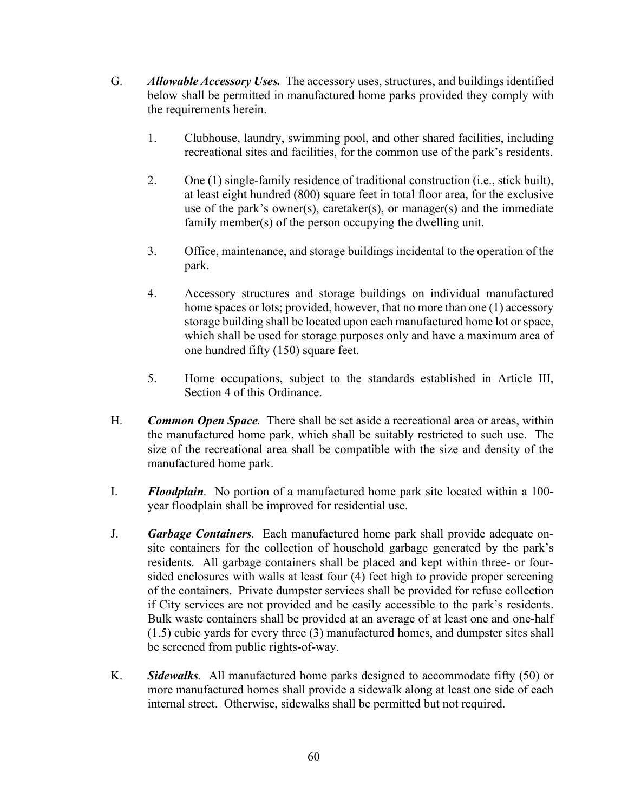- G. *Allowable Accessory Uses.* The accessory uses, structures, and buildings identified below shall be permitted in manufactured home parks provided they comply with the requirements herein.
	- 1. Clubhouse, laundry, swimming pool, and other shared facilities, including recreational sites and facilities, for the common use of the park's residents.
	- 2. One (1) single-family residence of traditional construction (i.e., stick built), at least eight hundred (800) square feet in total floor area, for the exclusive use of the park's owner(s), caretaker(s), or manager(s) and the immediate family member(s) of the person occupying the dwelling unit.
	- 3. Office, maintenance, and storage buildings incidental to the operation of the park.
	- 4. Accessory structures and storage buildings on individual manufactured home spaces or lots; provided, however, that no more than one (1) accessory storage building shall be located upon each manufactured home lot or space, which shall be used for storage purposes only and have a maximum area of one hundred fifty (150) square feet.
	- 5. Home occupations, subject to the standards established in Article III, Section 4 of this Ordinance.
- H. *Common Open Space.* There shall be set aside a recreational area or areas, within the manufactured home park, which shall be suitably restricted to such use. The size of the recreational area shall be compatible with the size and density of the manufactured home park.
- I. *Floodplain.* No portion of a manufactured home park site located within a 100 year floodplain shall be improved for residential use.
- J. *Garbage Containers.* Each manufactured home park shall provide adequate onsite containers for the collection of household garbage generated by the park's residents. All garbage containers shall be placed and kept within three- or foursided enclosures with walls at least four (4) feet high to provide proper screening of the containers. Private dumpster services shall be provided for refuse collection if City services are not provided and be easily accessible to the park's residents. Bulk waste containers shall be provided at an average of at least one and one-half (1.5) cubic yards for every three (3) manufactured homes, and dumpster sites shall be screened from public rights-of-way.
- K. *Sidewalks.* All manufactured home parks designed to accommodate fifty (50) or more manufactured homes shall provide a sidewalk along at least one side of each internal street. Otherwise, sidewalks shall be permitted but not required.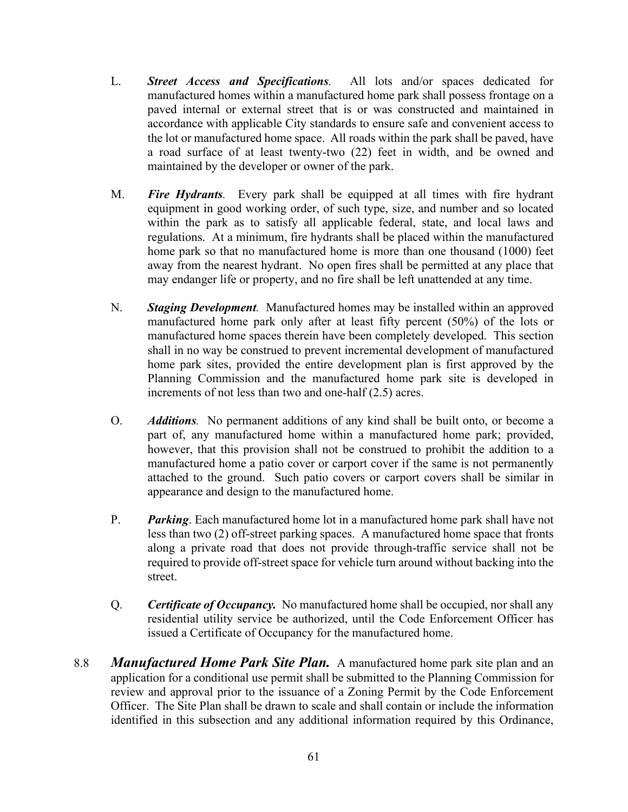- L. *Street Access and Specifications.* All lots and/or spaces dedicated for manufactured homes within a manufactured home park shall possess frontage on a paved internal or external street that is or was constructed and maintained in accordance with applicable City standards to ensure safe and convenient access to the lot or manufactured home space. All roads within the park shall be paved, have a road surface of at least twenty-two (22) feet in width, and be owned and maintained by the developer or owner of the park.
- M. *Fire Hydrants.* Every park shall be equipped at all times with fire hydrant equipment in good working order, of such type, size, and number and so located within the park as to satisfy all applicable federal, state, and local laws and regulations. At a minimum, fire hydrants shall be placed within the manufactured home park so that no manufactured home is more than one thousand (1000) feet away from the nearest hydrant. No open fires shall be permitted at any place that may endanger life or property, and no fire shall be left unattended at any time.
- N. *Staging Development.* Manufactured homes may be installed within an approved manufactured home park only after at least fifty percent (50%) of the lots or manufactured home spaces therein have been completely developed. This section shall in no way be construed to prevent incremental development of manufactured home park sites, provided the entire development plan is first approved by the Planning Commission and the manufactured home park site is developed in increments of not less than two and one-half (2.5) acres.
- O. *Additions.* No permanent additions of any kind shall be built onto, or become a part of, any manufactured home within a manufactured home park; provided, however, that this provision shall not be construed to prohibit the addition to a manufactured home a patio cover or carport cover if the same is not permanently attached to the ground. Such patio covers or carport covers shall be similar in appearance and design to the manufactured home.
- P. *Parking*. Each manufactured home lot in a manufactured home park shall have not less than two (2) off-street parking spaces. A manufactured home space that fronts along a private road that does not provide through-traffic service shall not be required to provide off-street space for vehicle turn around without backing into the street.
- Q. *Certificate of Occupancy.* No manufactured home shall be occupied, nor shall any residential utility service be authorized, until the Code Enforcement Officer has issued a Certificate of Occupancy for the manufactured home.
- 8.8 *Manufactured Home Park Site Plan.* A manufactured home park site plan and an application for a conditional use permit shall be submitted to the Planning Commission for review and approval prior to the issuance of a Zoning Permit by the Code Enforcement Officer. The Site Plan shall be drawn to scale and shall contain or include the information identified in this subsection and any additional information required by this Ordinance,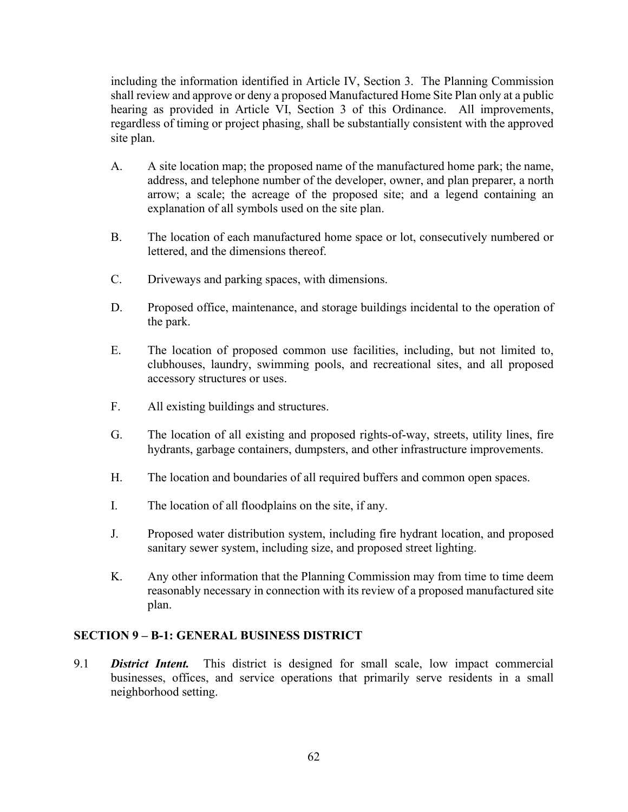including the information identified in Article IV, Section 3. The Planning Commission shall review and approve or deny a proposed Manufactured Home Site Plan only at a public hearing as provided in Article VI, Section 3 of this Ordinance. All improvements, regardless of timing or project phasing, shall be substantially consistent with the approved site plan.

- A. A site location map; the proposed name of the manufactured home park; the name, address, and telephone number of the developer, owner, and plan preparer, a north arrow; a scale; the acreage of the proposed site; and a legend containing an explanation of all symbols used on the site plan.
- B. The location of each manufactured home space or lot, consecutively numbered or lettered, and the dimensions thereof.
- C. Driveways and parking spaces, with dimensions.
- D. Proposed office, maintenance, and storage buildings incidental to the operation of the park.
- E. The location of proposed common use facilities, including, but not limited to, clubhouses, laundry, swimming pools, and recreational sites, and all proposed accessory structures or uses.
- F. All existing buildings and structures.
- G. The location of all existing and proposed rights-of-way, streets, utility lines, fire hydrants, garbage containers, dumpsters, and other infrastructure improvements.
- H. The location and boundaries of all required buffers and common open spaces.
- I. The location of all floodplains on the site, if any.
- J. Proposed water distribution system, including fire hydrant location, and proposed sanitary sewer system, including size, and proposed street lighting.
- K. Any other information that the Planning Commission may from time to time deem reasonably necessary in connection with its review of a proposed manufactured site plan.

#### **SECTION 9 – B-1: GENERAL BUSINESS DISTRICT**

9.1 *District Intent.* This district is designed for small scale, low impact commercial businesses, offices, and service operations that primarily serve residents in a small neighborhood setting.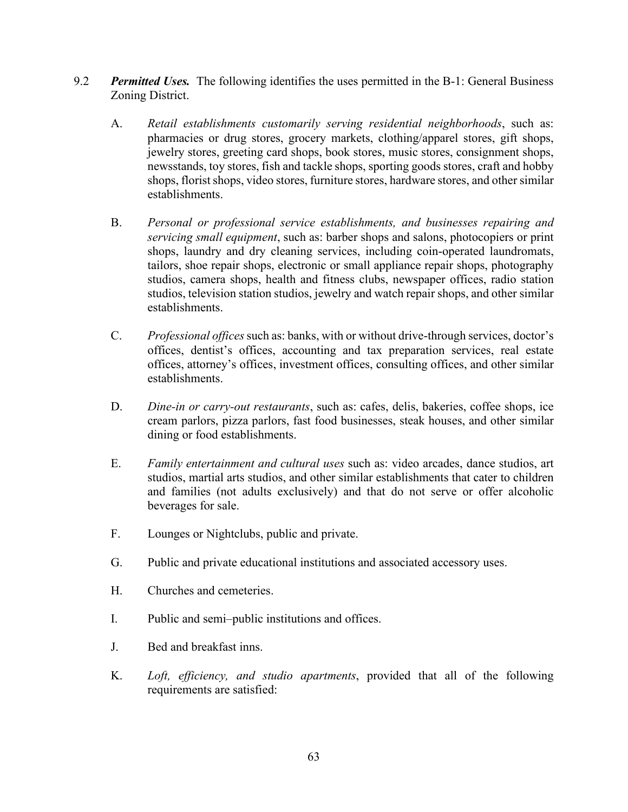- 9.2 **Permitted Uses.** The following identifies the uses permitted in the B-1: General Business Zoning District.
	- A. *Retail establishments customarily serving residential neighborhoods*, such as: pharmacies or drug stores, grocery markets, clothing/apparel stores, gift shops, jewelry stores, greeting card shops, book stores, music stores, consignment shops, newsstands, toy stores, fish and tackle shops, sporting goods stores, craft and hobby shops, florist shops, video stores, furniture stores, hardware stores, and other similar establishments.
	- B. *Personal or professional service establishments, and businesses repairing and servicing small equipment*, such as: barber shops and salons, photocopiers or print shops, laundry and dry cleaning services, including coin-operated laundromats, tailors, shoe repair shops, electronic or small appliance repair shops, photography studios, camera shops, health and fitness clubs, newspaper offices, radio station studios, television station studios, jewelry and watch repair shops, and other similar establishments.
	- C. *Professional offices*such as: banks, with or without drive-through services, doctor's offices, dentist's offices, accounting and tax preparation services, real estate offices, attorney's offices, investment offices, consulting offices, and other similar establishments.
	- D. *Dine-in or carry-out restaurants*, such as: cafes, delis, bakeries, coffee shops, ice cream parlors, pizza parlors, fast food businesses, steak houses, and other similar dining or food establishments.
	- E. *Family entertainment and cultural uses* such as: video arcades, dance studios, art studios, martial arts studios, and other similar establishments that cater to children and families (not adults exclusively) and that do not serve or offer alcoholic beverages for sale.
	- F. Lounges or Nightclubs, public and private.
	- G. Public and private educational institutions and associated accessory uses.
	- H. Churches and cemeteries.
	- I. Public and semi–public institutions and offices.
	- J. Bed and breakfast inns.
	- K. *Loft, efficiency, and studio apartments*, provided that all of the following requirements are satisfied: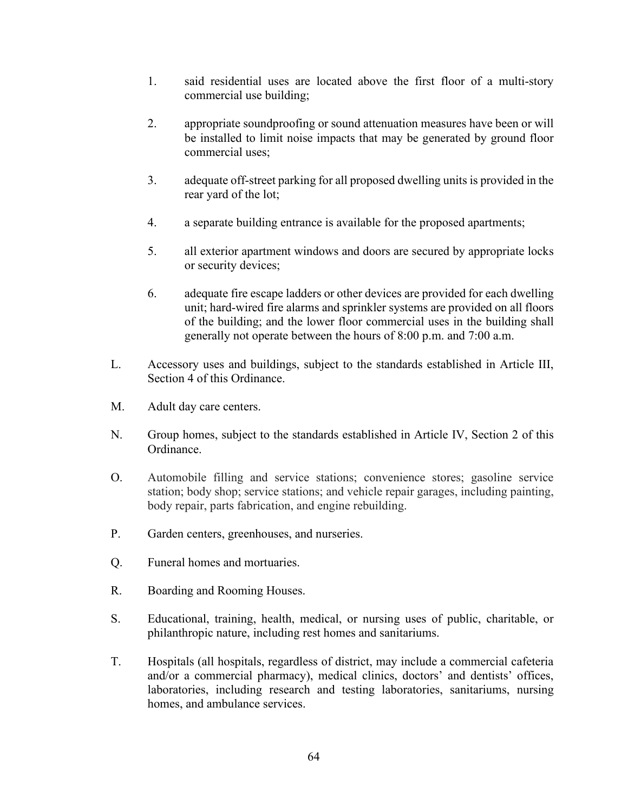- 1. said residential uses are located above the first floor of a multi-story commercial use building;
- 2. appropriate soundproofing or sound attenuation measures have been or will be installed to limit noise impacts that may be generated by ground floor commercial uses;
- 3. adequate off-street parking for all proposed dwelling units is provided in the rear yard of the lot;
- 4. a separate building entrance is available for the proposed apartments;
- 5. all exterior apartment windows and doors are secured by appropriate locks or security devices;
- 6. adequate fire escape ladders or other devices are provided for each dwelling unit; hard-wired fire alarms and sprinkler systems are provided on all floors of the building; and the lower floor commercial uses in the building shall generally not operate between the hours of 8:00 p.m. and 7:00 a.m.
- L. Accessory uses and buildings, subject to the standards established in Article III, Section 4 of this Ordinance.
- M. Adult day care centers.
- N. Group homes, subject to the standards established in Article IV, Section 2 of this Ordinance.
- O. Automobile filling and service stations; convenience stores; gasoline service station; body shop; service stations; and vehicle repair garages, including painting, body repair, parts fabrication, and engine rebuilding.
- P. Garden centers, greenhouses, and nurseries.
- Q. Funeral homes and mortuaries.
- R. Boarding and Rooming Houses.
- S. Educational, training, health, medical, or nursing uses of public, charitable, or philanthropic nature, including rest homes and sanitariums.
- T. Hospitals (all hospitals, regardless of district, may include a commercial cafeteria and/or a commercial pharmacy), medical clinics, doctors' and dentists' offices, laboratories, including research and testing laboratories, sanitariums, nursing homes, and ambulance services.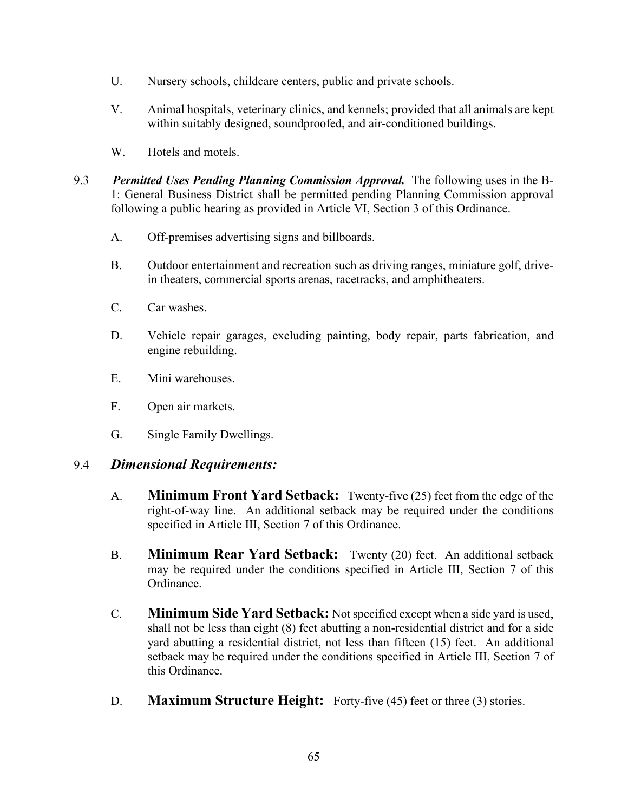- U. Nursery schools, childcare centers, public and private schools.
- V. Animal hospitals, veterinary clinics, and kennels; provided that all animals are kept within suitably designed, soundproofed, and air-conditioned buildings.
- W. Hotels and motels.
- 9.3 *Permitted Uses Pending Planning Commission Approval.* The following uses in the B-1: General Business District shall be permitted pending Planning Commission approval following a public hearing as provided in Article VI, Section 3 of this Ordinance.
	- A. Off-premises advertising signs and billboards.
	- B. Outdoor entertainment and recreation such as driving ranges, miniature golf, drivein theaters, commercial sports arenas, racetracks, and amphitheaters.
	- C. Car washes.
	- D. Vehicle repair garages, excluding painting, body repair, parts fabrication, and engine rebuilding.
	- E. Mini warehouses.
	- F. Open air markets.
	- G. Single Family Dwellings.

### 9.4 *Dimensional Requirements:*

- A. **Minimum Front Yard Setback:** Twenty-five (25) feet from the edge of the right-of-way line. An additional setback may be required under the conditions specified in Article III, Section 7 of this Ordinance.
- B. **Minimum Rear Yard Setback:** Twenty (20) feet. An additional setback may be required under the conditions specified in Article III, Section 7 of this Ordinance.
- C. **Minimum Side Yard Setback:** Not specified except when a side yard is used, shall not be less than eight (8) feet abutting a non-residential district and for a side yard abutting a residential district, not less than fifteen (15) feet. An additional setback may be required under the conditions specified in Article III, Section 7 of this Ordinance.
- D. **Maximum Structure Height:** Forty-five (45) feet or three (3) stories.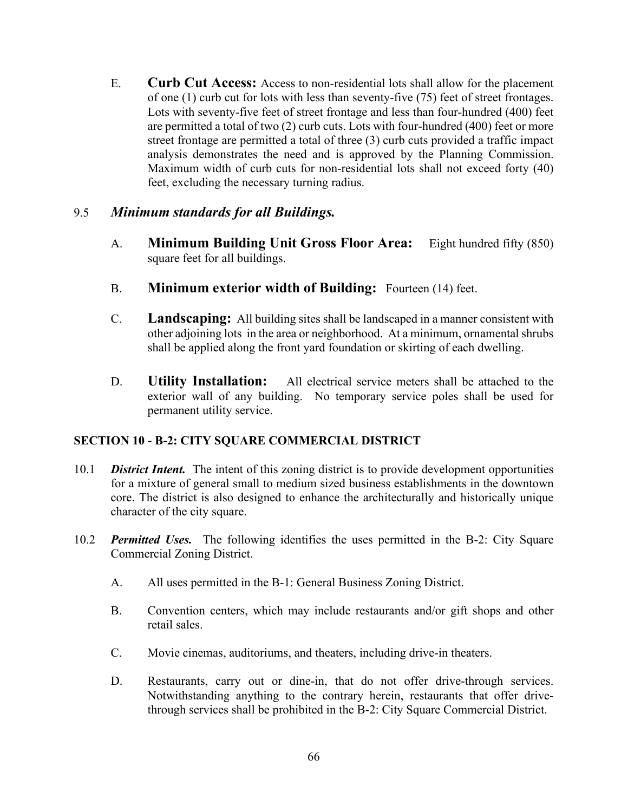E. **Curb Cut Access:** Access to non-residential lots shall allow for the placement of one (1) curb cut for lots with less than seventy-five (75) feet of street frontages. Lots with seventy-five feet of street frontage and less than four-hundred (400) feet are permitted a total of two (2) curb cuts. Lots with four-hundred (400) feet or more street frontage are permitted a total of three (3) curb cuts provided a traffic impact analysis demonstrates the need and is approved by the Planning Commission. Maximum width of curb cuts for non-residential lots shall not exceed forty (40) feet, excluding the necessary turning radius.

# 9.5 *Minimum standards for all Buildings.*

- A. **Minimum Building Unit Gross Floor Area:** Eight hundred fifty (850) square feet for all buildings.
- B. **Minimum exterior width of Building:** Fourteen (14) feet.
- C. **Landscaping:** All building sites shall be landscaped in a manner consistent with other adjoining lots in the area or neighborhood. At a minimum, ornamental shrubs shall be applied along the front yard foundation or skirting of each dwelling.
- D. **Utility Installation:** All electrical service meters shall be attached to the exterior wall of any building. No temporary service poles shall be used for permanent utility service.

### **SECTION 10 - B-2: CITY SQUARE COMMERCIAL DISTRICT**

- 10.1 *District Intent.* The intent of this zoning district is to provide development opportunities for a mixture of general small to medium sized business establishments in the downtown core. The district is also designed to enhance the architecturally and historically unique character of the city square.
- 10.2 *Permitted Uses.* The following identifies the uses permitted in the B-2: City Square Commercial Zoning District.
	- A. All uses permitted in the B-1: General Business Zoning District.
	- B. Convention centers, which may include restaurants and/or gift shops and other retail sales.
	- C. Movie cinemas, auditoriums, and theaters, including drive-in theaters.
	- D. Restaurants, carry out or dine-in, that do not offer drive-through services. Notwithstanding anything to the contrary herein, restaurants that offer drivethrough services shall be prohibited in the B-2: City Square Commercial District.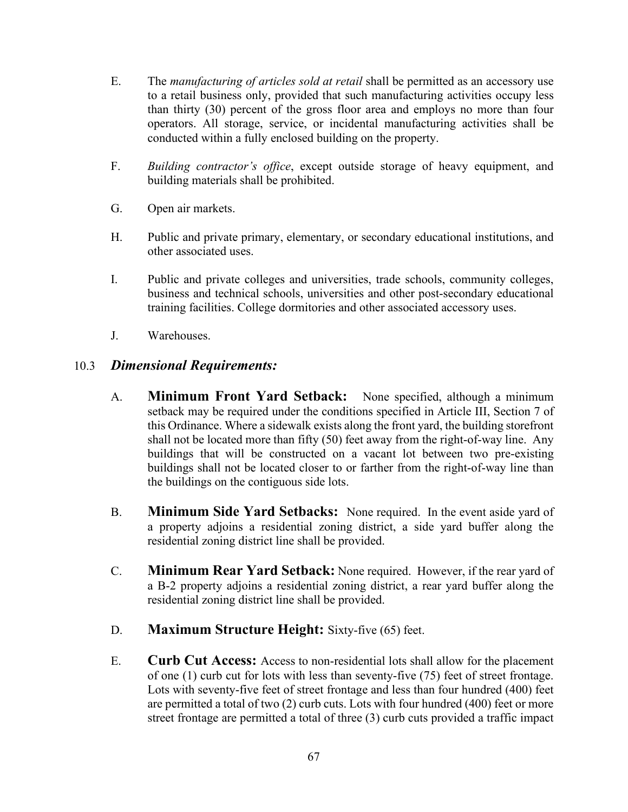- E. The *manufacturing of articles sold at retail* shall be permitted as an accessory use to a retail business only, provided that such manufacturing activities occupy less than thirty (30) percent of the gross floor area and employs no more than four operators. All storage, service, or incidental manufacturing activities shall be conducted within a fully enclosed building on the property.
- F. *Building contractor's office*, except outside storage of heavy equipment, and building materials shall be prohibited.
- G. Open air markets.
- H. Public and private primary, elementary, or secondary educational institutions, and other associated uses.
- I. Public and private colleges and universities, trade schools, community colleges, business and technical schools, universities and other post-secondary educational training facilities. College dormitories and other associated accessory uses.
- J. Warehouses.

# 10.3 *Dimensional Requirements:*

- A. **Minimum Front Yard Setback:** None specified, although a minimum setback may be required under the conditions specified in Article III, Section 7 of this Ordinance. Where a sidewalk exists along the front yard, the building storefront shall not be located more than fifty (50) feet away from the right-of-way line. Any buildings that will be constructed on a vacant lot between two pre-existing buildings shall not be located closer to or farther from the right-of-way line than the buildings on the contiguous side lots.
- B. **Minimum Side Yard Setbacks:** None required. In the event aside yard of a property adjoins a residential zoning district, a side yard buffer along the residential zoning district line shall be provided.
- C. **Minimum Rear Yard Setback:** None required. However, if the rear yard of a B-2 property adjoins a residential zoning district, a rear yard buffer along the residential zoning district line shall be provided.
- D. **Maximum Structure Height:** Sixty-five (65) feet.
- E. **Curb Cut Access:** Access to non-residential lots shall allow for the placement of one (1) curb cut for lots with less than seventy-five (75) feet of street frontage. Lots with seventy-five feet of street frontage and less than four hundred (400) feet are permitted a total of two (2) curb cuts. Lots with four hundred (400) feet or more street frontage are permitted a total of three (3) curb cuts provided a traffic impact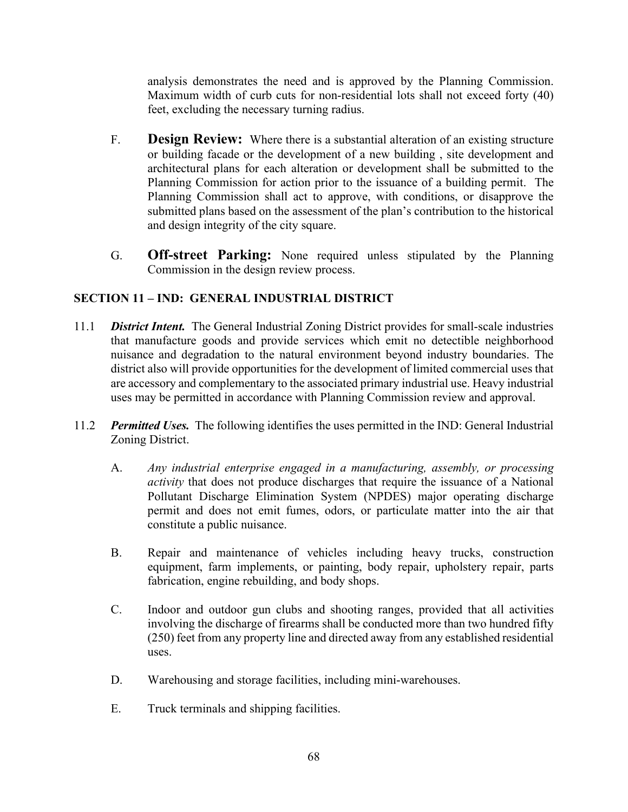analysis demonstrates the need and is approved by the Planning Commission. Maximum width of curb cuts for non-residential lots shall not exceed forty (40) feet, excluding the necessary turning radius.

- F. **Design Review:** Where there is a substantial alteration of an existing structure or building facade or the development of a new building , site development and architectural plans for each alteration or development shall be submitted to the Planning Commission for action prior to the issuance of a building permit. The Planning Commission shall act to approve, with conditions, or disapprove the submitted plans based on the assessment of the plan's contribution to the historical and design integrity of the city square.
- G. **Off-street Parking:** None required unless stipulated by the Planning Commission in the design review process.

# **SECTION 11 – IND: GENERAL INDUSTRIAL DISTRICT**

- 11.1 *District Intent.* The General Industrial Zoning District provides for small-scale industries that manufacture goods and provide services which emit no detectible neighborhood nuisance and degradation to the natural environment beyond industry boundaries. The district also will provide opportunities for the development of limited commercial uses that are accessory and complementary to the associated primary industrial use. Heavy industrial uses may be permitted in accordance with Planning Commission review and approval.
- 11.2 *Permitted Uses.* The following identifies the uses permitted in the IND: General Industrial Zoning District.
	- A. *Any industrial enterprise engaged in a manufacturing, assembly, or processing activity* that does not produce discharges that require the issuance of a National Pollutant Discharge Elimination System (NPDES) major operating discharge permit and does not emit fumes, odors, or particulate matter into the air that constitute a public nuisance.
	- B. Repair and maintenance of vehicles including heavy trucks, construction equipment, farm implements, or painting, body repair, upholstery repair, parts fabrication, engine rebuilding, and body shops.
	- C. Indoor and outdoor gun clubs and shooting ranges, provided that all activities involving the discharge of firearms shall be conducted more than two hundred fifty (250) feet from any property line and directed away from any established residential uses.
	- D. Warehousing and storage facilities, including mini-warehouses.
	- E. Truck terminals and shipping facilities.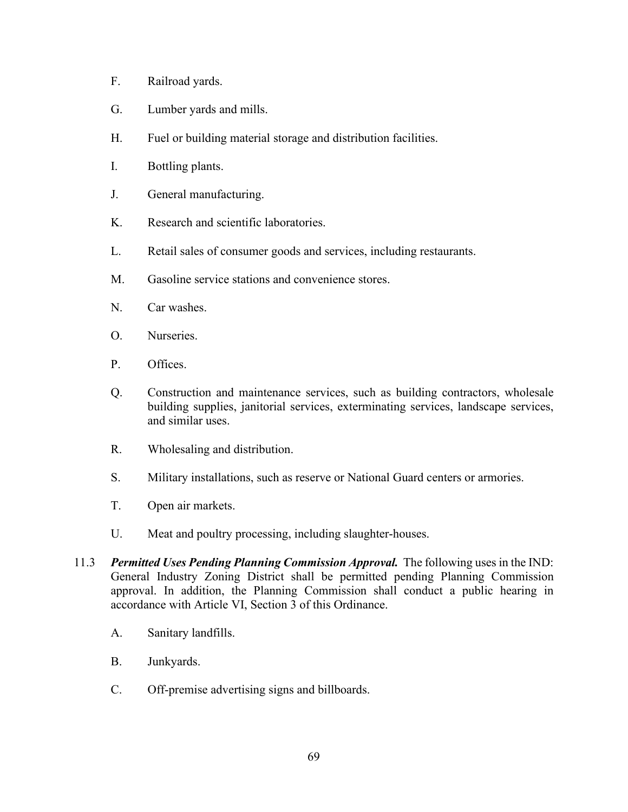- F. Railroad yards.
- G. Lumber yards and mills.
- H. Fuel or building material storage and distribution facilities.
- I. Bottling plants.
- J. General manufacturing.
- K. Research and scientific laboratories.
- L. Retail sales of consumer goods and services, including restaurants.
- M. Gasoline service stations and convenience stores.
- N. Car washes.
- O. Nurseries.
- P. Offices.
- Q. Construction and maintenance services, such as building contractors, wholesale building supplies, janitorial services, exterminating services, landscape services, and similar uses.
- R. Wholesaling and distribution.
- S. Military installations, such as reserve or National Guard centers or armories.
- T. Open air markets.
- U. Meat and poultry processing, including slaughter-houses.
- 11.3 *Permitted Uses Pending Planning Commission Approval.* The following uses in the IND: General Industry Zoning District shall be permitted pending Planning Commission approval. In addition, the Planning Commission shall conduct a public hearing in accordance with Article VI, Section 3 of this Ordinance.
	- A. Sanitary landfills.
	- B. Junkyards.
	- C. Off-premise advertising signs and billboards.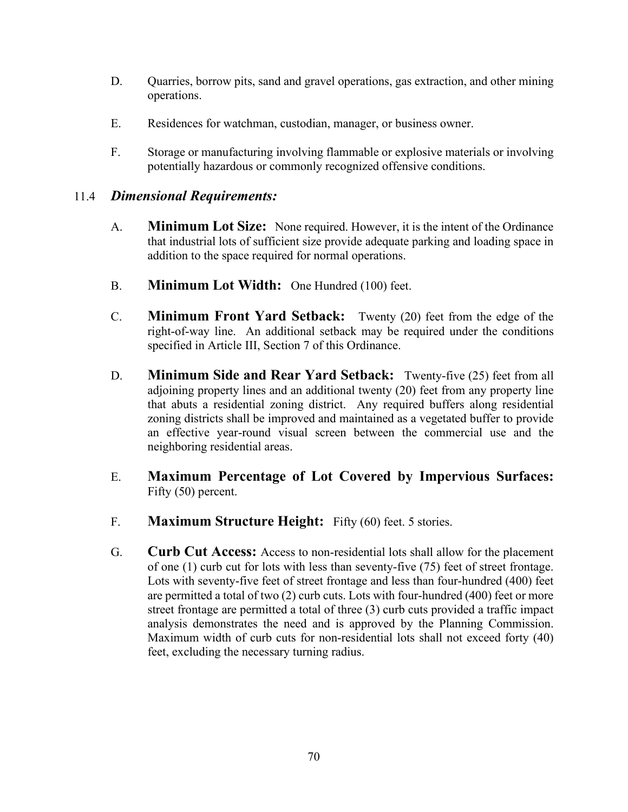- D. Quarries, borrow pits, sand and gravel operations, gas extraction, and other mining operations.
- E. Residences for watchman, custodian, manager, or business owner.
- F. Storage or manufacturing involving flammable or explosive materials or involving potentially hazardous or commonly recognized offensive conditions.

# 11.4 *Dimensional Requirements:*

- A. **Minimum Lot Size:** None required. However, it is the intent of the Ordinance that industrial lots of sufficient size provide adequate parking and loading space in addition to the space required for normal operations.
- B. **Minimum Lot Width:** One Hundred (100) feet.
- C. **Minimum Front Yard Setback:** Twenty (20) feet from the edge of the right-of-way line. An additional setback may be required under the conditions specified in Article III, Section 7 of this Ordinance.
- D. **Minimum Side and Rear Yard Setback:** Twenty-five (25) feet from all adjoining property lines and an additional twenty (20) feet from any property line that abuts a residential zoning district. Any required buffers along residential zoning districts shall be improved and maintained as a vegetated buffer to provide an effective year-round visual screen between the commercial use and the neighboring residential areas.
- E. **Maximum Percentage of Lot Covered by Impervious Surfaces:** Fifty (50) percent.
- F. **Maximum Structure Height:** Fifty (60) feet. 5 stories.
- G. **Curb Cut Access:** Access to non-residential lots shall allow for the placement of one (1) curb cut for lots with less than seventy-five (75) feet of street frontage. Lots with seventy-five feet of street frontage and less than four-hundred (400) feet are permitted a total of two (2) curb cuts. Lots with four-hundred (400) feet or more street frontage are permitted a total of three (3) curb cuts provided a traffic impact analysis demonstrates the need and is approved by the Planning Commission. Maximum width of curb cuts for non-residential lots shall not exceed forty (40) feet, excluding the necessary turning radius.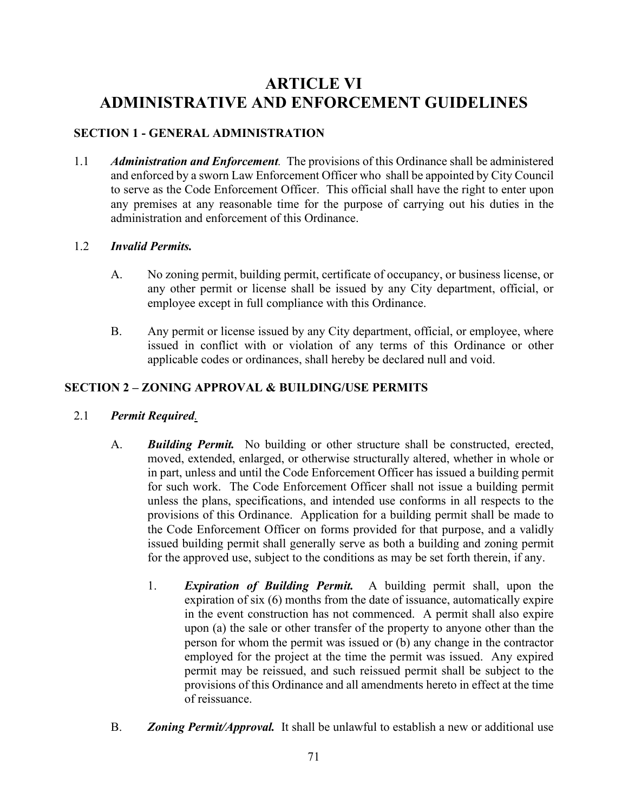# **ARTICLE VI ADMINISTRATIVE AND ENFORCEMENT GUIDELINES**

# **SECTION 1 - GENERAL ADMINISTRATION**

1.1 *Administration and Enforcement.* The provisions of this Ordinance shall be administered and enforced by a sworn Law Enforcement Officer who shall be appointed by City Council to serve as the Code Enforcement Officer. This official shall have the right to enter upon any premises at any reasonable time for the purpose of carrying out his duties in the administration and enforcement of this Ordinance.

### 1.2 *Invalid Permits.*

- A. No zoning permit, building permit, certificate of occupancy, or business license, or any other permit or license shall be issued by any City department, official, or employee except in full compliance with this Ordinance.
- B. Any permit or license issued by any City department, official, or employee, where issued in conflict with or violation of any terms of this Ordinance or other applicable codes or ordinances, shall hereby be declared null and void.

# **SECTION 2 – ZONING APPROVAL & BUILDING/USE PERMITS**

- 2.1 *Permit Required.* 
	- A. *Building Permit.* No building or other structure shall be constructed, erected, moved, extended, enlarged, or otherwise structurally altered, whether in whole or in part, unless and until the Code Enforcement Officer has issued a building permit for such work. The Code Enforcement Officer shall not issue a building permit unless the plans, specifications, and intended use conforms in all respects to the provisions of this Ordinance. Application for a building permit shall be made to the Code Enforcement Officer on forms provided for that purpose, and a validly issued building permit shall generally serve as both a building and zoning permit for the approved use, subject to the conditions as may be set forth therein, if any.
		- 1. *Expiration of Building Permit.* A building permit shall, upon the expiration of six (6) months from the date of issuance, automatically expire in the event construction has not commenced. A permit shall also expire upon (a) the sale or other transfer of the property to anyone other than the person for whom the permit was issued or (b) any change in the contractor employed for the project at the time the permit was issued. Any expired permit may be reissued, and such reissued permit shall be subject to the provisions of this Ordinance and all amendments hereto in effect at the time of reissuance.
	- B. *Zoning Permit/Approval.* It shall be unlawful to establish a new or additional use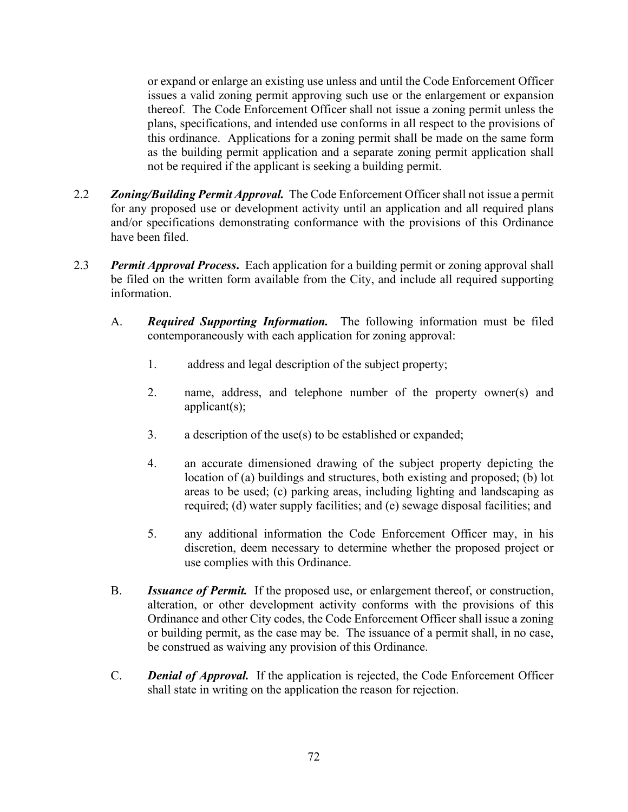or expand or enlarge an existing use unless and until the Code Enforcement Officer issues a valid zoning permit approving such use or the enlargement or expansion thereof. The Code Enforcement Officer shall not issue a zoning permit unless the plans, specifications, and intended use conforms in all respect to the provisions of this ordinance. Applications for a zoning permit shall be made on the same form as the building permit application and a separate zoning permit application shall not be required if the applicant is seeking a building permit.

- 2.2 *Zoning/Building Permit Approval.* The Code Enforcement Officer shall not issue a permit for any proposed use or development activity until an application and all required plans and/or specifications demonstrating conformance with the provisions of this Ordinance have been filed.
- 2.3 *Permit Approval Process***.** Each application for a building permit or zoning approval shall be filed on the written form available from the City, and include all required supporting information.
	- A. *Required Supporting Information.* The following information must be filed contemporaneously with each application for zoning approval:
		- 1. address and legal description of the subject property;
		- 2. name, address, and telephone number of the property owner(s) and applicant(s);
		- 3. a description of the use(s) to be established or expanded;
		- 4. an accurate dimensioned drawing of the subject property depicting the location of (a) buildings and structures, both existing and proposed; (b) lot areas to be used; (c) parking areas, including lighting and landscaping as required; (d) water supply facilities; and (e) sewage disposal facilities; and
		- 5. any additional information the Code Enforcement Officer may, in his discretion, deem necessary to determine whether the proposed project or use complies with this Ordinance.
	- B. *Issuance of Permit.* If the proposed use, or enlargement thereof, or construction, alteration, or other development activity conforms with the provisions of this Ordinance and other City codes, the Code Enforcement Officer shall issue a zoning or building permit, as the case may be. The issuance of a permit shall, in no case, be construed as waiving any provision of this Ordinance.
	- C. *Denial of Approval.* If the application is rejected, the Code Enforcement Officer shall state in writing on the application the reason for rejection.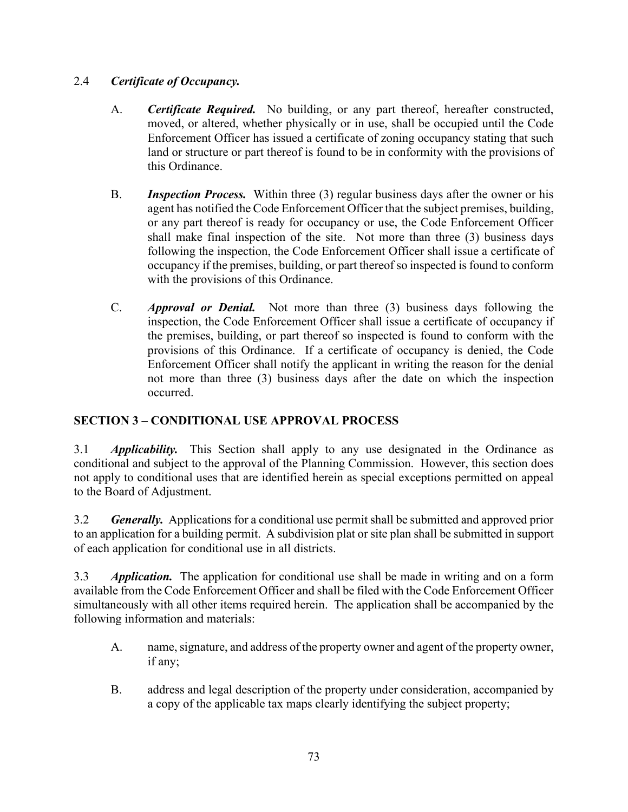# 2.4 *Certificate of Occupancy.*

- A. *Certificate Required.* No building, or any part thereof, hereafter constructed, moved, or altered, whether physically or in use, shall be occupied until the Code Enforcement Officer has issued a certificate of zoning occupancy stating that such land or structure or part thereof is found to be in conformity with the provisions of this Ordinance.
- B. *Inspection Process.* Within three (3) regular business days after the owner or his agent has notified the Code Enforcement Officer that the subject premises, building, or any part thereof is ready for occupancy or use, the Code Enforcement Officer shall make final inspection of the site. Not more than three (3) business days following the inspection, the Code Enforcement Officer shall issue a certificate of occupancy if the premises, building, or part thereof so inspected is found to conform with the provisions of this Ordinance.
- C. *Approval or Denial.* Not more than three (3) business days following the inspection, the Code Enforcement Officer shall issue a certificate of occupancy if the premises, building, or part thereof so inspected is found to conform with the provisions of this Ordinance. If a certificate of occupancy is denied, the Code Enforcement Officer shall notify the applicant in writing the reason for the denial not more than three (3) business days after the date on which the inspection occurred.

# **SECTION 3 – CONDITIONAL USE APPROVAL PROCESS**

3.1 *Applicability.*This Section shall apply to any use designated in the Ordinance as conditional and subject to the approval of the Planning Commission. However, this section does not apply to conditional uses that are identified herein as special exceptions permitted on appeal to the Board of Adjustment.

3.2 *Generally.* Applications for a conditional use permit shall be submitted and approved prior to an application for a building permit. A subdivision plat or site plan shall be submitted in support of each application for conditional use in all districts.

3.3 *Application.* The application for conditional use shall be made in writing and on a form available from the Code Enforcement Officer and shall be filed with the Code Enforcement Officer simultaneously with all other items required herein. The application shall be accompanied by the following information and materials:

- A. name, signature, and address of the property owner and agent of the property owner, if any;
- B. address and legal description of the property under consideration, accompanied by a copy of the applicable tax maps clearly identifying the subject property;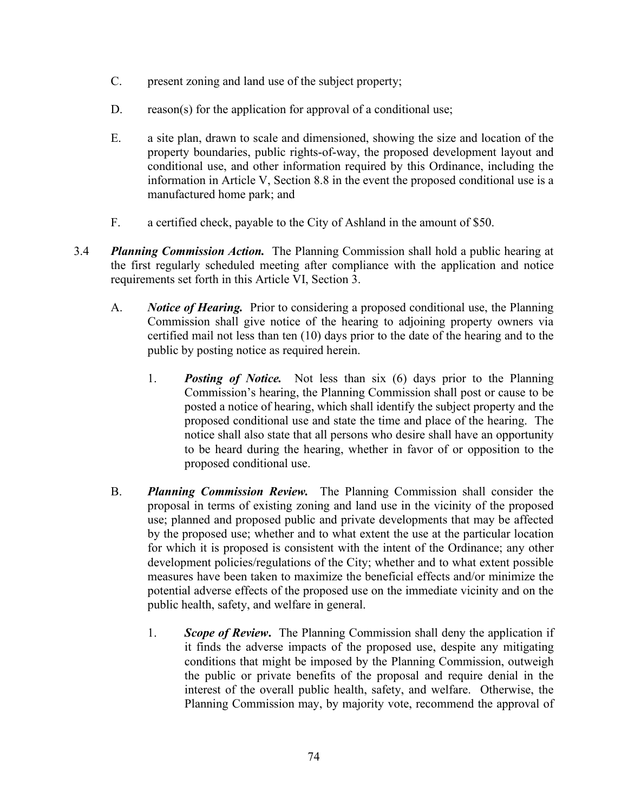- C. present zoning and land use of the subject property;
- D. reason(s) for the application for approval of a conditional use;
- E. a site plan, drawn to scale and dimensioned, showing the size and location of the property boundaries, public rights-of-way, the proposed development layout and conditional use, and other information required by this Ordinance, including the information in Article V, Section 8.8 in the event the proposed conditional use is a manufactured home park; and
- F. a certified check, payable to the City of Ashland in the amount of \$50.
- 3.4 *Planning Commission Action.* The Planning Commission shall hold a public hearing at the first regularly scheduled meeting after compliance with the application and notice requirements set forth in this Article VI, Section 3.
	- A. *Notice of Hearing.* Prior to considering a proposed conditional use, the Planning Commission shall give notice of the hearing to adjoining property owners via certified mail not less than ten (10) days prior to the date of the hearing and to the public by posting notice as required herein.
		- 1. *Posting of Notice.* Not less than six (6) days prior to the Planning Commission's hearing, the Planning Commission shall post or cause to be posted a notice of hearing, which shall identify the subject property and the proposed conditional use and state the time and place of the hearing. The notice shall also state that all persons who desire shall have an opportunity to be heard during the hearing, whether in favor of or opposition to the proposed conditional use.
	- B. *Planning Commission Review.* The Planning Commission shall consider the proposal in terms of existing zoning and land use in the vicinity of the proposed use; planned and proposed public and private developments that may be affected by the proposed use; whether and to what extent the use at the particular location for which it is proposed is consistent with the intent of the Ordinance; any other development policies/regulations of the City; whether and to what extent possible measures have been taken to maximize the beneficial effects and/or minimize the potential adverse effects of the proposed use on the immediate vicinity and on the public health, safety, and welfare in general.
		- 1. *Scope of Review***.** The Planning Commission shall deny the application if it finds the adverse impacts of the proposed use, despite any mitigating conditions that might be imposed by the Planning Commission, outweigh the public or private benefits of the proposal and require denial in the interest of the overall public health, safety, and welfare. Otherwise, the Planning Commission may, by majority vote, recommend the approval of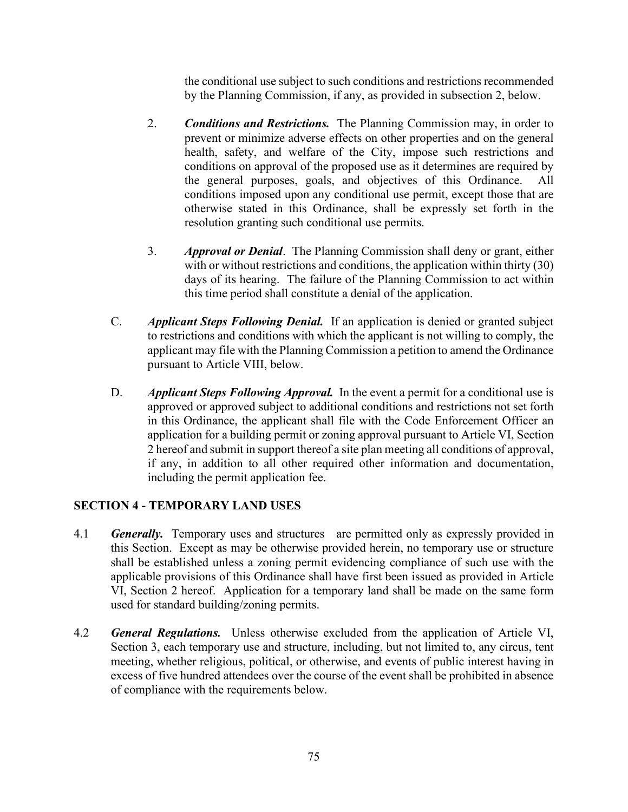the conditional use subject to such conditions and restrictions recommended by the Planning Commission, if any, as provided in subsection 2, below.

- 2. *Conditions and Restrictions.* The Planning Commission may, in order to prevent or minimize adverse effects on other properties and on the general health, safety, and welfare of the City, impose such restrictions and conditions on approval of the proposed use as it determines are required by the general purposes, goals, and objectives of this Ordinance. All conditions imposed upon any conditional use permit, except those that are otherwise stated in this Ordinance, shall be expressly set forth in the resolution granting such conditional use permits.
- 3. *Approval or Denial*. The Planning Commission shall deny or grant, either with or without restrictions and conditions, the application within thirty (30) days of its hearing. The failure of the Planning Commission to act within this time period shall constitute a denial of the application.
- C. *Applicant Steps Following Denial.* If an application is denied or granted subject to restrictions and conditions with which the applicant is not willing to comply, the applicant may file with the Planning Commission a petition to amend the Ordinance pursuant to Article VIII, below.
- D. *Applicant Steps Following Approval.* In the event a permit for a conditional use is approved or approved subject to additional conditions and restrictions not set forth in this Ordinance, the applicant shall file with the Code Enforcement Officer an application for a building permit or zoning approval pursuant to Article VI, Section 2 hereof and submit in support thereof a site plan meeting all conditions of approval, if any, in addition to all other required other information and documentation, including the permit application fee.

# **SECTION 4 - TEMPORARY LAND USES**

- 4.1 *Generally.* Temporary uses and structures are permitted only as expressly provided in this Section. Except as may be otherwise provided herein, no temporary use or structure shall be established unless a zoning permit evidencing compliance of such use with the applicable provisions of this Ordinance shall have first been issued as provided in Article VI, Section 2 hereof. Application for a temporary land shall be made on the same form used for standard building/zoning permits.
- 4.2 *General Regulations.* Unless otherwise excluded from the application of Article VI, Section 3, each temporary use and structure, including, but not limited to, any circus, tent meeting, whether religious, political, or otherwise, and events of public interest having in excess of five hundred attendees over the course of the event shall be prohibited in absence of compliance with the requirements below.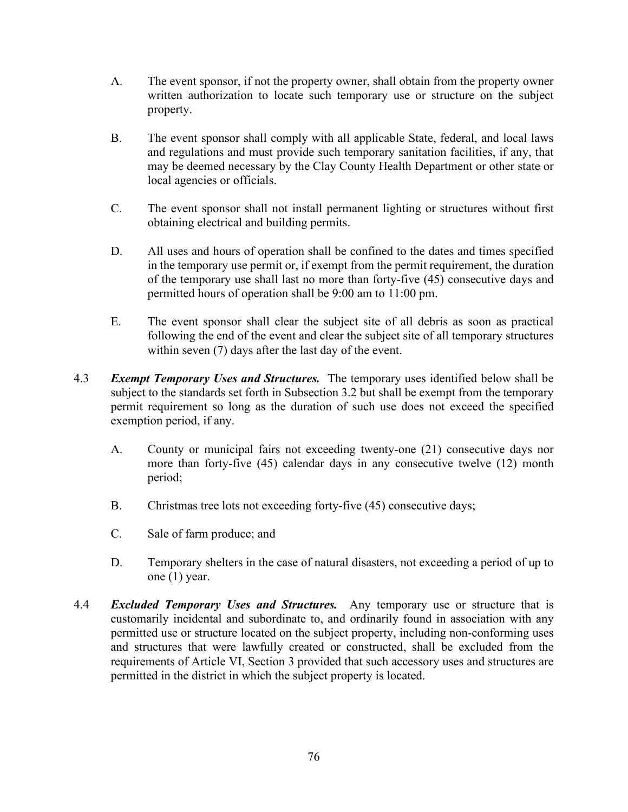- A. The event sponsor, if not the property owner, shall obtain from the property owner written authorization to locate such temporary use or structure on the subject property.
- B. The event sponsor shall comply with all applicable State, federal, and local laws and regulations and must provide such temporary sanitation facilities, if any, that may be deemed necessary by the Clay County Health Department or other state or local agencies or officials.
- C. The event sponsor shall not install permanent lighting or structures without first obtaining electrical and building permits.
- D. All uses and hours of operation shall be confined to the dates and times specified in the temporary use permit or, if exempt from the permit requirement, the duration of the temporary use shall last no more than forty-five (45) consecutive days and permitted hours of operation shall be 9:00 am to 11:00 pm.
- E. The event sponsor shall clear the subject site of all debris as soon as practical following the end of the event and clear the subject site of all temporary structures within seven (7) days after the last day of the event.
- 4.3 *Exempt Temporary Uses and Structures.* The temporary uses identified below shall be subject to the standards set forth in Subsection 3.2 but shall be exempt from the temporary permit requirement so long as the duration of such use does not exceed the specified exemption period, if any.
	- A. County or municipal fairs not exceeding twenty-one (21) consecutive days nor more than forty-five (45) calendar days in any consecutive twelve (12) month period;
	- B. Christmas tree lots not exceeding forty-five (45) consecutive days;
	- C. Sale of farm produce; and
	- D. Temporary shelters in the case of natural disasters, not exceeding a period of up to one (1) year.
- 4.4 *Excluded Temporary Uses and Structures.* Any temporary use or structure that is customarily incidental and subordinate to, and ordinarily found in association with any permitted use or structure located on the subject property, including non-conforming uses and structures that were lawfully created or constructed, shall be excluded from the requirements of Article VI, Section 3 provided that such accessory uses and structures are permitted in the district in which the subject property is located.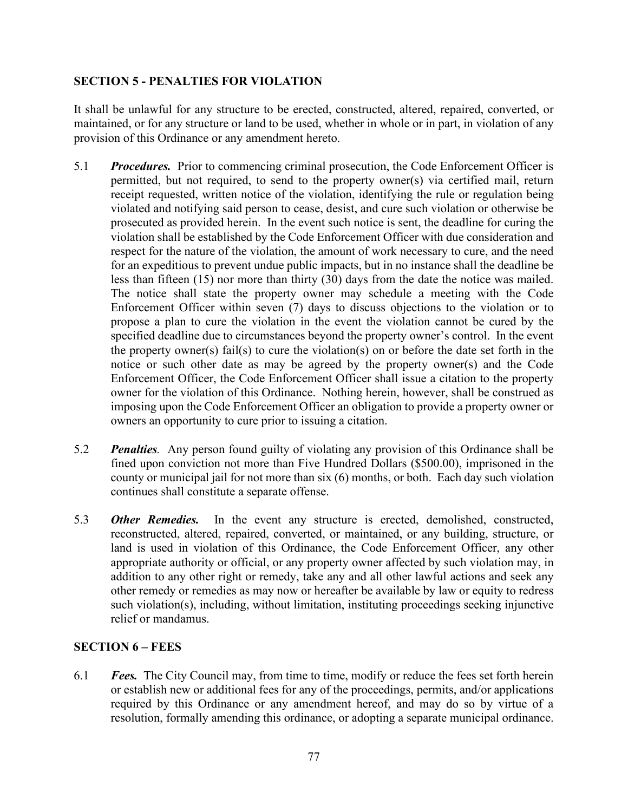# **SECTION 5 - PENALTIES FOR VIOLATION**

It shall be unlawful for any structure to be erected, constructed, altered, repaired, converted, or maintained, or for any structure or land to be used, whether in whole or in part, in violation of any provision of this Ordinance or any amendment hereto.

- 5.1 *Procedures.* Prior to commencing criminal prosecution, the Code Enforcement Officer is permitted, but not required, to send to the property owner(s) via certified mail, return receipt requested, written notice of the violation, identifying the rule or regulation being violated and notifying said person to cease, desist, and cure such violation or otherwise be prosecuted as provided herein. In the event such notice is sent, the deadline for curing the violation shall be established by the Code Enforcement Officer with due consideration and respect for the nature of the violation, the amount of work necessary to cure, and the need for an expeditious to prevent undue public impacts, but in no instance shall the deadline be less than fifteen (15) nor more than thirty (30) days from the date the notice was mailed. The notice shall state the property owner may schedule a meeting with the Code Enforcement Officer within seven (7) days to discuss objections to the violation or to propose a plan to cure the violation in the event the violation cannot be cured by the specified deadline due to circumstances beyond the property owner's control. In the event the property owner(s) fail(s) to cure the violation(s) on or before the date set forth in the notice or such other date as may be agreed by the property owner(s) and the Code Enforcement Officer, the Code Enforcement Officer shall issue a citation to the property owner for the violation of this Ordinance. Nothing herein, however, shall be construed as imposing upon the Code Enforcement Officer an obligation to provide a property owner or owners an opportunity to cure prior to issuing a citation.
- 5.2 *Penalties.* Any person found guilty of violating any provision of this Ordinance shall be fined upon conviction not more than Five Hundred Dollars (\$500.00), imprisoned in the county or municipal jail for not more than six (6) months, or both. Each day such violation continues shall constitute a separate offense.
- 5.3 *Other Remedies.* In the event any structure is erected, demolished, constructed, reconstructed, altered, repaired, converted, or maintained, or any building, structure, or land is used in violation of this Ordinance, the Code Enforcement Officer, any other appropriate authority or official, or any property owner affected by such violation may, in addition to any other right or remedy, take any and all other lawful actions and seek any other remedy or remedies as may now or hereafter be available by law or equity to redress such violation(s), including, without limitation, instituting proceedings seeking injunctive relief or mandamus.

# **SECTION 6 – FEES**

6.1 *Fees.* The City Council may, from time to time, modify or reduce the fees set forth herein or establish new or additional fees for any of the proceedings, permits, and/or applications required by this Ordinance or any amendment hereof, and may do so by virtue of a resolution, formally amending this ordinance, or adopting a separate municipal ordinance.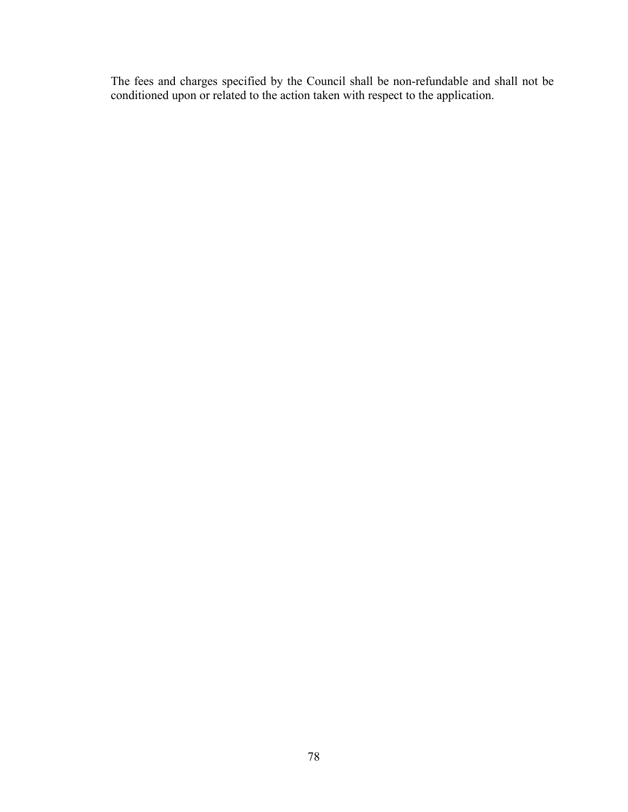The fees and charges specified by the Council shall be non-refundable and shall not be conditioned upon or related to the action taken with respect to the application.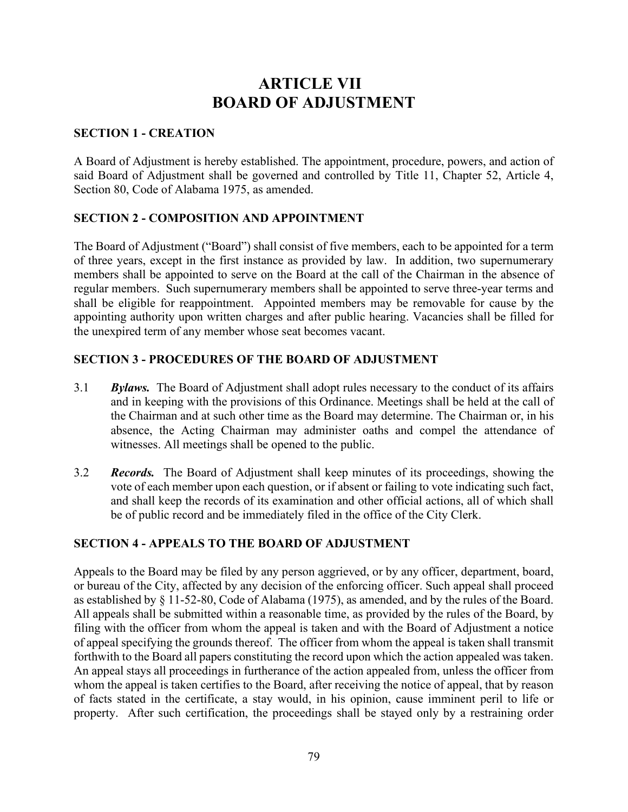# **ARTICLE VII BOARD OF ADJUSTMENT**

### **SECTION 1 - CREATION**

A Board of Adjustment is hereby established. The appointment, procedure, powers, and action of said Board of Adjustment shall be governed and controlled by Title 11, Chapter 52, Article 4, Section 80, Code of Alabama 1975, as amended.

# **SECTION 2 - COMPOSITION AND APPOINTMENT**

The Board of Adjustment ("Board") shall consist of five members, each to be appointed for a term of three years, except in the first instance as provided by law. In addition, two supernumerary members shall be appointed to serve on the Board at the call of the Chairman in the absence of regular members. Such supernumerary members shall be appointed to serve three-year terms and shall be eligible for reappointment. Appointed members may be removable for cause by the appointing authority upon written charges and after public hearing. Vacancies shall be filled for the unexpired term of any member whose seat becomes vacant.

### **SECTION 3 - PROCEDURES OF THE BOARD OF ADJUSTMENT**

- 3.1 *Bylaws.* The Board of Adjustment shall adopt rules necessary to the conduct of its affairs and in keeping with the provisions of this Ordinance. Meetings shall be held at the call of the Chairman and at such other time as the Board may determine. The Chairman or, in his absence, the Acting Chairman may administer oaths and compel the attendance of witnesses. All meetings shall be opened to the public.
- 3.2 *Records.* The Board of Adjustment shall keep minutes of its proceedings, showing the vote of each member upon each question, or if absent or failing to vote indicating such fact, and shall keep the records of its examination and other official actions, all of which shall be of public record and be immediately filed in the office of the City Clerk.

# **SECTION 4 - APPEALS TO THE BOARD OF ADJUSTMENT**

Appeals to the Board may be filed by any person aggrieved, or by any officer, department, board, or bureau of the City, affected by any decision of the enforcing officer. Such appeal shall proceed as established by § 11-52-80, Code of Alabama (1975), as amended, and by the rules of the Board. All appeals shall be submitted within a reasonable time, as provided by the rules of the Board, by filing with the officer from whom the appeal is taken and with the Board of Adjustment a notice of appeal specifying the grounds thereof. The officer from whom the appeal is taken shall transmit forthwith to the Board all papers constituting the record upon which the action appealed was taken. An appeal stays all proceedings in furtherance of the action appealed from, unless the officer from whom the appeal is taken certifies to the Board, after receiving the notice of appeal, that by reason of facts stated in the certificate, a stay would, in his opinion, cause imminent peril to life or property. After such certification, the proceedings shall be stayed only by a restraining order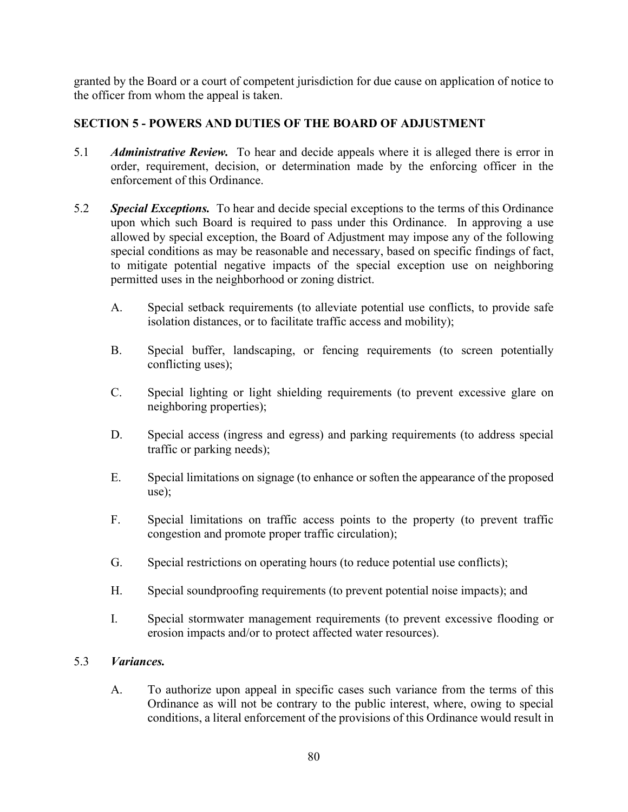granted by the Board or a court of competent jurisdiction for due cause on application of notice to the officer from whom the appeal is taken.

# **SECTION 5 - POWERS AND DUTIES OF THE BOARD OF ADJUSTMENT**

- 5.1 *Administrative Review.* To hear and decide appeals where it is alleged there is error in order, requirement, decision, or determination made by the enforcing officer in the enforcement of this Ordinance.
- 5.2 *Special Exceptions.* To hear and decide special exceptions to the terms of this Ordinance upon which such Board is required to pass under this Ordinance. In approving a use allowed by special exception, the Board of Adjustment may impose any of the following special conditions as may be reasonable and necessary, based on specific findings of fact, to mitigate potential negative impacts of the special exception use on neighboring permitted uses in the neighborhood or zoning district.
	- A. Special setback requirements (to alleviate potential use conflicts, to provide safe isolation distances, or to facilitate traffic access and mobility);
	- B. Special buffer, landscaping, or fencing requirements (to screen potentially conflicting uses);
	- C. Special lighting or light shielding requirements (to prevent excessive glare on neighboring properties);
	- D. Special access (ingress and egress) and parking requirements (to address special traffic or parking needs);
	- E. Special limitations on signage (to enhance or soften the appearance of the proposed use);
	- F. Special limitations on traffic access points to the property (to prevent traffic congestion and promote proper traffic circulation);
	- G. Special restrictions on operating hours (to reduce potential use conflicts);
	- H. Special soundproofing requirements (to prevent potential noise impacts); and
	- I. Special stormwater management requirements (to prevent excessive flooding or erosion impacts and/or to protect affected water resources).

# 5.3 *Variances.*

A. To authorize upon appeal in specific cases such variance from the terms of this Ordinance as will not be contrary to the public interest, where, owing to special conditions, a literal enforcement of the provisions of this Ordinance would result in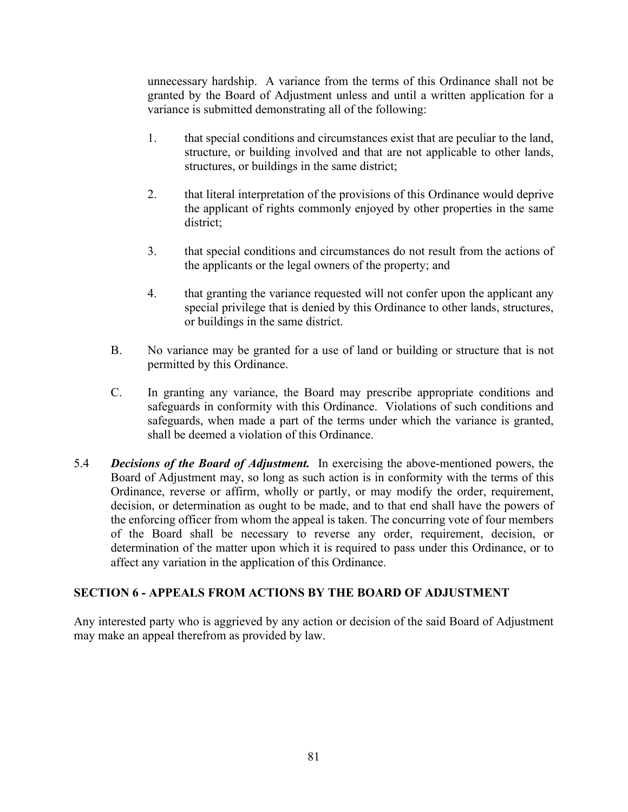unnecessary hardship. A variance from the terms of this Ordinance shall not be granted by the Board of Adjustment unless and until a written application for a variance is submitted demonstrating all of the following:

- 1. that special conditions and circumstances exist that are peculiar to the land, structure, or building involved and that are not applicable to other lands, structures, or buildings in the same district;
- 2. that literal interpretation of the provisions of this Ordinance would deprive the applicant of rights commonly enjoyed by other properties in the same district;
- 3. that special conditions and circumstances do not result from the actions of the applicants or the legal owners of the property; and
- 4. that granting the variance requested will not confer upon the applicant any special privilege that is denied by this Ordinance to other lands, structures, or buildings in the same district.
- B. No variance may be granted for a use of land or building or structure that is not permitted by this Ordinance.
- C. In granting any variance, the Board may prescribe appropriate conditions and safeguards in conformity with this Ordinance. Violations of such conditions and safeguards, when made a part of the terms under which the variance is granted, shall be deemed a violation of this Ordinance.
- 5.4 *Decisions of the Board of Adjustment.* In exercising the above-mentioned powers, the Board of Adjustment may, so long as such action is in conformity with the terms of this Ordinance, reverse or affirm, wholly or partly, or may modify the order, requirement, decision, or determination as ought to be made, and to that end shall have the powers of the enforcing officer from whom the appeal is taken. The concurring vote of four members of the Board shall be necessary to reverse any order, requirement, decision, or determination of the matter upon which it is required to pass under this Ordinance, or to affect any variation in the application of this Ordinance.

# **SECTION 6 - APPEALS FROM ACTIONS BY THE BOARD OF ADJUSTMENT**

Any interested party who is aggrieved by any action or decision of the said Board of Adjustment may make an appeal therefrom as provided by law.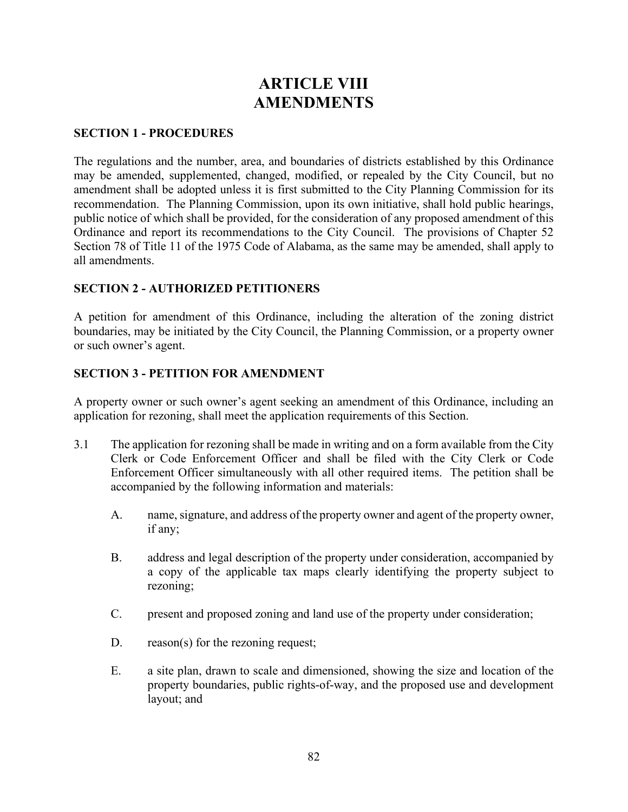# **ARTICLE VIII AMENDMENTS**

#### **SECTION 1 - PROCEDURES**

The regulations and the number, area, and boundaries of districts established by this Ordinance may be amended, supplemented, changed, modified, or repealed by the City Council, but no amendment shall be adopted unless it is first submitted to the City Planning Commission for its recommendation. The Planning Commission, upon its own initiative, shall hold public hearings, public notice of which shall be provided, for the consideration of any proposed amendment of this Ordinance and report its recommendations to the City Council. The provisions of Chapter 52 Section 78 of Title 11 of the 1975 Code of Alabama, as the same may be amended, shall apply to all amendments.

# **SECTION 2 - AUTHORIZED PETITIONERS**

A petition for amendment of this Ordinance, including the alteration of the zoning district boundaries, may be initiated by the City Council, the Planning Commission, or a property owner or such owner's agent.

# **SECTION 3 - PETITION FOR AMENDMENT**

A property owner or such owner's agent seeking an amendment of this Ordinance, including an application for rezoning, shall meet the application requirements of this Section.

- 3.1 The application for rezoning shall be made in writing and on a form available from the City Clerk or Code Enforcement Officer and shall be filed with the City Clerk or Code Enforcement Officer simultaneously with all other required items. The petition shall be accompanied by the following information and materials:
	- A. name, signature, and address of the property owner and agent of the property owner, if any;
	- B. address and legal description of the property under consideration, accompanied by a copy of the applicable tax maps clearly identifying the property subject to rezoning;
	- C. present and proposed zoning and land use of the property under consideration;
	- D. reason(s) for the rezoning request;
	- E. a site plan, drawn to scale and dimensioned, showing the size and location of the property boundaries, public rights-of-way, and the proposed use and development layout; and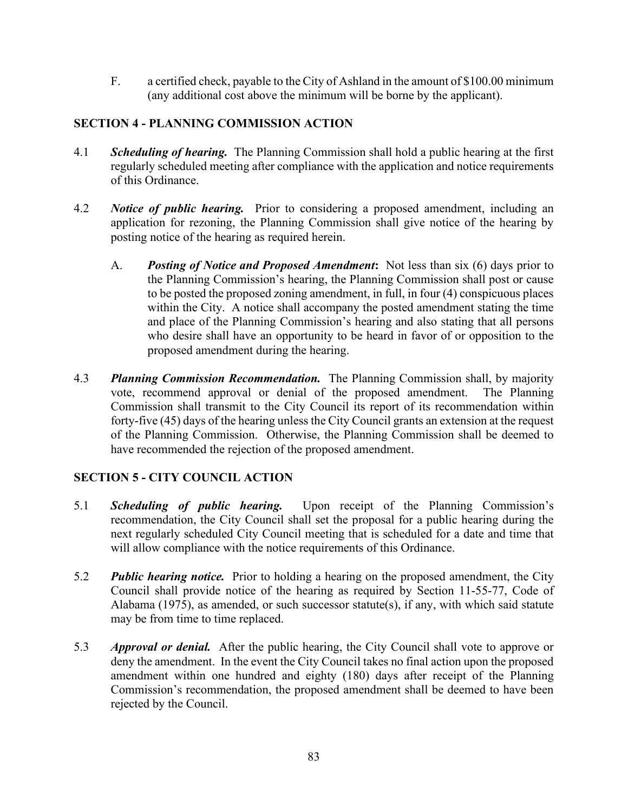F. a certified check, payable to the City of Ashland in the amount of \$100.00 minimum (any additional cost above the minimum will be borne by the applicant).

# **SECTION 4 - PLANNING COMMISSION ACTION**

- 4.1 *Scheduling of hearing.* The Planning Commission shall hold a public hearing at the first regularly scheduled meeting after compliance with the application and notice requirements of this Ordinance.
- 4.2 *Notice of public hearing.* Prior to considering a proposed amendment, including an application for rezoning, the Planning Commission shall give notice of the hearing by posting notice of the hearing as required herein.
	- A. *Posting of Notice and Proposed Amendment***:** Not less than six (6) days prior to the Planning Commission's hearing, the Planning Commission shall post or cause to be posted the proposed zoning amendment, in full, in four (4) conspicuous places within the City. A notice shall accompany the posted amendment stating the time and place of the Planning Commission's hearing and also stating that all persons who desire shall have an opportunity to be heard in favor of or opposition to the proposed amendment during the hearing.
- 4.3 *Planning Commission Recommendation.* The Planning Commission shall, by majority vote, recommend approval or denial of the proposed amendment. The Planning Commission shall transmit to the City Council its report of its recommendation within forty-five (45) days of the hearing unless the City Council grants an extension at the request of the Planning Commission. Otherwise, the Planning Commission shall be deemed to have recommended the rejection of the proposed amendment.

# **SECTION 5 - CITY COUNCIL ACTION**

- 5.1 *Scheduling of public hearing.* Upon receipt of the Planning Commission's recommendation, the City Council shall set the proposal for a public hearing during the next regularly scheduled City Council meeting that is scheduled for a date and time that will allow compliance with the notice requirements of this Ordinance.
- 5.2 *Public hearing notice.* Prior to holding a hearing on the proposed amendment, the City Council shall provide notice of the hearing as required by Section 11-55-77, Code of Alabama (1975), as amended, or such successor statute(s), if any, with which said statute may be from time to time replaced.
- 5.3 *Approval or denial.* After the public hearing, the City Council shall vote to approve or deny the amendment. In the event the City Council takes no final action upon the proposed amendment within one hundred and eighty (180) days after receipt of the Planning Commission's recommendation, the proposed amendment shall be deemed to have been rejected by the Council.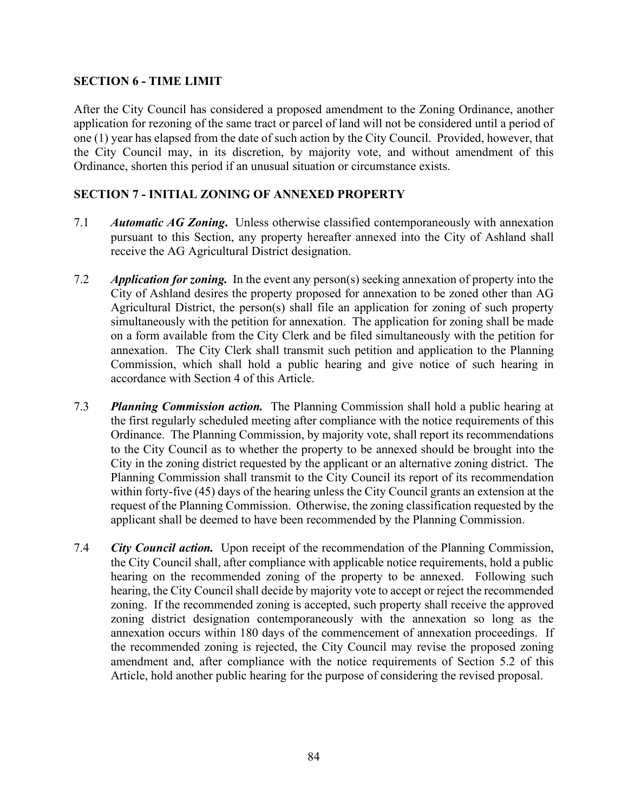# **SECTION 6 - TIME LIMIT**

After the City Council has considered a proposed amendment to the Zoning Ordinance, another application for rezoning of the same tract or parcel of land will not be considered until a period of one (1) year has elapsed from the date of such action by the City Council. Provided, however, that the City Council may, in its discretion, by majority vote, and without amendment of this Ordinance, shorten this period if an unusual situation or circumstance exists.

## **SECTION 7 - INITIAL ZONING OF ANNEXED PROPERTY**

- 7.1 *Automatic AG Zoning***.** Unless otherwise classified contemporaneously with annexation pursuant to this Section, any property hereafter annexed into the City of Ashland shall receive the AG Agricultural District designation.
- 7.2 *Application for zoning.* In the event any person(s) seeking annexation of property into the City of Ashland desires the property proposed for annexation to be zoned other than AG Agricultural District, the person(s) shall file an application for zoning of such property simultaneously with the petition for annexation. The application for zoning shall be made on a form available from the City Clerk and be filed simultaneously with the petition for annexation. The City Clerk shall transmit such petition and application to the Planning Commission, which shall hold a public hearing and give notice of such hearing in accordance with Section 4 of this Article.
- 7.3 *Planning Commission action.* The Planning Commission shall hold a public hearing at the first regularly scheduled meeting after compliance with the notice requirements of this Ordinance. The Planning Commission, by majority vote, shall report its recommendations to the City Council as to whether the property to be annexed should be brought into the City in the zoning district requested by the applicant or an alternative zoning district. The Planning Commission shall transmit to the City Council its report of its recommendation within forty-five (45) days of the hearing unless the City Council grants an extension at the request of the Planning Commission. Otherwise, the zoning classification requested by the applicant shall be deemed to have been recommended by the Planning Commission.
- 7.4 *City Council action.* Upon receipt of the recommendation of the Planning Commission, the City Council shall, after compliance with applicable notice requirements, hold a public hearing on the recommended zoning of the property to be annexed. Following such hearing, the City Council shall decide by majority vote to accept or reject the recommended zoning. If the recommended zoning is accepted, such property shall receive the approved zoning district designation contemporaneously with the annexation so long as the annexation occurs within 180 days of the commencement of annexation proceedings. If the recommended zoning is rejected, the City Council may revise the proposed zoning amendment and, after compliance with the notice requirements of Section 5.2 of this Article, hold another public hearing for the purpose of considering the revised proposal.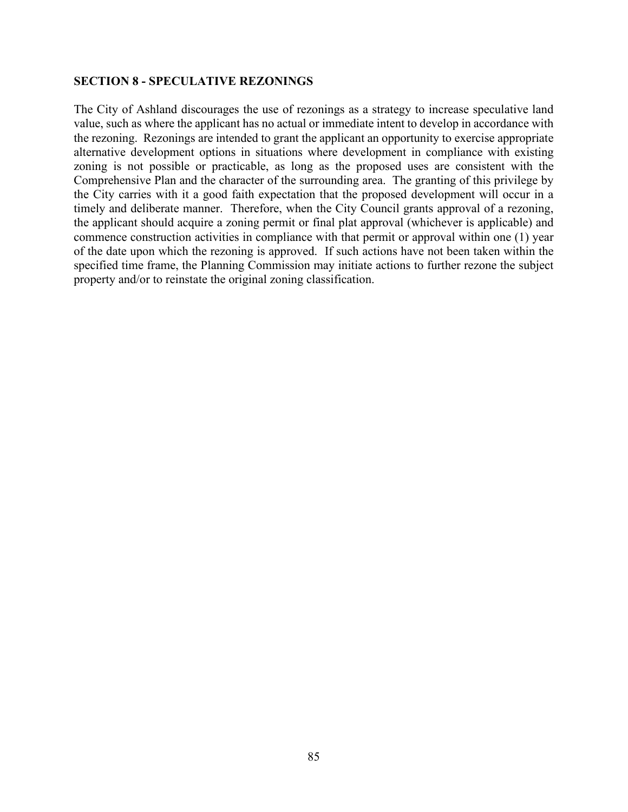#### **SECTION 8 - SPECULATIVE REZONINGS**

The City of Ashland discourages the use of rezonings as a strategy to increase speculative land value, such as where the applicant has no actual or immediate intent to develop in accordance with the rezoning. Rezonings are intended to grant the applicant an opportunity to exercise appropriate alternative development options in situations where development in compliance with existing zoning is not possible or practicable, as long as the proposed uses are consistent with the Comprehensive Plan and the character of the surrounding area. The granting of this privilege by the City carries with it a good faith expectation that the proposed development will occur in a timely and deliberate manner. Therefore, when the City Council grants approval of a rezoning, the applicant should acquire a zoning permit or final plat approval (whichever is applicable) and commence construction activities in compliance with that permit or approval within one (1) year of the date upon which the rezoning is approved. If such actions have not been taken within the specified time frame, the Planning Commission may initiate actions to further rezone the subject property and/or to reinstate the original zoning classification.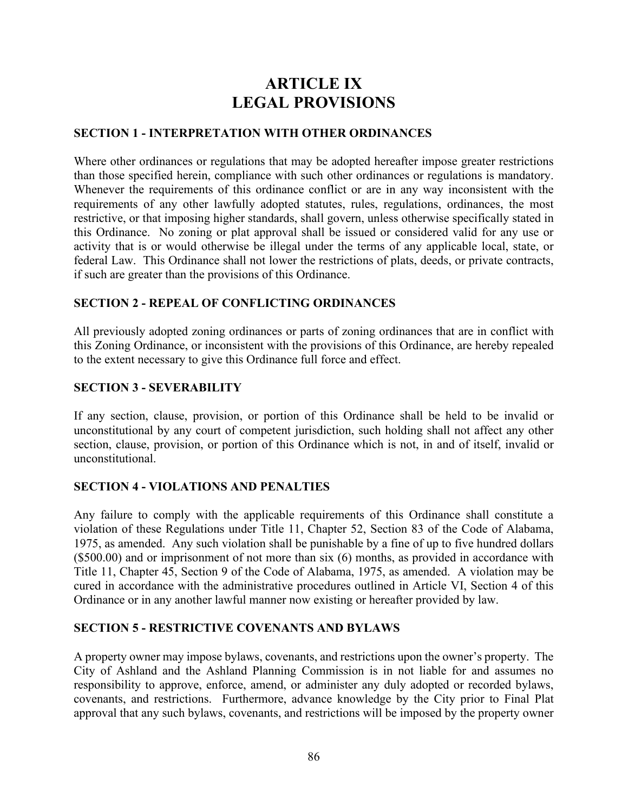# **ARTICLE IX LEGAL PROVISIONS**

### **SECTION 1 - INTERPRETATION WITH OTHER ORDINANCES**

Where other ordinances or regulations that may be adopted hereafter impose greater restrictions than those specified herein, compliance with such other ordinances or regulations is mandatory. Whenever the requirements of this ordinance conflict or are in any way inconsistent with the requirements of any other lawfully adopted statutes, rules, regulations, ordinances, the most restrictive, or that imposing higher standards, shall govern, unless otherwise specifically stated in this Ordinance. No zoning or plat approval shall be issued or considered valid for any use or activity that is or would otherwise be illegal under the terms of any applicable local, state, or federal Law. This Ordinance shall not lower the restrictions of plats, deeds, or private contracts, if such are greater than the provisions of this Ordinance.

### **SECTION 2 - REPEAL OF CONFLICTING ORDINANCES**

All previously adopted zoning ordinances or parts of zoning ordinances that are in conflict with this Zoning Ordinance, or inconsistent with the provisions of this Ordinance, are hereby repealed to the extent necessary to give this Ordinance full force and effect.

### **SECTION 3 - SEVERABILITY**

If any section, clause, provision, or portion of this Ordinance shall be held to be invalid or unconstitutional by any court of competent jurisdiction, such holding shall not affect any other section, clause, provision, or portion of this Ordinance which is not, in and of itself, invalid or unconstitutional.

#### **SECTION 4 - VIOLATIONS AND PENALTIES**

Any failure to comply with the applicable requirements of this Ordinance shall constitute a violation of these Regulations under Title 11, Chapter 52, Section 83 of the Code of Alabama, 1975, as amended. Any such violation shall be punishable by a fine of up to five hundred dollars (\$500.00) and or imprisonment of not more than six (6) months, as provided in accordance with Title 11, Chapter 45, Section 9 of the Code of Alabama, 1975, as amended. A violation may be cured in accordance with the administrative procedures outlined in Article VI, Section 4 of this Ordinance or in any another lawful manner now existing or hereafter provided by law.

#### **SECTION 5 - RESTRICTIVE COVENANTS AND BYLAWS**

A property owner may impose bylaws, covenants, and restrictions upon the owner's property. The City of Ashland and the Ashland Planning Commission is in not liable for and assumes no responsibility to approve, enforce, amend, or administer any duly adopted or recorded bylaws, covenants, and restrictions. Furthermore, advance knowledge by the City prior to Final Plat approval that any such bylaws, covenants, and restrictions will be imposed by the property owner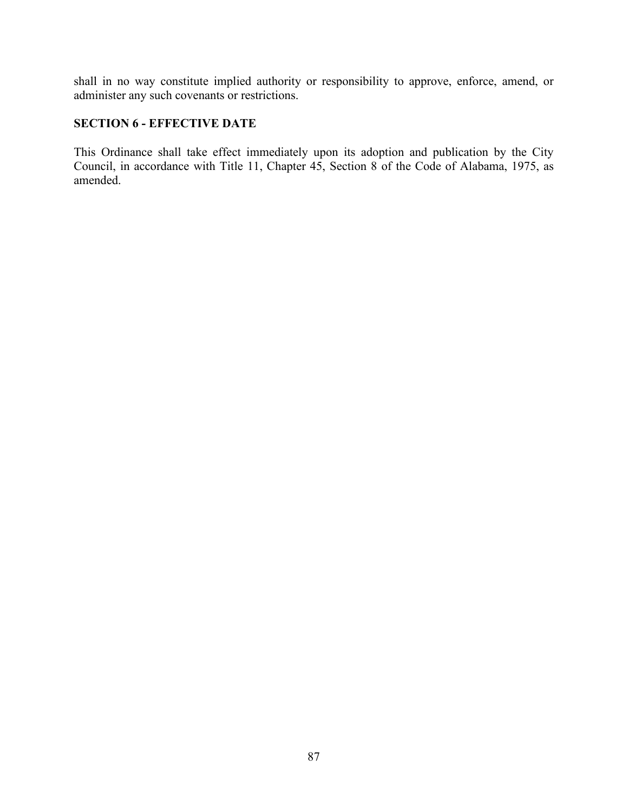shall in no way constitute implied authority or responsibility to approve, enforce, amend, or administer any such covenants or restrictions.

# **SECTION 6 - EFFECTIVE DATE**

This Ordinance shall take effect immediately upon its adoption and publication by the City Council, in accordance with Title 11, Chapter 45, Section 8 of the Code of Alabama, 1975, as amended.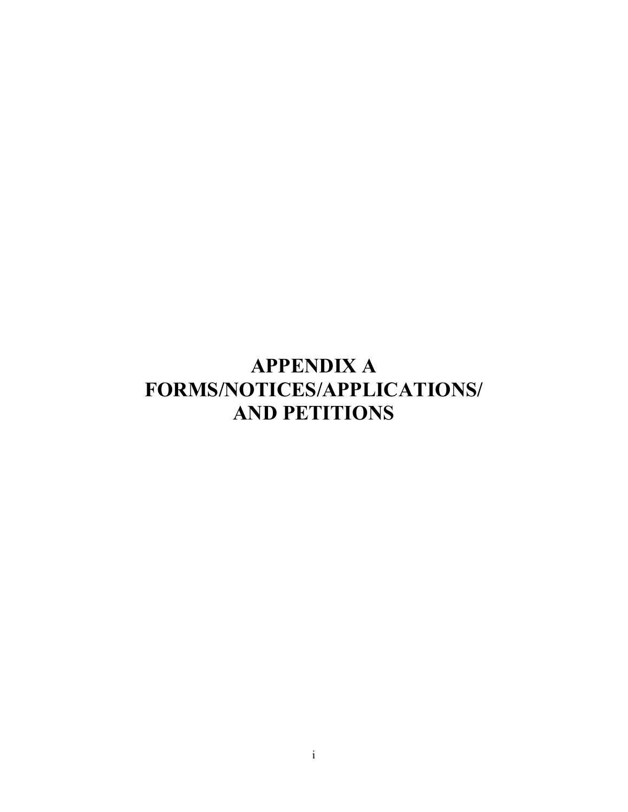# **APPENDIX A FORMS/NOTICES/APPLICATIONS/ AND PETITIONS**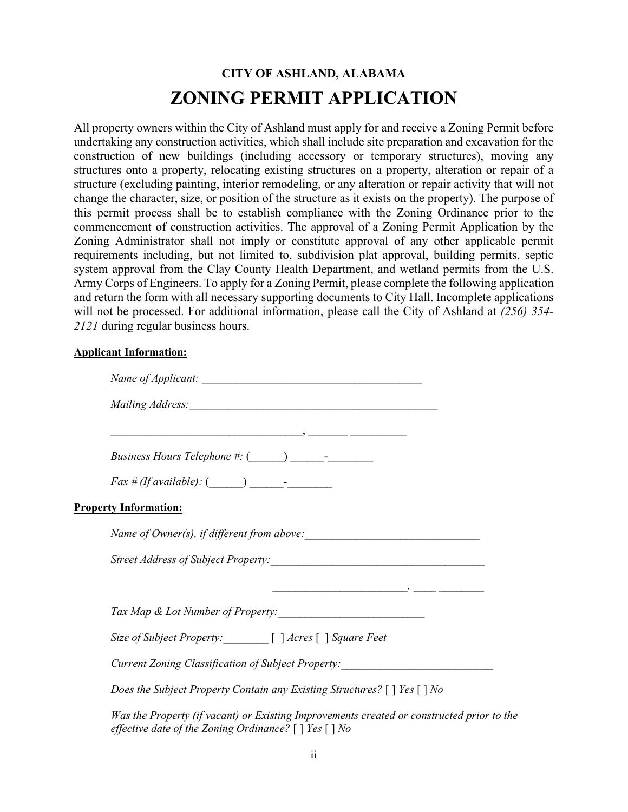# **CITY OF ASHLAND, ALABAMA ZONING PERMIT APPLICATION**

All property owners within the City of Ashland must apply for and receive a Zoning Permit before undertaking any construction activities, which shall include site preparation and excavation for the construction of new buildings (including accessory or temporary structures), moving any structures onto a property, relocating existing structures on a property, alteration or repair of a structure (excluding painting, interior remodeling, or any alteration or repair activity that will not change the character, size, or position of the structure as it exists on the property). The purpose of this permit process shall be to establish compliance with the Zoning Ordinance prior to the commencement of construction activities. The approval of a Zoning Permit Application by the Zoning Administrator shall not imply or constitute approval of any other applicable permit requirements including, but not limited to, subdivision plat approval, building permits, septic system approval from the Clay County Health Department, and wetland permits from the U.S. Army Corps of Engineers. To apply for a Zoning Permit, please complete the following application and return the form with all necessary supporting documents to City Hall. Incomplete applications will not be processed. For additional information, please call the City of Ashland at *(256) 354- 2121* during regular business hours.

#### **Applicant Information:**

| <b>Property Information:</b>                                                              |
|-------------------------------------------------------------------------------------------|
|                                                                                           |
|                                                                                           |
|                                                                                           |
| Tax Map & Lot Number of Property:                                                         |
| Size of Subject Property: [ ] Acres [ ] Square Feet                                       |
| Current Zoning Classification of Subject Property: _____________________________          |
| Does the Subject Property Contain any Existing Structures? $[ ]$ Yes $[ ]$ No             |
| Was the Property (if vacant) or Existing Improvements created or constructed prior to the |

*effective date of the Zoning Ordinance?* [ ] *Yes* [ ] *No*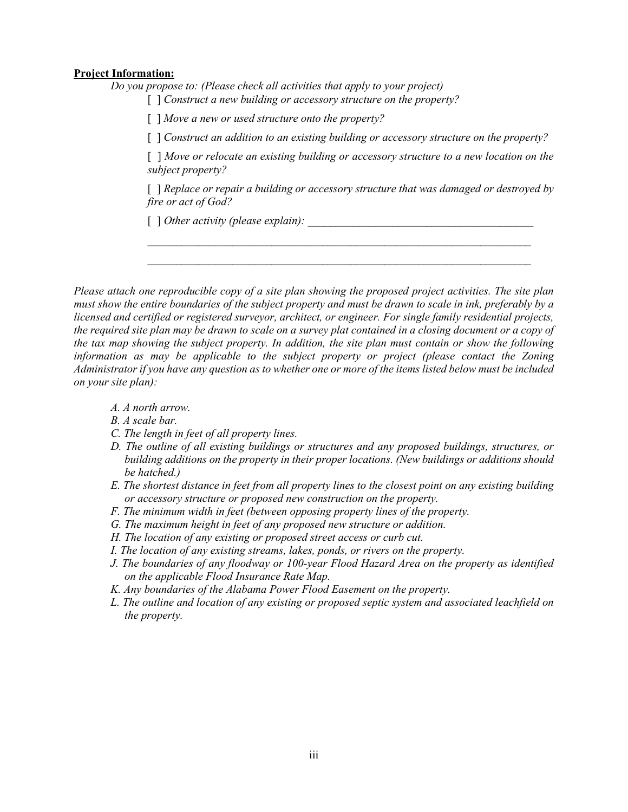#### **Project Information:**

*Do you propose to: (Please check all activities that apply to your project)*

[ ] *Construct a new building or accessory structure on the property?*

[ ] *Move a new or used structure onto the property?*

[  $\mid$  *Construct an addition to an existing building or accessory structure on the property?* 

[ ] *Move or relocate an existing building or accessory structure to a new location on the subject property?*

[ ] *Replace or repair a building or accessory structure that was damaged or destroyed by fire or act of God?*

*\_\_\_\_\_\_\_\_\_\_\_\_\_\_\_\_\_\_\_\_\_\_\_\_\_\_\_\_\_\_\_\_\_\_\_\_\_\_\_\_\_\_\_\_\_\_\_\_\_\_\_\_\_\_\_\_\_\_\_\_\_\_\_\_\_\_\_\_ \_\_\_\_\_\_\_\_\_\_\_\_\_\_\_\_\_\_\_\_\_\_\_\_\_\_\_\_\_\_\_\_\_\_\_\_\_\_\_\_\_\_\_\_\_\_\_\_\_\_\_\_\_\_\_\_\_\_\_\_\_\_\_\_\_\_\_\_*

 $\lceil \int$  *Other activity (please explain):* 

*Please attach one reproducible copy of a site plan showing the proposed project activities. The site plan must show the entire boundaries of the subject property and must be drawn to scale in ink, preferably by a licensed and certified or registered surveyor, architect, or engineer. For single family residential projects, the required site plan may be drawn to scale on a survey plat contained in a closing document or a copy of the tax map showing the subject property. In addition, the site plan must contain or show the following information as may be applicable to the subject property or project (please contact the Zoning Administrator if you have any question as to whether one or more of the items listed below must be included on your site plan):*

- *A. A north arrow.*
- *B. A scale bar.*
- *C. The length in feet of all property lines.*
- *D. The outline of all existing buildings or structures and any proposed buildings, structures, or building additions on the property in their proper locations. (New buildings or additions should be hatched.)*
- *E. The shortest distance in feet from all property lines to the closest point on any existing building or accessory structure or proposed new construction on the property.*
- *F. The minimum width in feet (between opposing property lines of the property.*
- *G. The maximum height in feet of any proposed new structure or addition.*
- *H. The location of any existing or proposed street access or curb cut.*
- *I. The location of any existing streams, lakes, ponds, or rivers on the property.*
- *J. The boundaries of any floodway or 100-year Flood Hazard Area on the property as identified on the applicable Flood Insurance Rate Map.*
- *K. Any boundaries of the Alabama Power Flood Easement on the property.*
- *L. The outline and location of any existing or proposed septic system and associated leachfield on the property.*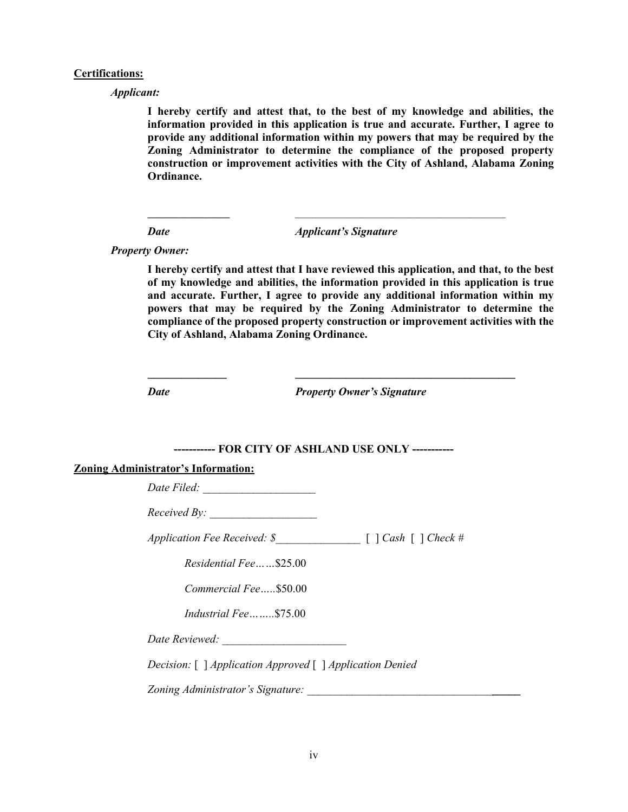#### **Certifications:**

*Applicant:*

**I hereby certify and attest that, to the best of my knowledge and abilities, the information provided in this application is true and accurate. Further, I agree to provide any additional information within my powers that may be required by the Zoning Administrator to determine the compliance of the proposed property construction or improvement activities with the City of Ashland, Alabama Zoning Ordinance.**

*Date Applicant's Signature*

**\_\_\_\_\_\_\_\_\_\_\_\_\_\_\_\_** \_\_\_\_\_\_\_\_\_\_\_\_\_\_\_\_\_\_\_\_\_\_\_\_\_\_\_\_\_\_\_\_\_\_\_\_\_\_\_\_\_

*Property Owner:*

**I hereby certify and attest that I have reviewed this application, and that, to the best of my knowledge and abilities, the information provided in this application is true and accurate. Further, I agree to provide any additional information within my powers that may be required by the Zoning Administrator to determine the compliance of the proposed property construction or improvement activities with the City of Ashland, Alabama Zoning Ordinance.**

*Date Property Owner's Signature*

#### **----------- FOR CITY OF ASHLAND USE ONLY -----------**

**\_\_\_\_\_\_\_\_\_\_\_\_\_\_ \_\_\_\_\_\_\_\_\_\_\_\_\_\_\_\_\_\_\_\_\_\_\_\_\_\_\_\_\_\_\_\_\_\_\_\_\_\_\_**

#### **Zoning Administrator's Information:**

*Date Filed: \_\_\_\_\_\_\_\_\_\_\_\_\_\_\_\_\_\_\_\_*

*Received By:* 

*Application Fee Received: \$\_\_\_\_\_\_\_\_\_\_\_\_\_\_\_* [ ] *Cash* [ ] *Check #*

*Residential Fee……*\$25.00

*Commercial Fee…..*\$50.00

*Industrial Fee……..*\$75.00

*Date Reviewed: \_\_\_\_\_\_\_\_\_\_\_\_\_\_\_\_\_\_\_\_\_\_*

*Decision:* [ ] *Application Approved* [ ] *Application Denied*

*Zoning Administrator's Signature: \_\_\_\_\_\_\_\_\_\_\_\_\_\_\_\_\_\_\_\_\_\_\_\_\_\_\_\_\_\_\_\_\_\_\_\_\_\_*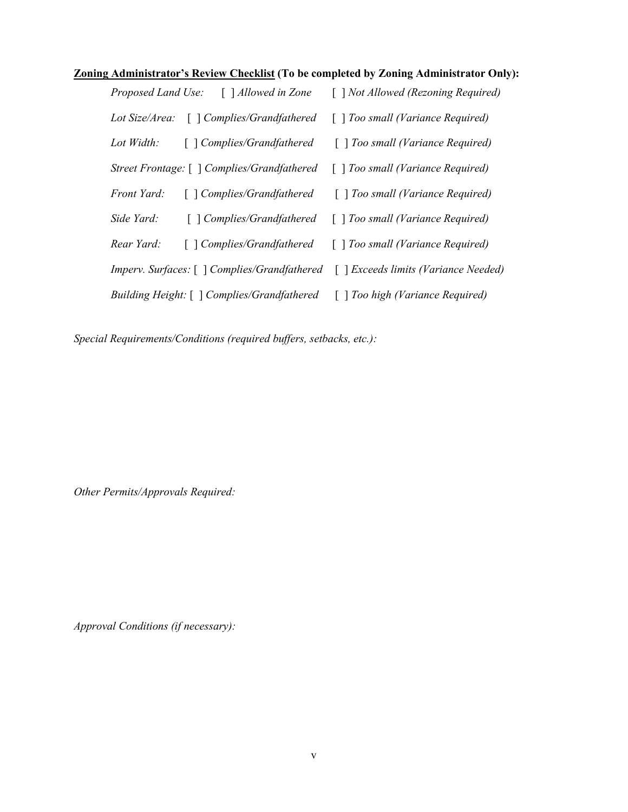### **Zoning Administrator's Review Checklist (To be completed by Zoning Administrator Only):**

| Proposed Land Use: | $\lceil$ 1 <i>Allowed in Zone</i>                                                                                                                                                                                                                                                                                                            | [ ] Not Allowed (Rezoning Required)    |
|--------------------|----------------------------------------------------------------------------------------------------------------------------------------------------------------------------------------------------------------------------------------------------------------------------------------------------------------------------------------------|----------------------------------------|
| Lot Size/Area:     | [ ] Complies/Grandfathered                                                                                                                                                                                                                                                                                                                   | $\lceil$ Too small (Variance Required) |
| Lot Width:         | $\lceil$ $\lceil$ Complies/Grandfathered                                                                                                                                                                                                                                                                                                     | [] Too small (Variance Required)       |
|                    | Street Frontage: [ ] Complies/Grandfathered                                                                                                                                                                                                                                                                                                  | [] Too small (Variance Required)       |
| <i>Front Yard:</i> | $\lceil$ $\lceil$ $\lceil$ $\lceil$ $\lceil$ $\lceil$ $\lceil$ $\lceil$ $\lceil$ $\lceil$ $\lceil$ $\lceil$ $\lceil$ $\lceil$ $\lceil$ $\lceil$ $\lceil$ $\lceil$ $\lceil$ $\lceil$ $\lceil$ $\lceil$ $\lceil$ $\lceil$ $\lceil$ $\lceil$ $\lceil$ $\lceil$ $\lceil$ $\lceil$ $\lceil$ $\lceil$ $\lceil$ $\lceil$ $\lceil$ $\lceil$ $\lceil$ | $\lceil$ Too small (Variance Required) |
| Side Yard:         | [ ] Complies/Grandfathered                                                                                                                                                                                                                                                                                                                   | $\lceil$ Too small (Variance Required) |
| Rear Yard:         | [] Complies/Grandfathered                                                                                                                                                                                                                                                                                                                    | $\lceil$ Too small (Variance Required) |
|                    | Imperv. Surfaces: [ ] Complies/Grandfathered                                                                                                                                                                                                                                                                                                 | [ ] Exceeds limits (Variance Needed)   |
|                    | <i>Building Height:</i> [ ] <i>Complies/Grandfathered</i>                                                                                                                                                                                                                                                                                    | [] Too high (Variance Required)        |

*Special Requirements/Conditions (required buffers, setbacks, etc.):*

*Other Permits/Approvals Required:*

*Approval Conditions (if necessary):*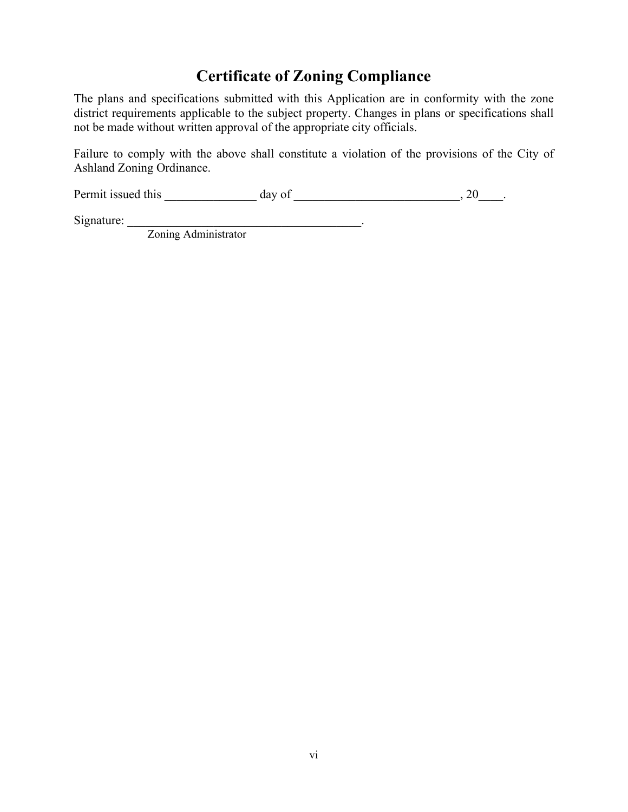# **Certificate of Zoning Compliance**

The plans and specifications submitted with this Application are in conformity with the zone district requirements applicable to the subject property. Changes in plans or specifications shall not be made without written approval of the appropriate city officials.

Failure to comply with the above shall constitute a violation of the provisions of the City of Ashland Zoning Ordinance.

Permit issued this  $\_\_\_\_\_\_\_\$  day of  $\_\_\_\_\_\_\_\_\_\_$ , 20 $\_\_\_\_\_\_\_\_\_\_$ .

Signature: \_\_\_\_\_\_\_\_\_\_\_\_\_\_\_\_\_\_\_\_\_\_\_\_\_\_\_\_\_\_\_\_\_\_\_\_\_\_.

Zoning Administrator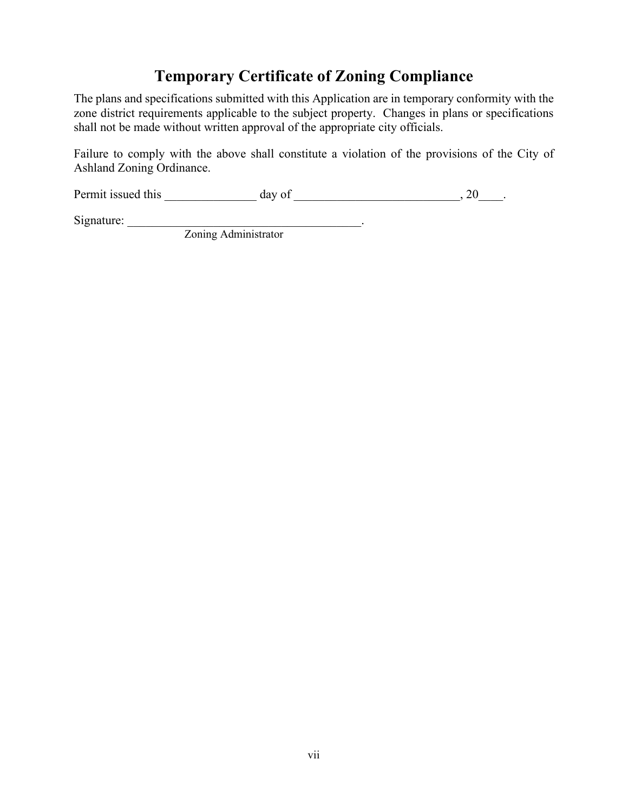# **Temporary Certificate of Zoning Compliance**

The plans and specifications submitted with this Application are in temporary conformity with the zone district requirements applicable to the subject property. Changes in plans or specifications shall not be made without written approval of the appropriate city officials.

Failure to comply with the above shall constitute a violation of the provisions of the City of Ashland Zoning Ordinance.

Permit issued this  $\_\_\_\_\_\_\_\$  day of  $\_\_\_\_\_\_\_\_\_\_$ , 20 $\_\_\_\_\_\_\_\_\_\_$ .

Signature: \_\_\_\_\_\_\_\_\_\_\_\_\_\_\_\_\_\_\_\_\_\_\_\_\_\_\_\_\_\_\_\_\_\_\_\_\_\_.

Zoning Administrator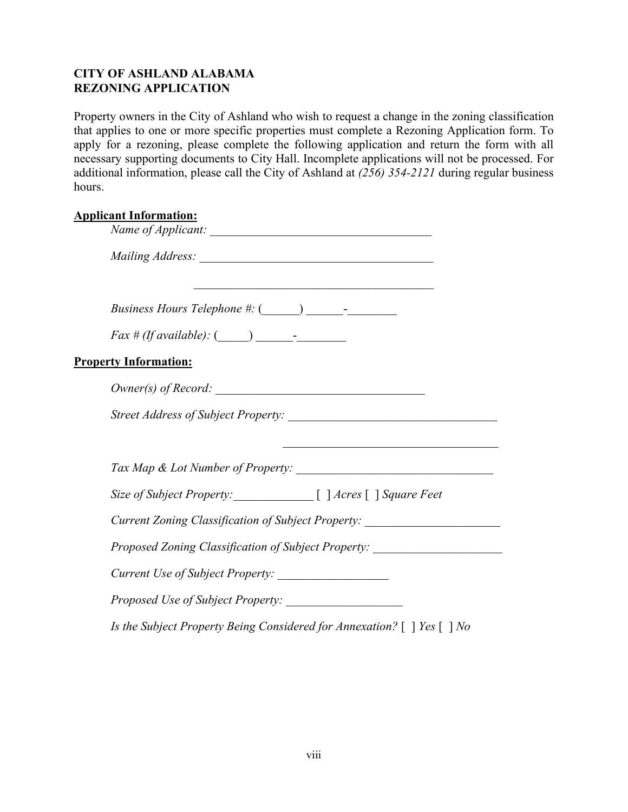# **CITY OF ASHLAND ALABAMA REZONING APPLICATION**

Property owners in the City of Ashland who wish to request a change in the zoning classification that applies to one or more specific properties must complete a Rezoning Application form. To apply for a rezoning, please complete the following application and return the form with all necessary supporting documents to City Hall. Incomplete applications will not be processed. For additional information, please call the City of Ashland at *(256) 354-2121* during regular business hours.

### **Applicant Information:**

| <b>Property Information:</b>                                                     |
|----------------------------------------------------------------------------------|
| $Owner(s)$ of Record: $\qquad \qquad$                                            |
|                                                                                  |
|                                                                                  |
|                                                                                  |
| Size of Subject Property: [ ] Acres [ ] Square Feet                              |
| Current Zoning Classification of Subject Property: _____________________________ |
| Proposed Zoning Classification of Subject Property: ____________________________ |
|                                                                                  |
|                                                                                  |
| Is the Subject Property Being Considered for Annexation? $[ \ ]$ Yes $[ \ ]$ No  |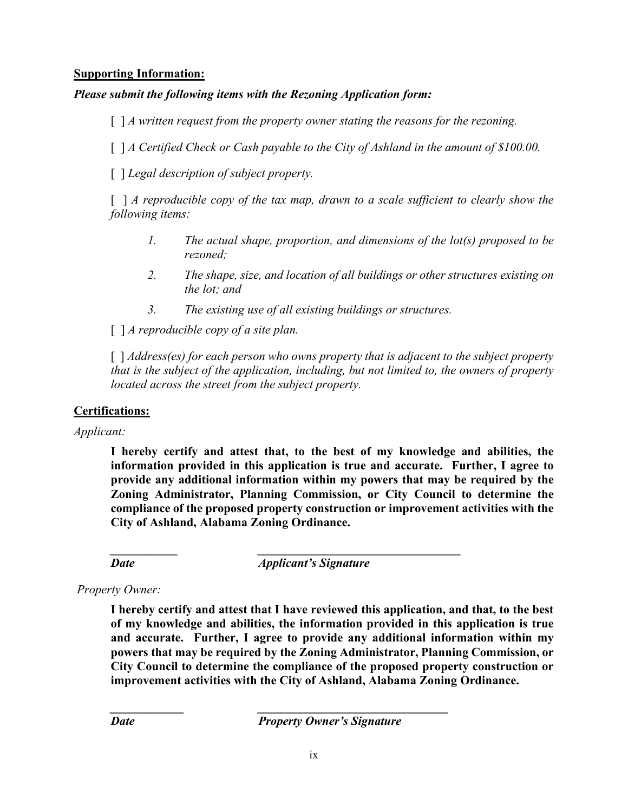### **Supporting Information:**

### *Please submit the following items with the Rezoning Application form:*

[ ] *A* written request from the property owner stating the reasons for the rezoning.

[ ] *A Certified Check or Cash payable to the City of Ashland in the amount of \$100.00.* 

[ ] *Legal description of subject property.*

[ ] *A reproducible copy of the tax map, drawn to a scale sufficient to clearly show the following items:*

- *1. The actual shape, proportion, and dimensions of the lot(s) proposed to be rezoned;*
- *2. The shape, size, and location of all buildings or other structures existing on the lot; and*
- *3. The existing use of all existing buildings or structures.*

[ ] *A reproducible copy of a site plan.*

[ ] *Address(es) for each person who owns property that is adjacent to the subject property that is the subject of the application, including, but not limited to, the owners of property located across the street from the subject property.*

#### **Certifications:**

*Applicant:*

**I hereby certify and attest that, to the best of my knowledge and abilities, the information provided in this application is true and accurate. Further, I agree to provide any additional information within my powers that may be required by the Zoning Administrator, Planning Commission, or City Council to determine the compliance of the proposed property construction or improvement activities with the City of Ashland, Alabama Zoning Ordinance.**

*\_\_\_\_\_\_\_\_\_\_\_ \_\_\_\_\_\_\_\_\_\_\_\_\_\_\_\_\_\_\_\_\_\_\_\_\_\_\_\_\_\_\_\_\_*

*Date Applicant's Signature*

#### *Property Owner:*

**I hereby certify and attest that I have reviewed this application, and that, to the best of my knowledge and abilities, the information provided in this application is true and accurate. Further, I agree to provide any additional information within my powers that may be required by the Zoning Administrator, Planning Commission, or City Council to determine the compliance of the proposed property construction or improvement activities with the City of Ashland, Alabama Zoning Ordinance.**

*Date Property Owner's Signature* 

*\_\_\_\_\_\_\_\_\_\_\_\_ \_\_\_\_\_\_\_\_\_\_\_\_\_\_\_\_\_\_\_\_\_\_\_\_\_\_\_\_\_\_\_*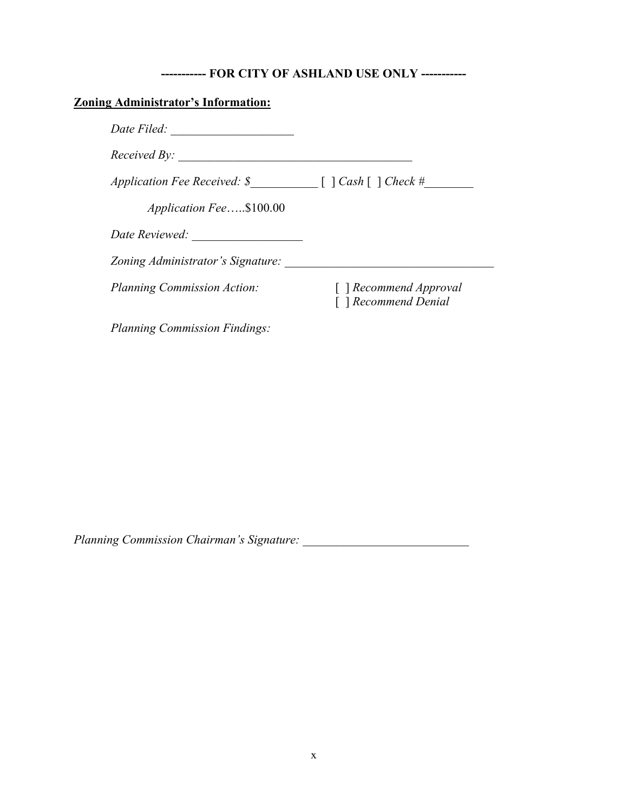# **----------- FOR CITY OF ASHLAND USE ONLY -----------**

# **Zoning Administrator's Information:**

| Date Filed:                                                                          |                                                |
|--------------------------------------------------------------------------------------|------------------------------------------------|
| Received By:                                                                         |                                                |
| Application Fee Received: $\mathcal S$ [ $\bigcap \text{Cash} \big[$ $\big]$ Check # |                                                |
| Application Fee\$100.00                                                              |                                                |
| Date Reviewed:                                                                       |                                                |
| Zoning Administrator's Signature:                                                    |                                                |
| <b>Planning Commission Action:</b>                                                   | [ ] Recommend Approval<br>[ ] Recommend Denial |
| <b>Planning Commission Findings:</b>                                                 |                                                |

*Planning Commission Chairman's Signature: \_\_\_\_\_\_\_\_\_\_\_\_\_\_\_\_\_\_\_\_\_\_\_\_\_\_\_*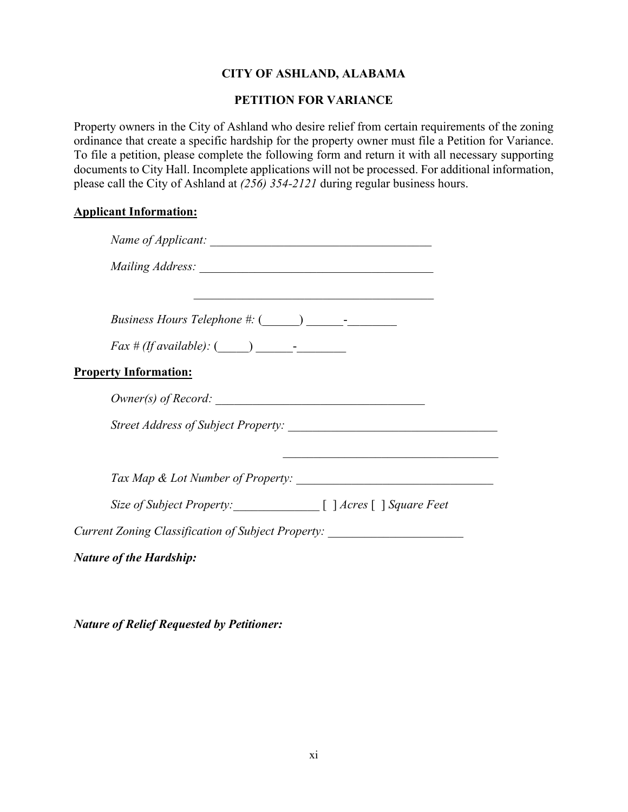# **CITY OF ASHLAND, ALABAMA**

# **PETITION FOR VARIANCE**

Property owners in the City of Ashland who desire relief from certain requirements of the zoning ordinance that create a specific hardship for the property owner must file a Petition for Variance. To file a petition, please complete the following form and return it with all necessary supporting documents to City Hall. Incomplete applications will not be processed. For additional information, please call the City of Ashland at *(256) 354-2121* during regular business hours.

#### **Applicant Information:**

|                                                                                  | <u> 1989 - Johann Stoff, deutscher Stoffen und der Stoffen und der Stoffen und der Stoffen und der Stoffen und der</u> |
|----------------------------------------------------------------------------------|------------------------------------------------------------------------------------------------------------------------|
|                                                                                  |                                                                                                                        |
| $Fax \# (If available):$ $(\_\_\_\_\_\_\_\_\_\_\_$                               |                                                                                                                        |
| <b>Property Information:</b>                                                     |                                                                                                                        |
| $Owner(s)$ of Record: $\_\_$                                                     |                                                                                                                        |
|                                                                                  |                                                                                                                        |
|                                                                                  |                                                                                                                        |
| Size of Subject Property: [ ] Acres [ ] Square Feet                              |                                                                                                                        |
| Current Zoning Classification of Subject Property: _____________________________ |                                                                                                                        |
| <b>Nature of the Hardship:</b>                                                   |                                                                                                                        |

*Nature of Relief Requested by Petitioner:*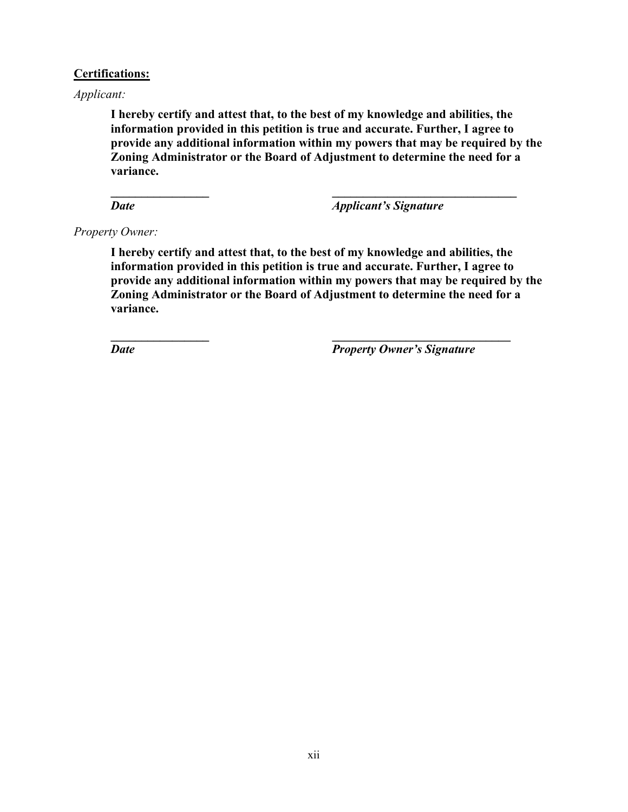#### **Certifications:**

*Applicant:*

**I hereby certify and attest that, to the best of my knowledge and abilities, the information provided in this petition is true and accurate. Further, I agree to provide any additional information within my powers that may be required by the Zoning Administrator or the Board of Adjustment to determine the need for a variance.**

**\_\_\_\_\_\_\_\_\_\_\_\_\_\_\_\_ \_\_\_\_\_\_\_\_\_\_\_\_\_\_\_\_\_\_\_\_\_\_\_\_\_\_\_\_\_\_**

*Date Date <i>Applicant's Signature* 

*Property Owner:*

**I hereby certify and attest that, to the best of my knowledge and abilities, the information provided in this petition is true and accurate. Further, I agree to provide any additional information within my powers that may be required by the Zoning Administrator or the Board of Adjustment to determine the need for a variance.**

**\_\_\_\_\_\_\_\_\_\_\_\_\_\_\_\_ \_\_\_\_\_\_\_\_\_\_\_\_\_\_\_\_\_\_\_\_\_\_\_\_\_\_\_\_\_**

*Date Property Owner's Signature*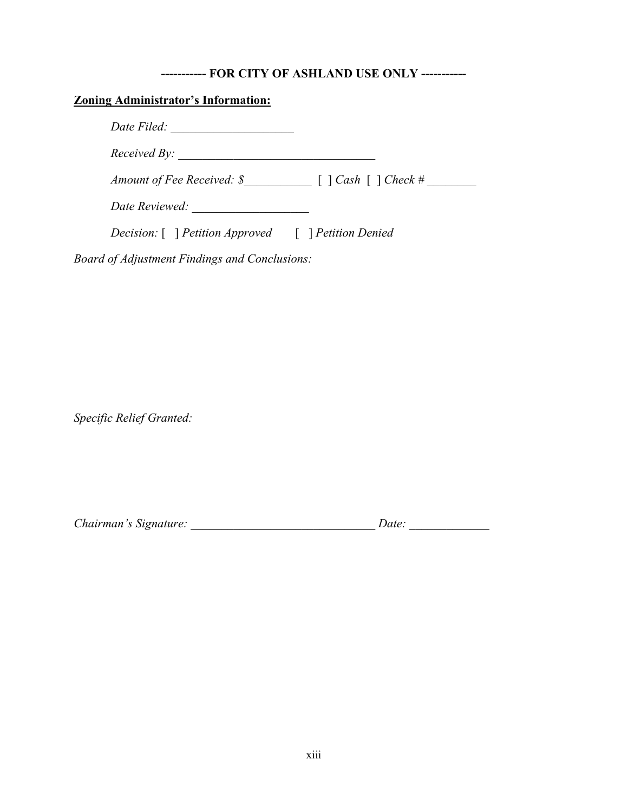#### **----------- FOR CITY OF ASHLAND USE ONLY -----------**

### **Zoning Administrator's Information:**

*Date Filed: \_\_\_\_\_\_\_\_\_\_\_\_\_\_\_\_\_\_\_\_*

*Received By: \_\_\_\_\_\_\_\_\_\_\_\_\_\_\_\_\_\_\_\_\_\_\_\_\_\_\_\_\_\_\_\_*

*Amount of Fee Received: \$\_\_\_\_\_\_\_\_\_\_\_* [ ] *Cash* [ ] *Check # \_\_\_\_\_\_\_\_*

*Date Reviewed: \_\_\_\_\_\_\_\_\_\_\_\_\_\_\_\_\_\_\_*

*Decision:* [ ] *Petition Approved* [ ] *Petition Denied*

*Board of Adjustment Findings and Conclusions:*

*Specific Relief Granted:*

| Chairman's Signature:<br>Date: |  |
|--------------------------------|--|
|--------------------------------|--|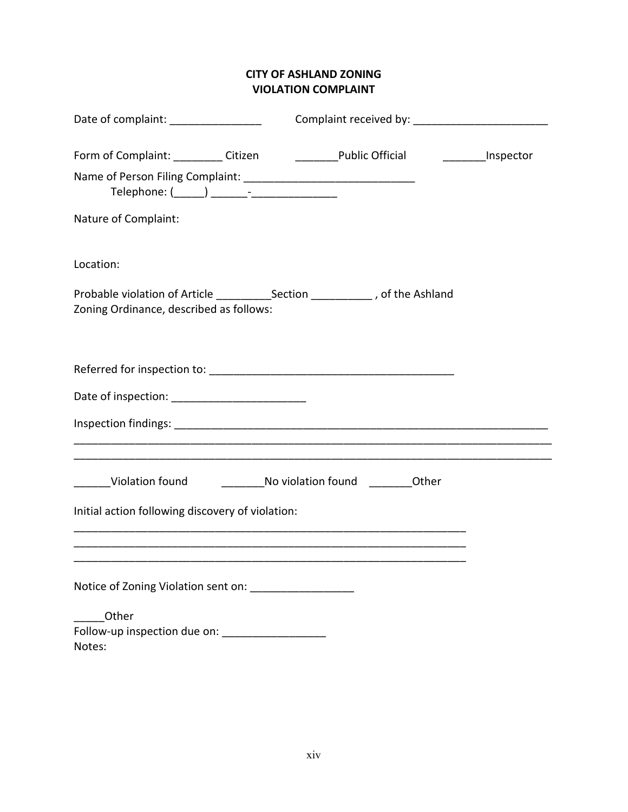# **CITY OF ASHLAND ZONING VIOLATION COMPLAINT**

| Date of complaint: ______________                                        |  |
|--------------------------------------------------------------------------|--|
|                                                                          |  |
|                                                                          |  |
| Nature of Complaint:                                                     |  |
| Location:                                                                |  |
| Zoning Ordinance, described as follows:                                  |  |
|                                                                          |  |
|                                                                          |  |
|                                                                          |  |
| ______Violation found _______________No violation found ___________Other |  |
| Initial action following discovery of violation:                         |  |
|                                                                          |  |
| Notice of Zoning Violation sent on: __________________                   |  |
| Other                                                                    |  |
| Follow-up inspection due on: _____________________<br>Notes:             |  |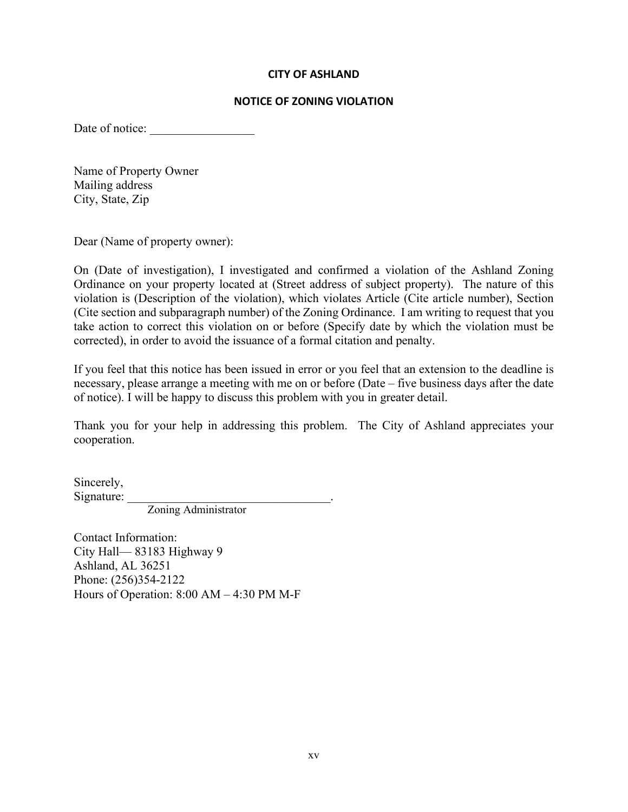#### **CITY OF ASHLAND**

#### **NOTICE OF ZONING VIOLATION**

Date of notice:

Name of Property Owner Mailing address City, State, Zip

Dear (Name of property owner):

On (Date of investigation), I investigated and confirmed a violation of the Ashland Zoning Ordinance on your property located at (Street address of subject property). The nature of this violation is (Description of the violation), which violates Article (Cite article number), Section (Cite section and subparagraph number) of the Zoning Ordinance. I am writing to request that you take action to correct this violation on or before (Specify date by which the violation must be corrected), in order to avoid the issuance of a formal citation and penalty.

If you feel that this notice has been issued in error or you feel that an extension to the deadline is necessary, please arrange a meeting with me on or before (Date – five business days after the date of notice). I will be happy to discuss this problem with you in greater detail.

Thank you for your help in addressing this problem. The City of Ashland appreciates your cooperation.

Sincerely, Signature: \_\_\_\_\_\_\_\_\_\_\_\_\_\_\_\_\_\_\_\_\_\_\_\_\_\_\_\_\_\_\_\_\_.

Zoning Administrator

Contact Information: City Hall— 83183 Highway 9 Ashland, AL 36251 Phone: (256)354-2122 Hours of Operation: 8:00 AM – 4:30 PM M-F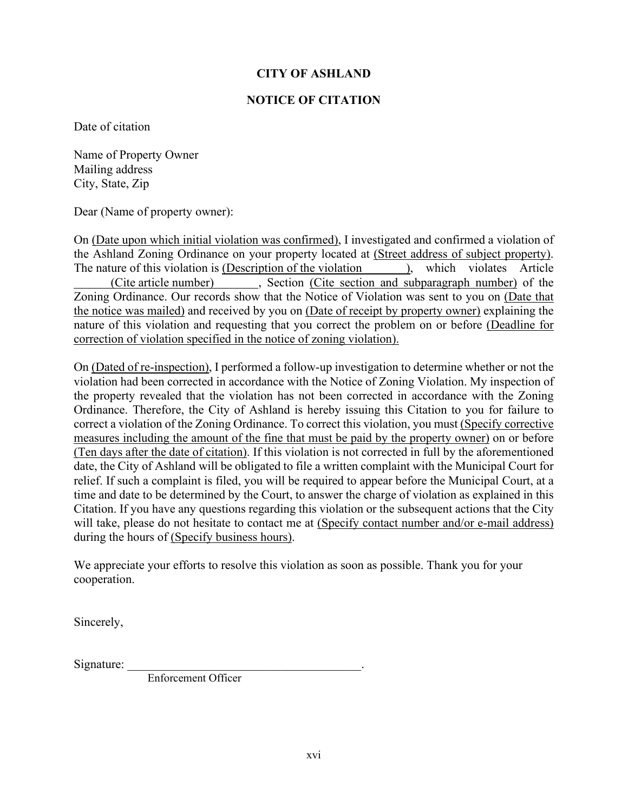#### **CITY OF ASHLAND**

#### **NOTICE OF CITATION**

Date of citation

Name of Property Owner Mailing address City, State, Zip

Dear (Name of property owner):

On (Date upon which initial violation was confirmed), I investigated and confirmed a violation of the Ashland Zoning Ordinance on your property located at (Street address of subject property). The nature of this violation is (Description of the violation ), which violates Article (Cite article number) , Section (Cite section and subparagraph number) of the Zoning Ordinance. Our records show that the Notice of Violation was sent to you on (Date that the notice was mailed) and received by you on (Date of receipt by property owner) explaining the nature of this violation and requesting that you correct the problem on or before (Deadline for correction of violation specified in the notice of zoning violation).

On (Dated of re-inspection), I performed a follow-up investigation to determine whether or not the violation had been corrected in accordance with the Notice of Zoning Violation. My inspection of the property revealed that the violation has not been corrected in accordance with the Zoning Ordinance. Therefore, the City of Ashland is hereby issuing this Citation to you for failure to correct a violation of the Zoning Ordinance. To correct this violation, you must (Specify corrective measures including the amount of the fine that must be paid by the property owner) on or before (Ten days after the date of citation). If this violation is not corrected in full by the aforementioned date, the City of Ashland will be obligated to file a written complaint with the Municipal Court for relief. If such a complaint is filed, you will be required to appear before the Municipal Court, at a time and date to be determined by the Court, to answer the charge of violation as explained in this Citation. If you have any questions regarding this violation or the subsequent actions that the City will take, please do not hesitate to contact me at (Specify contact number and/or e-mail address) during the hours of (Specify business hours).

We appreciate your efforts to resolve this violation as soon as possible. Thank you for your cooperation.

Sincerely,

Signature:

Enforcement Officer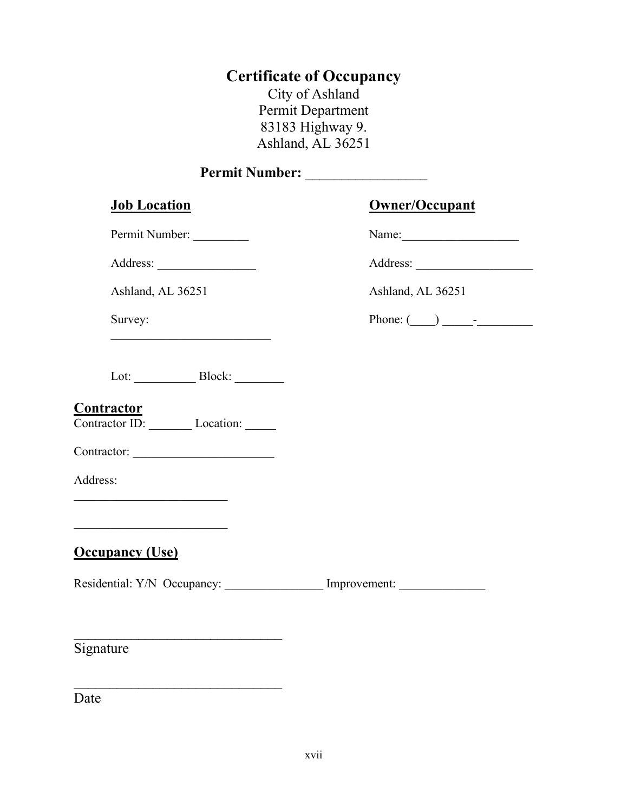# **Certificate of Occupancy**

City of Ashland Permit Department 83183 Highway 9. Ashland, AL 36251

# **Permit Number:** \_\_\_\_\_\_\_\_\_\_\_\_\_\_\_\_\_

## **Job Location Owner/Occupant**

Permit Number: \_\_\_\_\_\_\_\_\_ Name:\_\_\_\_\_\_\_\_\_\_\_\_\_\_\_\_\_\_\_

Address: \_\_\_\_\_\_\_\_\_\_\_\_\_\_\_\_ Address: \_\_\_\_\_\_\_\_\_\_\_\_\_\_\_\_\_\_\_

Ashland, AL 36251 **Ashland**, AL 36251

Lot: \_\_\_\_\_\_\_\_\_\_ Block: \_\_\_\_\_\_\_\_

\_\_\_\_\_\_\_\_\_\_\_\_\_\_\_\_\_\_\_\_\_\_\_\_\_\_

#### **Contractor**

Contractor ID: \_\_\_\_\_\_\_\_\_ Location: \_\_\_\_\_\_

Contractor: \_\_\_\_\_\_\_\_\_\_\_\_\_\_\_\_\_\_\_\_\_\_\_

 $\overline{\phantom{a}}$ 

 $\overline{\phantom{a}}$ 

 $\overline{\phantom{a}}$  , which is a set of the set of the set of the set of the set of the set of the set of the set of the set of the set of the set of the set of the set of the set of the set of the set of the set of the set of th

Address:

# **Occupancy (Use)**

Residential: Y/N Occupancy: \_\_\_\_\_\_\_\_\_\_\_\_\_\_\_\_ Improvement: \_\_\_\_\_\_\_\_\_\_\_\_\_\_\_\_\_\_\_\_\_\_

Signature

Date

| \ame: |  |  |  |
|-------|--|--|--|
|       |  |  |  |

Survey: Phone:  $($   $)$   $)$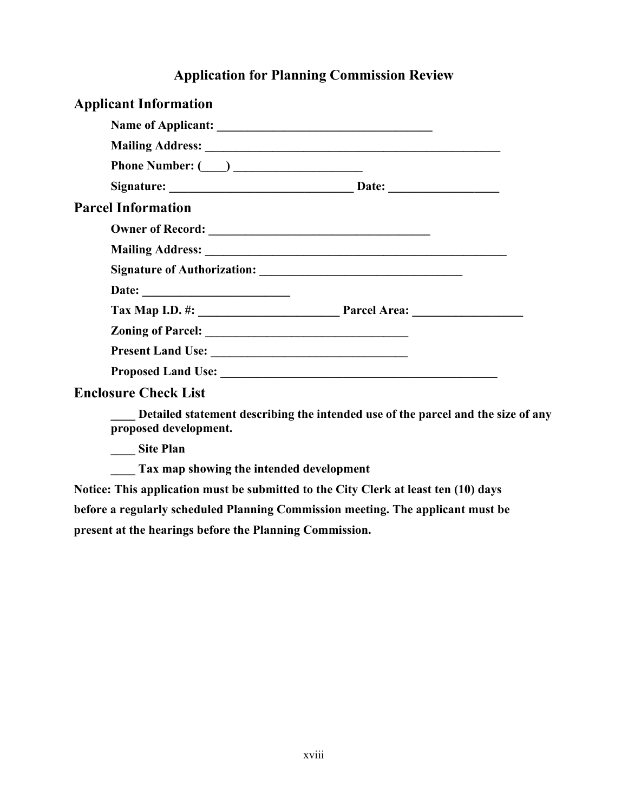# **Application for Planning Commission Review**

| <b>Applicant Information</b> |  |
|------------------------------|--|
|                              |  |
|                              |  |
| Phone Number: $(\_\_)$       |  |
|                              |  |
| <b>Parcel Information</b>    |  |
|                              |  |
|                              |  |
|                              |  |
|                              |  |
|                              |  |
|                              |  |
|                              |  |
|                              |  |
| <b>Enclosure Check List</b>  |  |

**\_\_\_\_ Detailed statement describing the intended use of the parcel and the size of any proposed development.**

**\_\_\_\_ Site Plan**

**\_\_\_\_ Tax map showing the intended development**

**Notice: This application must be submitted to the City Clerk at least ten (10) days before a regularly scheduled Planning Commission meeting. The applicant must be present at the hearings before the Planning Commission.**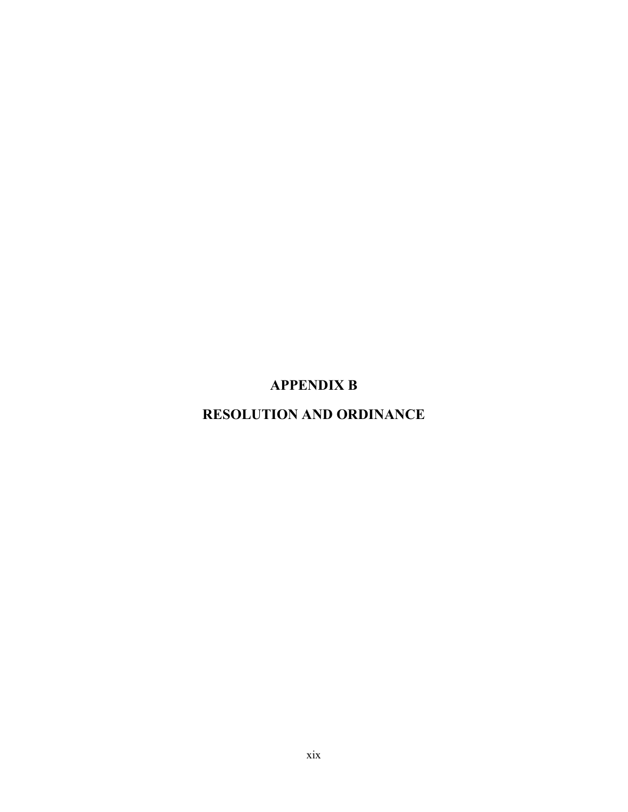# **APPENDIX B**

# **RESOLUTION AND ORDINANCE**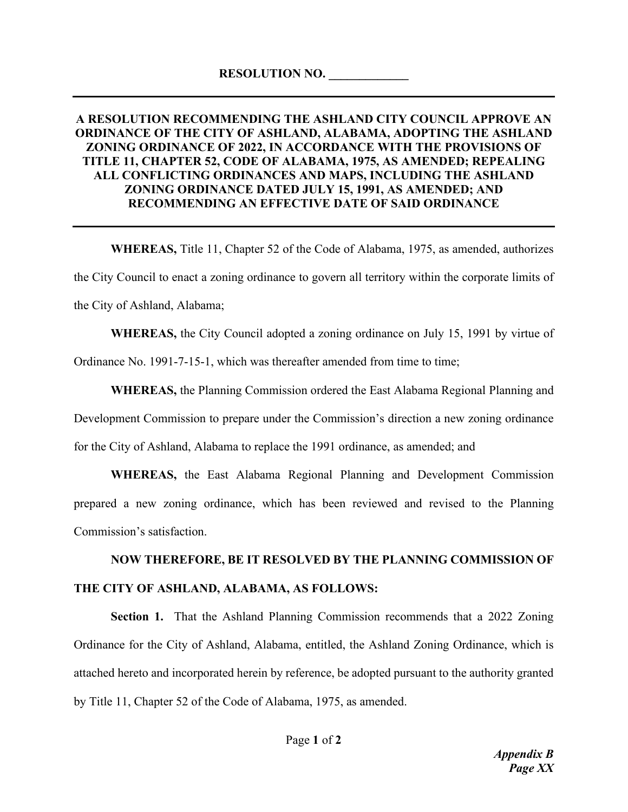#### **A RESOLUTION RECOMMENDING THE ASHLAND CITY COUNCIL APPROVE AN ORDINANCE OF THE CITY OF ASHLAND, ALABAMA, ADOPTING THE ASHLAND ZONING ORDINANCE OF 2022, IN ACCORDANCE WITH THE PROVISIONS OF TITLE 11, CHAPTER 52, CODE OF ALABAMA, 1975, AS AMENDED; REPEALING ALL CONFLICTING ORDINANCES AND MAPS, INCLUDING THE ASHLAND ZONING ORDINANCE DATED JULY 15, 1991, AS AMENDED; AND RECOMMENDING AN EFFECTIVE DATE OF SAID ORDINANCE**

**WHEREAS,** Title 11, Chapter 52 of the Code of Alabama, 1975, as amended, authorizes the City Council to enact a zoning ordinance to govern all territory within the corporate limits of the City of Ashland, Alabama;

**WHEREAS,** the City Council adopted a zoning ordinance on July 15, 1991 by virtue of Ordinance No. 1991-7-15-1, which was thereafter amended from time to time;

**WHEREAS,** the Planning Commission ordered the East Alabama Regional Planning and Development Commission to prepare under the Commission's direction a new zoning ordinance for the City of Ashland, Alabama to replace the 1991 ordinance, as amended; and

**WHEREAS,** the East Alabama Regional Planning and Development Commission prepared a new zoning ordinance, which has been reviewed and revised to the Planning Commission's satisfaction.

# **NOW THEREFORE, BE IT RESOLVED BY THE PLANNING COMMISSION OF THE CITY OF ASHLAND, ALABAMA, AS FOLLOWS:**

**Section 1.** That the Ashland Planning Commission recommends that a 2022 Zoning Ordinance for the City of Ashland, Alabama, entitled, the Ashland Zoning Ordinance, which is attached hereto and incorporated herein by reference, be adopted pursuant to the authority granted by Title 11, Chapter 52 of the Code of Alabama, 1975, as amended.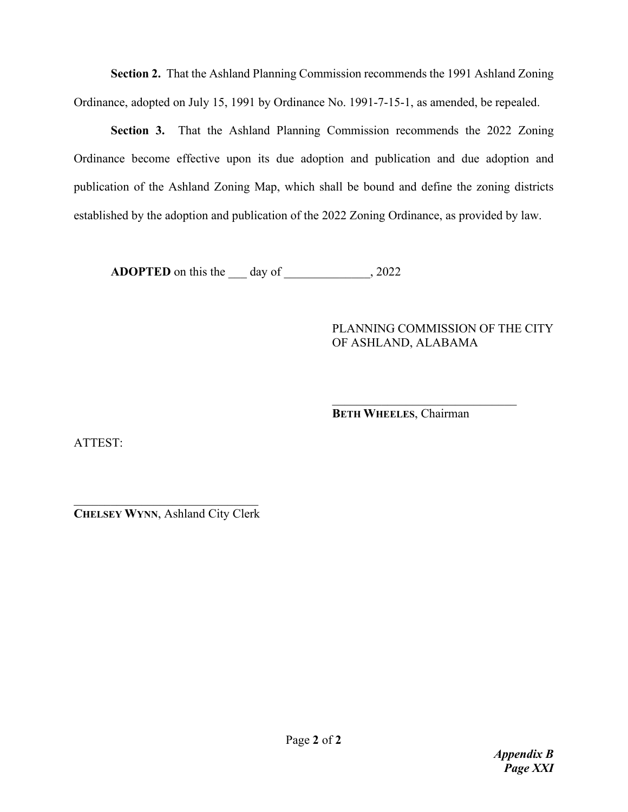**Section 2.** That the Ashland Planning Commission recommends the 1991 Ashland Zoning Ordinance, adopted on July 15, 1991 by Ordinance No. 1991-7-15-1, as amended, be repealed.

**Section 3.** That the Ashland Planning Commission recommends the 2022 Zoning Ordinance become effective upon its due adoption and publication and due adoption and publication of the Ashland Zoning Map, which shall be bound and define the zoning districts established by the adoption and publication of the 2022 Zoning Ordinance, as provided by law.

**ADOPTED** on this the \_\_\_ day of \_\_\_\_\_\_\_\_\_\_\_\_, 2022

#### PLANNING COMMISSION OF THE CITY OF ASHLAND, ALABAMA

 $\overline{\phantom{a}}$ **BETH WHEELES**, Chairman

ATTEST:

**CHELSEY WYNN**, Ashland City Clerk